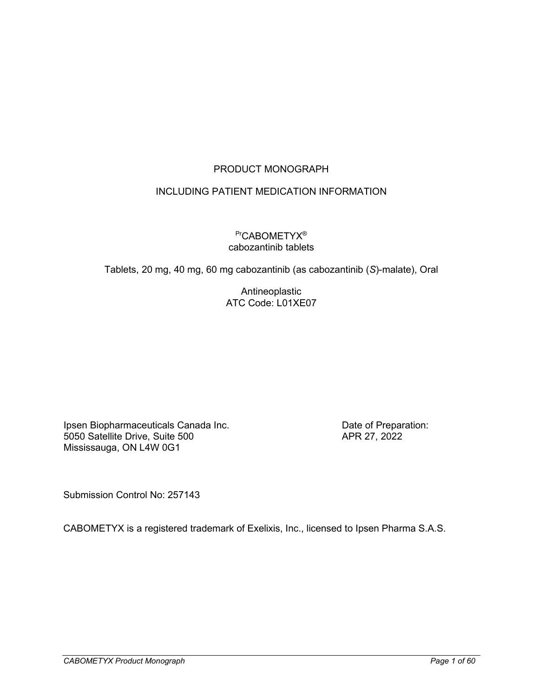# PRODUCT MONOGRAPH

## INCLUDING PATIENT MEDICATION INFORMATION

### PrCABOMETYX<sup>®</sup> cabozantinib tablets

Tablets, 20 mg, 40 mg, 60 mg cabozantinib (as cabozantinib (*S*)-malate), Oral

Antineoplastic ATC Code: L01XE07

Ipsen Biopharmaceuticals Canada Inc. 5050 Satellite Drive, Suite 500 Mississauga, ON L4W 0G1

Date of Preparation: APR 27, 2022

Submission Control No: 257143

CABOMETYX is a registered trademark of Exelixis, Inc., licensed to Ipsen Pharma S.A.S.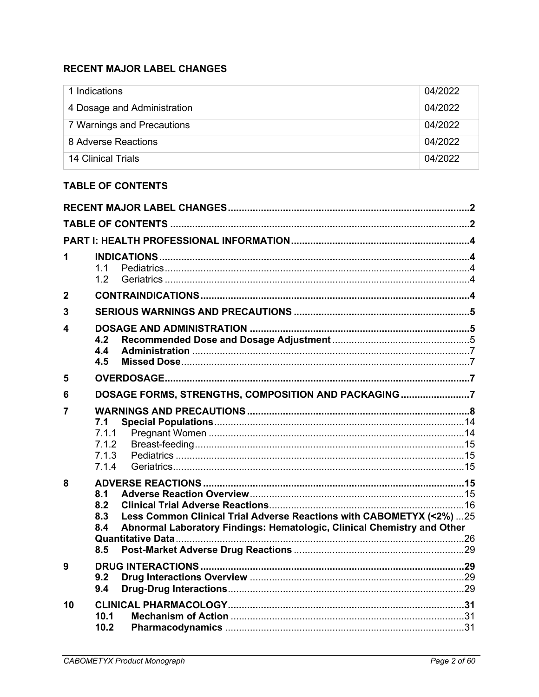# <span id="page-1-0"></span>**RECENT MAJOR LABEL CHANGES**

| 1 Indications               | 04/2022 |
|-----------------------------|---------|
| 4 Dosage and Administration | 04/2022 |
| 7 Warnings and Precautions  | 04/2022 |
| 8 Adverse Reactions         | 04/2022 |
| 14 Clinical Trials          | 04/2022 |

# <span id="page-1-1"></span>**TABLE OF CONTENTS**

| 1              | 11<br>1.2                                                                                                                                                                          |  |
|----------------|------------------------------------------------------------------------------------------------------------------------------------------------------------------------------------|--|
| $\overline{2}$ |                                                                                                                                                                                    |  |
| 3              |                                                                                                                                                                                    |  |
| 4              | 4.2<br>4.4<br>4.5                                                                                                                                                                  |  |
| 5              |                                                                                                                                                                                    |  |
| 6              | DOSAGE FORMS, STRENGTHS, COMPOSITION AND PACKAGING 7                                                                                                                               |  |
| 7              | 7.1<br>7.1.1<br>7.1.2<br>7.1.3<br>7.1.4                                                                                                                                            |  |
| 8              | 8.1<br>8.2<br>Less Common Clinical Trial Adverse Reactions with CABOMETYX (<2%) 25<br>8.3<br>8.4<br>Abnormal Laboratory Findings: Hematologic, Clinical Chemistry and Other<br>8.5 |  |
| 9              | 9.2<br>9.4                                                                                                                                                                         |  |
| 10             | 10.1<br>10.2                                                                                                                                                                       |  |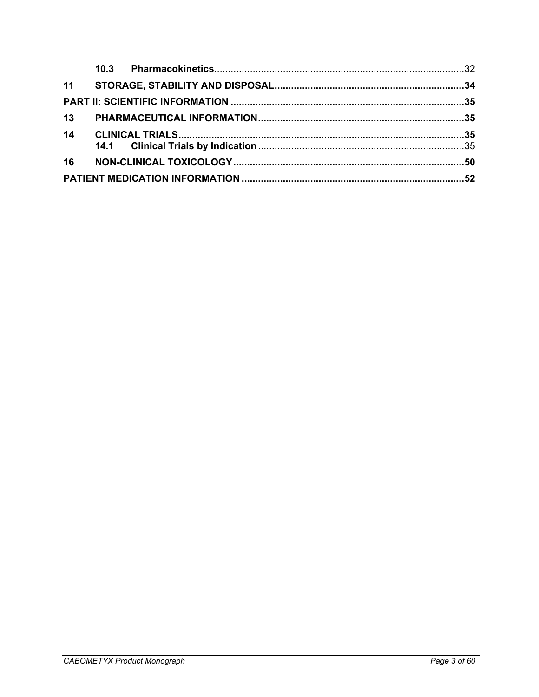|    | 10.3 |  |
|----|------|--|
|    |      |  |
|    |      |  |
| 13 |      |  |
| 14 |      |  |
| 16 |      |  |
|    |      |  |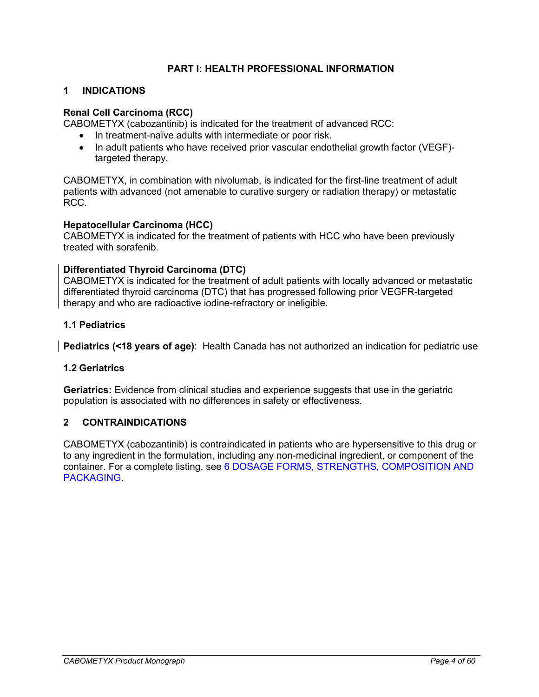### **PART I: HEALTH PROFESSIONAL INFORMATION**

### <span id="page-3-1"></span><span id="page-3-0"></span>**1 INDICATIONS**

### **Renal Cell Carcinoma (RCC)**

CABOMETYX (cabozantinib) is indicated for the treatment of advanced RCC:

- In treatment-naïve adults with intermediate or poor risk.
- In adult patients who have received prior vascular endothelial growth factor (VEGF) targeted therapy.

CABOMETYX, in combination with nivolumab, is indicated for the first-line treatment of adult patients with advanced (not amenable to curative surgery or radiation therapy) or metastatic RCC.

### **Hepatocellular Carcinoma (HCC)**

CABOMETYX is indicated for the treatment of patients with HCC who have been previously treated with sorafenib.

### **Differentiated Thyroid Carcinoma (DTC)**

CABOMETYX is indicated for the treatment of adult patients with locally advanced or metastatic differentiated thyroid carcinoma (DTC) that has progressed following prior VEGFR-targeted therapy and who are radioactive iodine-refractory or ineligible.

### <span id="page-3-2"></span>**1.1 Pediatrics**

<span id="page-3-3"></span>**Pediatrics (<18 years of age)**: Health Canada has not authorized an indication for pediatric use

### **1.2 Geriatrics**

**Geriatrics:** Evidence from clinical studies and experience suggests that use in the geriatric population is associated with no differences in safety or effectiveness.

### <span id="page-3-4"></span>**2 CONTRAINDICATIONS**

CABOMETYX (cabozantinib) is contraindicated in patients who are hypersensitive to this drug or to any ingredient in the formulation, including any non-medicinal ingredient, or component of the container. For a complete listing, see [6 DOSAGE FORMS, STRENGTHS, COMPOSITION AND](#page-6-3)  [PACKAGING.](#page-6-3)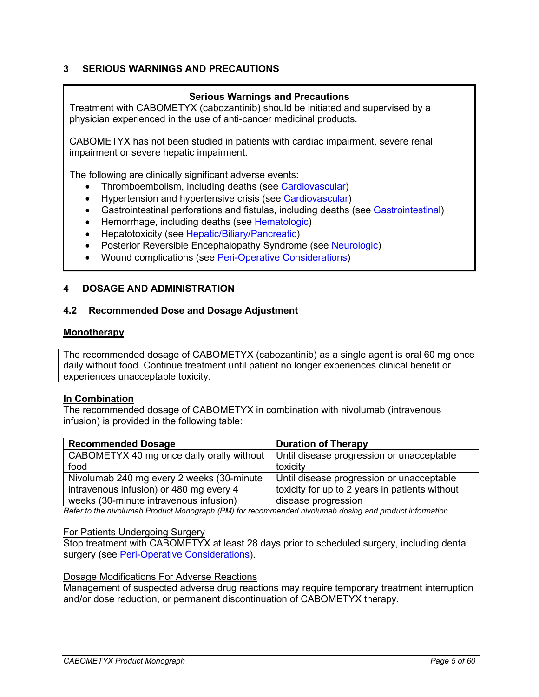### <span id="page-4-0"></span>**3 SERIOUS WARNINGS AND PRECAUTIONS**

### **Serious Warnings and Precautions**

Treatment with CABOMETYX (cabozantinib) should be initiated and supervised by a physician experienced in the use of anti-cancer medicinal products.

CABOMETYX has not been studied in patients with cardiac impairment, severe renal impairment or severe hepatic impairment.

The following are clinically significant adverse events:

- Thromboembolism, including deaths (see [Cardiovascular\)](#page-7-1)
- Hypertension and hypertensive crisis (see [Cardiovascular\)](#page-7-1)
- Gastrointestinal perforations and fistulas, including deaths (see [Gastrointestinal\)](#page-9-0)
- Hemorrhage, including deaths (see [Hematologic\)](#page-10-0)
- Hepatotoxicity (see [Hepatic/Biliary/Pancreatic\)](#page-11-0)
- Posterior Reversible Encephalopathy Syndrome (see [Neurologic\)](#page-12-1)
- Wound complications (see [Peri-Operative Considerations\)](#page-12-0)

#### <span id="page-4-1"></span>**4 DOSAGE AND ADMINISTRATION**

#### <span id="page-4-2"></span>**4.2 Recommended Dose and Dosage Adjustment**

#### **Monotherapy**

The recommended dosage of CABOMETYX (cabozantinib) as a single agent is oral 60 mg once daily without food. Continue treatment until patient no longer experiences clinical benefit or experiences unacceptable toxicity.

#### **In Combination**

The recommended dosage of CABOMETYX in combination with nivolumab (intravenous infusion) is provided in the following table:

| <b>Recommended Dosage</b>                                                             | <b>Duration of Therapy</b>                     |
|---------------------------------------------------------------------------------------|------------------------------------------------|
| CABOMETYX 40 mg once daily orally without   Until disease progression or unacceptable |                                                |
| food                                                                                  | toxicity                                       |
| Nivolumab 240 mg every 2 weeks (30-minute                                             | Until disease progression or unacceptable      |
| intravenous infusion) or 480 mg every 4                                               | toxicity for up to 2 years in patients without |
| weeks (30-minute intravenous infusion)                                                | disease progression                            |

*Refer to the nivolumab Product Monograph (PM) for recommended nivolumab dosing and product information.*

#### For Patients Undergoing Surgery

Stop treatment with CABOMETYX at least 28 days prior to scheduled surgery, including dental surgery (see [Peri-Operative Considerations\)](#page-12-0).

#### Dosage Modifications For Adverse Reactions

Management of suspected adverse drug reactions may require temporary treatment interruption and/or dose reduction, or permanent discontinuation of CABOMETYX therapy.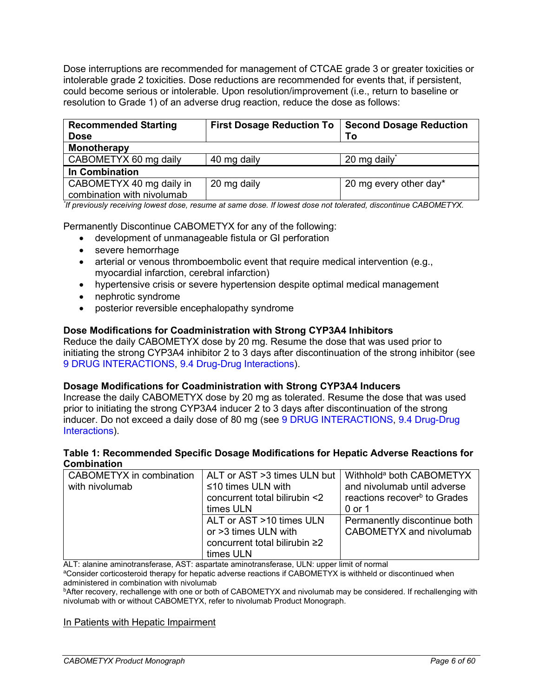Dose interruptions are recommended for management of CTCAE grade 3 or greater toxicities or intolerable grade 2 toxicities. Dose reductions are recommended for events that, if persistent, could become serious or intolerable. Upon resolution/improvement (i.e., return to baseline or resolution to Grade 1) of an adverse drug reaction, reduce the dose as follows:

| <b>Recommended Starting</b><br><b>Dose</b>             | <b>First Dosage Reduction To</b> | <b>Second Dosage Reduction</b><br>To |
|--------------------------------------------------------|----------------------------------|--------------------------------------|
| <b>Monotherapy</b>                                     |                                  |                                      |
| CABOMETYX 60 mg daily                                  | 40 mg daily                      | 20 mg daily*                         |
| In Combination                                         |                                  |                                      |
| CABOMETYX 40 mg daily in<br>combination with nivolumab | 20 mg daily                      | 20 mg every other day*               |

*\* If previously receiving lowest dose, resume at same dose. If lowest dose not tolerated, discontinue CABOMETYX.*

Permanently Discontinue CABOMETYX for any of the following:

- development of unmanageable fistula or GI perforation
- severe hemorrhage
- arterial or venous thromboembolic event that require medical intervention (e.g., myocardial infarction, cerebral infarction)
- hypertensive crisis or severe hypertension despite optimal medical management
- nephrotic syndrome
- posterior reversible encephalopathy syndrome

#### **Dose Modifications for Coadministration with Strong CYP3A4 Inhibitors**

Reduce the daily CABOMETYX dose by 20 mg. Resume the dose that was used prior to initiating the strong CYP3A4 inhibitor 2 to 3 days after discontinuation of the strong inhibitor (see [9 DRUG INTERACTIONS,](#page-28-1) [9.4 Drug-Drug Interactions\)](#page-28-3).

#### **Dosage Modifications for Coadministration with Strong CYP3A4 Inducers**

Increase the daily CABOMETYX dose by 20 mg as tolerated. Resume the dose that was used prior to initiating the strong CYP3A4 inducer 2 to 3 days after discontinuation of the strong inducer. Do not exceed a daily dose of 80 mg (see [9 DRUG INTERACTIONS,](#page-28-1) [9.4 Drug-Drug](#page-28-3)  [Interactions\)](#page-28-3).

#### <span id="page-5-0"></span>**Table 1: Recommended Specific Dosage Modifications for Hepatic Adverse Reactions for Combination**

| CABOMETYX in combination | ALT or AST >3 times ULN but   | Withhold <sup>a</sup> both CABOMETYX     |
|--------------------------|-------------------------------|------------------------------------------|
| with nivolumab           | $\leq$ 10 times ULN with      | and nivolumab until adverse              |
|                          | concurrent total bilirubin <2 | reactions recover <sup>b</sup> to Grades |
|                          | times ULN                     | 0 or 1                                   |
|                          | ALT or AST >10 times ULN      | Permanently discontinue both             |
|                          | or >3 times ULN with          | CABOMETYX and nivolumab                  |
|                          | concurrent total bilirubin ≥2 |                                          |
|                          | times ULN                     |                                          |

ALT: alanine aminotransferase, AST: aspartate aminotransferase, ULN: upper limit of normal

aConsider corticosteroid therapy for hepatic adverse reactions if CABOMETYX is withheld or discontinued when administered in combination with nivolumab

bAfter recovery, rechallenge with one or both of CABOMETYX and nivolumab may be considered. If rechallenging with nivolumab with or without CABOMETYX, refer to nivolumab Product Monograph.

#### In Patients with Hepatic Impairment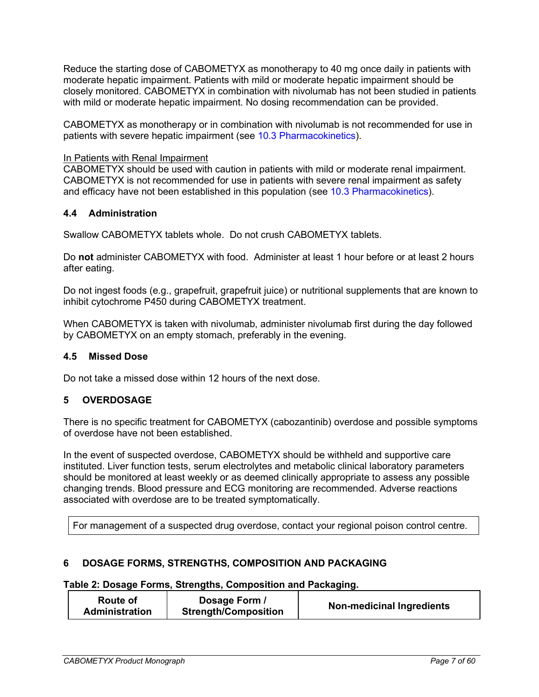Reduce the starting dose of CABOMETYX as monotherapy to 40 mg once daily in patients with moderate hepatic impairment. Patients with mild or moderate hepatic impairment should be closely monitored. CABOMETYX in combination with nivolumab has not been studied in patients with mild or moderate hepatic impairment. No dosing recommendation can be provided.

CABOMETYX as monotherapy or in combination with nivolumab is not recommended for use in patients with severe hepatic impairment (see [10.3 Pharmacokinetics\)](#page-31-0).

#### In Patients with Renal Impairment

CABOMETYX should be used with caution in patients with mild or moderate renal impairment. CABOMETYX is not recommended for use in patients with severe renal impairment as safety and efficacy have not been established in this population (see [10.3 Pharmacokinetics\)](#page-31-0).

#### <span id="page-6-0"></span>**4.4 Administration**

Swallow CABOMETYX tablets whole. Do not crush CABOMETYX tablets.

Do **not** administer CABOMETYX with food. Administer at least 1 hour before or at least 2 hours after eating.

Do not ingest foods (e.g., grapefruit, grapefruit juice) or nutritional supplements that are known to inhibit cytochrome P450 during CABOMETYX treatment.

When CABOMETYX is taken with nivolumab, administer nivolumab first during the day followed by CABOMETYX on an empty stomach, preferably in the evening.

#### <span id="page-6-1"></span>**4.5 Missed Dose**

<span id="page-6-2"></span>Do not take a missed dose within 12 hours of the next dose.

### **5 OVERDOSAGE**

There is no specific treatment for CABOMETYX (cabozantinib) overdose and possible symptoms of overdose have not been established.

In the event of suspected overdose, CABOMETYX should be withheld and supportive care instituted. Liver function tests, serum electrolytes and metabolic clinical laboratory parameters should be monitored at least weekly or as deemed clinically appropriate to assess any possible changing trends. Blood pressure and ECG monitoring are recommended. Adverse reactions associated with overdose are to be treated symptomatically.

For management of a suspected drug overdose, contact your regional poison control centre.

### <span id="page-6-3"></span>**6 DOSAGE FORMS, STRENGTHS, COMPOSITION AND PACKAGING**

#### **Table 2: Dosage Forms, Strengths, Composition and Packaging.**

| Route of<br><b>Administration</b> | Dosage Form<br><b>Strength/Composition</b> | <b>Non-medicinal Ingredients</b> |
|-----------------------------------|--------------------------------------------|----------------------------------|
|-----------------------------------|--------------------------------------------|----------------------------------|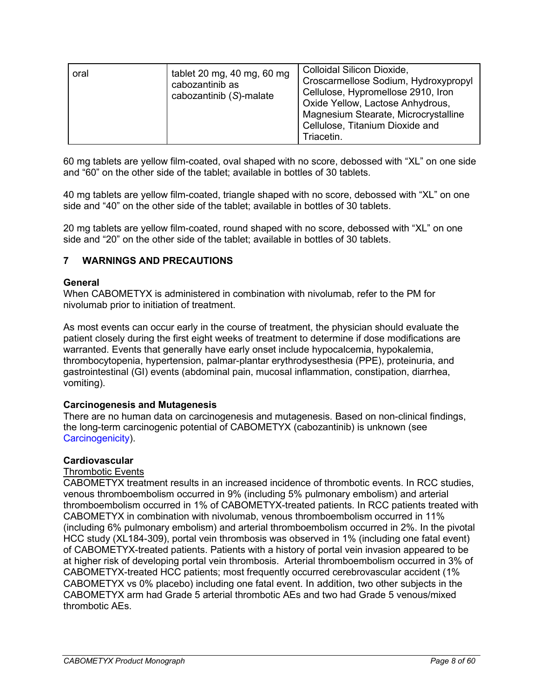| tablet 20 mg, 40 mg, 60 mg<br>oral<br>cabozantinib as<br>cabozantinib (S)-malate | Colloidal Silicon Dioxide,<br>Croscarmellose Sodium, Hydroxypropyl<br>Cellulose, Hypromellose 2910, Iron<br>Oxide Yellow, Lactose Anhydrous,<br>Magnesium Stearate, Microcrystalline<br>Cellulose, Titanium Dioxide and<br>Triacetin. |
|----------------------------------------------------------------------------------|---------------------------------------------------------------------------------------------------------------------------------------------------------------------------------------------------------------------------------------|
|----------------------------------------------------------------------------------|---------------------------------------------------------------------------------------------------------------------------------------------------------------------------------------------------------------------------------------|

60 mg tablets are yellow film-coated, oval shaped with no score, debossed with "XL" on one side and "60" on the other side of the tablet; available in bottles of 30 tablets.

40 mg tablets are yellow film-coated, triangle shaped with no score, debossed with "XL" on one side and "40" on the other side of the tablet; available in bottles of 30 tablets.

20 mg tablets are yellow film-coated, round shaped with no score, debossed with "XL" on one side and "20" on the other side of the tablet; available in bottles of 30 tablets.

### <span id="page-7-0"></span>**7 WARNINGS AND PRECAUTIONS**

#### **General**

When CABOMETYX is administered in combination with nivolumab, refer to the PM for nivolumab prior to initiation of treatment.

As most events can occur early in the course of treatment, the physician should evaluate the patient closely during the first eight weeks of treatment to determine if dose modifications are warranted. Events that generally have early onset include hypocalcemia, hypokalemia, thrombocytopenia, hypertension, palmar-plantar erythrodysesthesia (PPE), proteinuria, and gastrointestinal (GI) events (abdominal pain, mucosal inflammation, constipation, diarrhea, vomiting).

#### **Carcinogenesis and Mutagenesis**

There are no human data on carcinogenesis and mutagenesis. Based on non-clinical findings, the long-term carcinogenic potential of CABOMETYX (cabozantinib) is unknown (see [Carcinogenicity\)](#page-49-1).

#### <span id="page-7-1"></span>**Cardiovascular**

#### Thrombotic Events

CABOMETYX treatment results in an increased incidence of thrombotic events. In RCC studies, venous thromboembolism occurred in 9% (including 5% pulmonary embolism) and arterial thromboembolism occurred in 1% of CABOMETYX-treated patients. In RCC patients treated with CABOMETYX in combination with nivolumab, venous thromboembolism occurred in 11% (including 6% pulmonary embolism) and arterial thromboembolism occurred in 2%. In the pivotal HCC study (XL184-309), portal vein thrombosis was observed in 1% (including one fatal event) of CABOMETYX-treated patients. Patients with a history of portal vein invasion appeared to be at higher risk of developing portal vein thrombosis. Arterial thromboembolism occurred in 3% of CABOMETYX-treated HCC patients; most frequently occurred cerebrovascular accident (1% CABOMETYX vs 0% placebo) including one fatal event. In addition, two other subjects in the CABOMETYX arm had Grade 5 arterial thrombotic AEs and two had Grade 5 venous/mixed thrombotic AEs.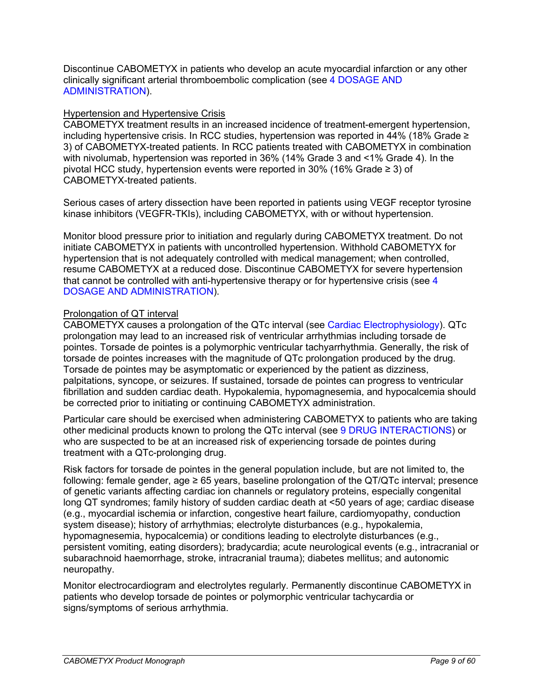Discontinue CABOMETYX in patients who develop an acute myocardial infarction or any other clinically significant arterial thromboembolic complication (see [4 DOSAGE AND](#page-4-1)  [ADMINISTRATION\)](#page-4-1).

#### Hypertension and Hypertensive Crisis

CABOMETYX treatment results in an increased incidence of treatment-emergent hypertension, including hypertensive crisis. In RCC studies, hypertension was reported in 44% (18% Grade ≥ 3) of CABOMETYX-treated patients. In RCC patients treated with CABOMETYX in combination with nivolumab, hypertension was reported in 36% (14% Grade 3 and <1% Grade 4). In the pivotal HCC study, hypertension events were reported in 30% (16% Grade ≥ 3) of CABOMETYX-treated patients.

Serious cases of artery dissection have been reported in patients using VEGF receptor tyrosine kinase inhibitors (VEGFR-TKIs), including CABOMETYX, with or without hypertension.

Monitor blood pressure prior to initiation and regularly during CABOMETYX treatment. Do not initiate CABOMETYX in patients with uncontrolled hypertension. Withhold CABOMETYX for hypertension that is not adequately controlled with medical management; when controlled, resume CABOMETYX at a reduced dose. Discontinue CABOMETYX for severe hypertension that cannot be controlled with anti-hypertensive therapy or for hypertensive crisis (see [4](#page-4-1)  [DOSAGE AND ADMINISTRATION\)](#page-4-1).

#### Prolongation of QT interval

CABOMETYX causes a prolongation of the QTc interval (see [Cardiac Electrophysiology\)](#page-30-3). QTc prolongation may lead to an increased risk of ventricular arrhythmias including torsade de pointes. Torsade de pointes is a polymorphic ventricular tachyarrhythmia. Generally, the risk of torsade de pointes increases with the magnitude of QTc prolongation produced by the drug. Torsade de pointes may be asymptomatic or experienced by the patient as dizziness, palpitations, syncope, or seizures. If sustained, torsade de pointes can progress to ventricular fibrillation and sudden cardiac death. Hypokalemia, hypomagnesemia, and hypocalcemia should be corrected prior to initiating or continuing CABOMETYX administration.

Particular care should be exercised when administering CABOMETYX to patients who are taking other medicinal products known to prolong the QTc interval (see [9 DRUG INTERACTIONS\)](#page-28-1) or who are suspected to be at an increased risk of experiencing torsade de pointes during treatment with a QTc-prolonging drug.

Risk factors for torsade de pointes in the general population include, but are not limited to, the following: female gender, age  $\geq 65$  years, baseline prolongation of the QT/QTc interval; presence of genetic variants affecting cardiac ion channels or regulatory proteins, especially congenital long QT syndromes; family history of sudden cardiac death at <50 years of age; cardiac disease (e.g., myocardial ischemia or infarction, congestive heart failure, cardiomyopathy, conduction system disease); history of arrhythmias; electrolyte disturbances (e.g., hypokalemia, hypomagnesemia, hypocalcemia) or conditions leading to electrolyte disturbances (e.g., persistent vomiting, eating disorders); bradycardia; acute neurological events (e.g., intracranial or subarachnoid haemorrhage, stroke, intracranial trauma); diabetes mellitus; and autonomic neuropathy.

Monitor electrocardiogram and electrolytes regularly*.* Permanently discontinue CABOMETYX in patients who develop torsade de pointes or polymorphic ventricular tachycardia or signs/symptoms of serious arrhythmia.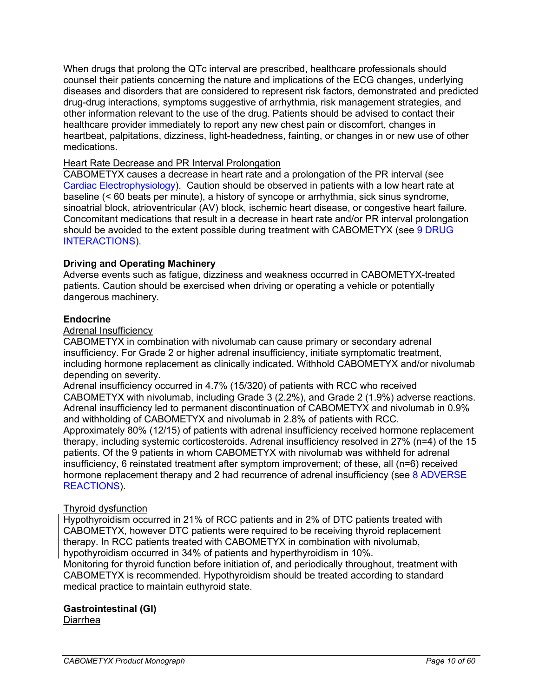When drugs that prolong the QTc interval are prescribed, healthcare professionals should counsel their patients concerning the nature and implications of the ECG changes, underlying diseases and disorders that are considered to represent risk factors, demonstrated and predicted drug-drug interactions, symptoms suggestive of arrhythmia, risk management strategies, and other information relevant to the use of the drug. Patients should be advised to contact their healthcare provider immediately to report any new chest pain or discomfort, changes in heartbeat, palpitations, dizziness, light-headedness, fainting, or changes in or new use of other medications.

### Heart Rate Decrease and PR Interval Prolongation

CABOMETYX causes a decrease in heart rate and a prolongation of the PR interval (see [Cardiac Electrophysiology\)](#page-30-3). Caution should be observed in patients with a low heart rate at baseline (< 60 beats per minute), a history of syncope or arrhythmia, sick sinus syndrome, sinoatrial block, atrioventricular (AV) block, ischemic heart disease, or congestive heart failure. Concomitant medications that result in a decrease in heart rate and/or PR interval prolongation should be avoided to the extent possible during treatment with CABOMETYX (see [9 DRUG](#page-28-1)  [INTERACTIONS\)](#page-28-1).

### **Driving and Operating Machinery**

Adverse events such as fatigue, dizziness and weakness occurred in CABOMETYX-treated patients. Caution should be exercised when driving or operating a vehicle or potentially dangerous machinery.

### **Endocrine**

Adrenal Insufficiency

CABOMETYX in combination with nivolumab can cause primary or secondary adrenal insufficiency. For Grade 2 or higher adrenal insufficiency, initiate symptomatic treatment, including hormone replacement as clinically indicated. Withhold CABOMETYX and/or nivolumab depending on severity.

Adrenal insufficiency occurred in 4.7% (15/320) of patients with RCC who received CABOMETYX with nivolumab, including Grade 3 (2.2%), and Grade 2 (1.9%) adverse reactions. Adrenal insufficiency led to permanent discontinuation of CABOMETYX and nivolumab in 0.9% and withholding of CABOMETYX and nivolumab in 2.8% of patients with RCC. Approximately 80% (12/15) of patients with adrenal insufficiency received hormone replacement therapy, including systemic corticosteroids. Adrenal insufficiency resolved in 27% (n=4) of the 15 patients. Of the 9 patients in whom CABOMETYX with nivolumab was withheld for adrenal insufficiency, 6 reinstated treatment after symptom improvement; of these, all (n=6) received hormone replacement therapy and 2 had recurrence of adrenal insufficiency (see 8 ADVERSE [REACTIONS\)](#page-14-3).

### Thyroid dysfunction

Hypothyroidism occurred in 21% of RCC patients and in 2% of DTC patients treated with CABOMETYX, however DTC patients were required to be receiving thyroid replacement therapy. In RCC patients treated with CABOMETYX in combination with nivolumab, hypothyroidism occurred in 34% of patients and hyperthyroidism in 10%.

Monitoring for thyroid function before initiation of, and periodically throughout, treatment with CABOMETYX is recommended. Hypothyroidism should be treated according to standard medical practice to maintain euthyroid state.

### <span id="page-9-0"></span>**Gastrointestinal (GI)**

Diarrhea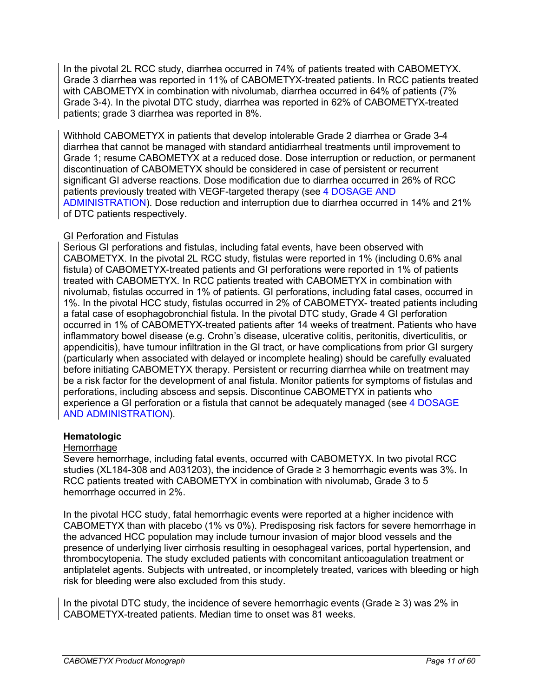In the pivotal 2L RCC study, diarrhea occurred in 74% of patients treated with CABOMETYX. Grade 3 diarrhea was reported in 11% of CABOMETYX-treated patients. In RCC patients treated with CABOMETYX in combination with nivolumab, diarrhea occurred in 64% of patients (7% Grade 3-4). In the pivotal DTC study, diarrhea was reported in 62% of CABOMETYX-treated patients; grade 3 diarrhea was reported in 8%.

Withhold CABOMETYX in patients that develop intolerable Grade 2 diarrhea or Grade 3-4 diarrhea that cannot be managed with standard antidiarrheal treatments until improvement to Grade 1; resume CABOMETYX at a reduced dose. Dose interruption or reduction, or permanent discontinuation of CABOMETYX should be considered in case of persistent or recurrent significant GI adverse reactions. Dose modification due to diarrhea occurred in 26% of RCC patients previously treated with VEGF-targeted therapy (see [4 DOSAGE AND](#page-4-1)  [ADMINISTRATION\)](#page-4-1). Dose reduction and interruption due to diarrhea occurred in 14% and 21% of DTC patients respectively.

### GI Perforation and Fistulas

Serious GI perforations and fistulas, including fatal events, have been observed with CABOMETYX. In the pivotal 2L RCC study, fistulas were reported in 1% (including 0.6% anal fistula) of CABOMETYX-treated patients and GI perforations were reported in 1% of patients treated with CABOMETYX. In RCC patients treated with CABOMETYX in combination with nivolumab, fistulas occurred in 1% of patients. GI perforations, including fatal cases, occurred in 1%. In the pivotal HCC study, fistulas occurred in 2% of CABOMETYX- treated patients including a fatal case of esophagobronchial fistula. In the pivotal DTC study, Grade 4 GI perforation occurred in 1% of CABOMETYX-treated patients after 14 weeks of treatment. Patients who have inflammatory bowel disease (e.g. Crohn's disease, ulcerative colitis, peritonitis, diverticulitis, or appendicitis), have tumour infiltration in the GI tract, or have complications from prior GI surgery (particularly when associated with delayed or incomplete healing) should be carefully evaluated before initiating CABOMETYX therapy. Persistent or recurring diarrhea while on treatment may be a risk factor for the development of anal fistula. Monitor patients for symptoms of fistulas and perforations, including abscess and sepsis. Discontinue CABOMETYX in patients who experience a GI perforation or a fistula that cannot be adequately managed (see [4 DOSAGE](#page-4-1)  [AND ADMINISTRATION\)](#page-4-1).

### <span id="page-10-0"></span>**Hematologic**

### **Hemorrhage**

Severe hemorrhage, including fatal events, occurred with CABOMETYX. In two pivotal RCC studies (XL184-308 and A031203), the incidence of Grade ≥ 3 hemorrhagic events was 3%. In RCC patients treated with CABOMETYX in combination with nivolumab, Grade 3 to 5 hemorrhage occurred in 2%.

In the pivotal HCC study, fatal hemorrhagic events were reported at a higher incidence with CABOMETYX than with placebo (1% vs 0%). Predisposing risk factors for severe hemorrhage in the advanced HCC population may include tumour invasion of major blood vessels and the presence of underlying liver cirrhosis resulting in oesophageal varices, portal hypertension, and thrombocytopenia. The study excluded patients with concomitant anticoagulation treatment or antiplatelet agents. Subjects with untreated, or incompletely treated, varices with bleeding or high risk for bleeding were also excluded from this study.

In the pivotal DTC study, the incidence of severe hemorrhagic events (Grade  $\geq$  3) was 2% in CABOMETYX-treated patients. Median time to onset was 81 weeks.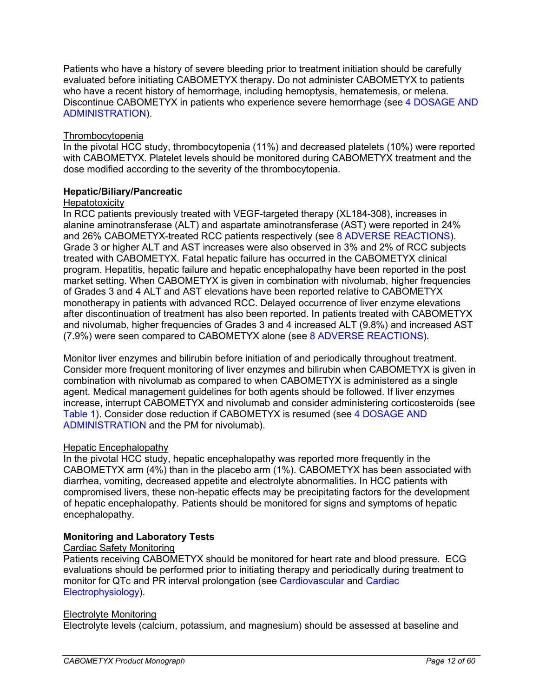Patients who have a history of severe bleeding prior to treatment initiation should be carefully evaluated before initiating CABOMETYX therapy. Do not administer CABOMETYX to patients who have a recent history of hemorrhage, including hemoptysis, hematemesis, or melena. Discontinue CABOMETYX in patients who experience severe hemorrhage (see [4 DOSAGE AND](#page-4-1)  [ADMINISTRATION\)](#page-4-1).

### Thrombocytopenia

In the pivotal HCC study, thrombocytopenia (11%) and decreased platelets (10%) were reported with CABOMETYX. Platelet levels should be monitored during CABOMETYX treatment and the dose modified according to the severity of the thrombocytopenia.

### <span id="page-11-0"></span>**Hepatic/Biliary/Pancreatic**

### **Hepatotoxicity**

In RCC patients previously treated with VEGF-targeted therapy (XL184-308), increases in alanine aminotransferase (ALT) and aspartate aminotransferase (AST) were reported in 24% and 26% CABOMETYX-treated RCC patients respectively (see [8 ADVERSE REACTIONS\)](#page-14-3). Grade 3 or higher ALT and AST increases were also observed in 3% and 2% of RCC subjects treated with CABOMETYX. Fatal hepatic failure has occurred in the CABOMETYX clinical program. Hepatitis, hepatic failure and hepatic encephalopathy have been reported in the post market setting. When CABOMETYX is given in combination with nivolumab, higher frequencies of Grades 3 and 4 ALT and AST elevations have been reported relative to CABOMETYX monotherapy in patients with advanced RCC. Delayed occurrence of liver enzyme elevations after discontinuation of treatment has also been reported. In patients treated with CABOMETYX and nivolumab, higher frequencies of Grades 3 and 4 increased ALT (9.8%) and increased AST (7.9%) were seen compared to CABOMETYX alone (see [8 ADVERSE REACTIONS\)](#page-14-3).

Monitor liver enzymes and bilirubin before initiation of and periodically throughout treatment. Consider more frequent monitoring of liver enzymes and bilirubin when CABOMETYX is given in combination with nivolumab as compared to when CABOMETYX is administered as a single agent. Medical management guidelines for both agents should be followed. If liver enzymes increase, interrupt CABOMETYX and nivolumab and consider administering corticosteroids (see [Table 1\)](#page-5-0). Consider dose reduction if CABOMETYX is resumed (see [4 DOSAGE AND](#page-4-1)  [ADMINISTRATION](#page-4-1) and the PM for nivolumab).

### Hepatic Encephalopathy

In the pivotal HCC study, hepatic encephalopathy was reported more frequently in the CABOMETYX arm (4%) than in the placebo arm (1%). CABOMETYX has been associated with diarrhea, vomiting, decreased appetite and electrolyte abnormalities. In HCC patients with compromised livers, these non-hepatic effects may be precipitating factors for the development of hepatic encephalopathy. Patients should be monitored for signs and symptoms of hepatic encephalopathy.

### <span id="page-11-1"></span>**Monitoring and Laboratory Tests**

### Cardiac Safety Monitoring

Patients receiving CABOMETYX should be monitored for heart rate and blood pressure. ECG evaluations should be performed prior to initiating therapy and periodically during treatment to monitor for QTc and PR interval prolongation (see [Cardiovascular](#page-7-1) and [Cardiac](#page-30-3)  [Electrophysiology\)](#page-30-3).

### Electrolyte Monitoring

Electrolyte levels (calcium, potassium, and magnesium) should be assessed at baseline and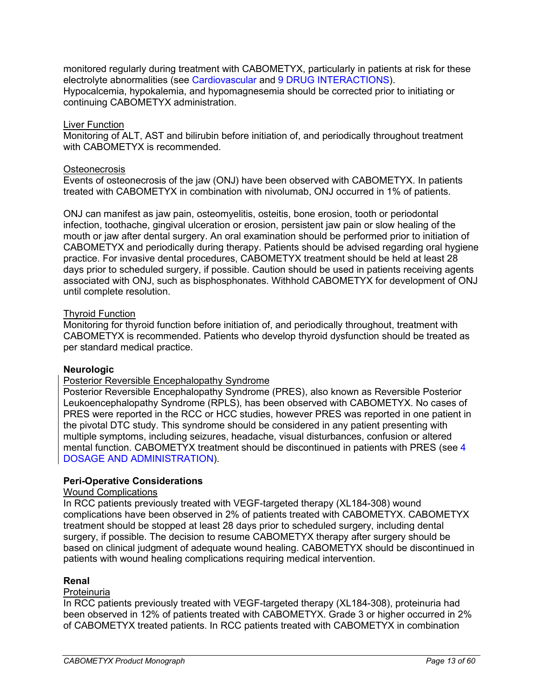monitored regularly during treatment with CABOMETYX, particularly in patients at risk for these electrolyte abnormalities (see [Cardiovascular](#page-7-1) and [9 DRUG INTERACTIONS\)](#page-28-1). Hypocalcemia, hypokalemia, and hypomagnesemia should be corrected prior to initiating or continuing CABOMETYX administration.

#### Liver Function

Monitoring of ALT, AST and bilirubin before initiation of, and periodically throughout treatment with CABOMETYX is recommended.

#### **Osteonecrosis**

Events of osteonecrosis of the jaw (ONJ) have been observed with CABOMETYX. In patients treated with CABOMETYX in combination with nivolumab, ONJ occurred in 1% of patients.

ONJ can manifest as jaw pain, osteomyelitis, osteitis, bone erosion, tooth or periodontal infection, toothache, gingival ulceration or erosion, persistent jaw pain or slow healing of the mouth or jaw after dental surgery. An oral examination should be performed prior to initiation of CABOMETYX and periodically during therapy. Patients should be advised regarding oral hygiene practice. For invasive dental procedures, CABOMETYX treatment should be held at least 28 days prior to scheduled surgery, if possible. Caution should be used in patients receiving agents associated with ONJ, such as bisphosphonates. Withhold CABOMETYX for development of ONJ until complete resolution.

#### Thyroid Function

Monitoring for thyroid function before initiation of, and periodically throughout, treatment with CABOMETYX is recommended. Patients who develop thyroid dysfunction should be treated as per standard medical practice.

#### <span id="page-12-1"></span>**Neurologic**

### Posterior Reversible Encephalopathy Syndrome

Posterior Reversible Encephalopathy Syndrome (PRES), also known as Reversible Posterior Leukoencephalopathy Syndrome (RPLS), has been observed with CABOMETYX. No cases of PRES were reported in the RCC or HCC studies, however PRES was reported in one patient in the pivotal DTC study. This syndrome should be considered in any patient presenting with multiple symptoms, including seizures, headache, visual disturbances, confusion or altered mental function. CABOMETYX treatment should be discontinued in patients with PRES (see [4](#page-4-1)  [DOSAGE AND ADMINISTRATION\)](#page-4-1).

#### <span id="page-12-0"></span>**Peri-Operative Considerations**

### Wound Complications

In RCC patients previously treated with VEGF-targeted therapy (XL184-308) wound complications have been observed in 2% of patients treated with CABOMETYX. CABOMETYX treatment should be stopped at least 28 days prior to scheduled surgery, including dental surgery, if possible. The decision to resume CABOMETYX therapy after surgery should be based on clinical judgment of adequate wound healing. CABOMETYX should be discontinued in patients with wound healing complications requiring medical intervention.

#### **Renal**

#### Proteinuria

In RCC patients previously treated with VEGF-targeted therapy (XL184-308), proteinuria had been observed in 12% of patients treated with CABOMETYX. Grade 3 or higher occurred in 2% of CABOMETYX treated patients. In RCC patients treated with CABOMETYX in combination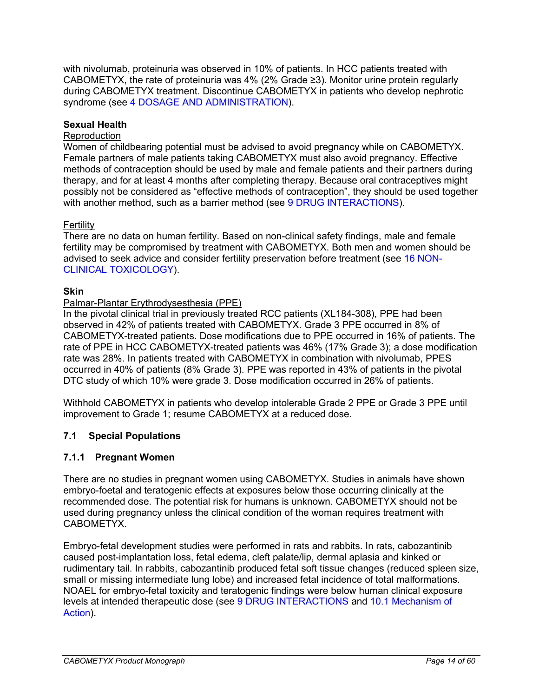with nivolumab, proteinuria was observed in 10% of patients. In HCC patients treated with CABOMETYX, the rate of proteinuria was 4% (2% Grade ≥3). Monitor urine protein regularly during CABOMETYX treatment. Discontinue CABOMETYX in patients who develop nephrotic syndrome (see [4 DOSAGE AND ADMINISTRATION\)](#page-4-1).

### **Sexual Health**

### **Reproduction**

Women of childbearing potential must be advised to avoid pregnancy while on CABOMETYX. Female partners of male patients taking CABOMETYX must also avoid pregnancy. Effective methods of contraception should be used by male and female patients and their partners during therapy, and for at least 4 months after completing therapy. Because oral contraceptives might possibly not be considered as "effective methods of contraception", they should be used together with another method, such as a barrier method (see [9 DRUG INTERACTIONS\)](#page-28-1).

### **Fertility**

There are no data on human fertility. Based on non-clinical safety findings, male and female fertility may be compromised by treatment with CABOMETYX. Both men and women should be advised to seek advice and consider fertility preservation before treatment (see [16 NON-](#page-49-0)[CLINICAL TOXICOLOGY\)](#page-49-0).

### **Skin**

### Palmar-Plantar Erythrodysesthesia (PPE)

In the pivotal clinical trial in previously treated RCC patients (XL184-308), PPE had been observed in 42% of patients treated with CABOMETYX. Grade 3 PPE occurred in 8% of CABOMETYX-treated patients. Dose modifications due to PPE occurred in 16% of patients. The rate of PPE in HCC CABOMETYX-treated patients was 46% (17% Grade 3); a dose modification rate was 28%. In patients treated with CABOMETYX in combination with nivolumab, PPES occurred in 40% of patients (8% Grade 3). PPE was reported in 43% of patients in the pivotal DTC study of which 10% were grade 3. Dose modification occurred in 26% of patients.

Withhold CABOMETYX in patients who develop intolerable Grade 2 PPE or Grade 3 PPE until improvement to Grade 1; resume CABOMETYX at a reduced dose.

## <span id="page-13-0"></span>**7.1 Special Populations**

### <span id="page-13-1"></span>**7.1.1 Pregnant Women**

There are no studies in pregnant women using CABOMETYX. Studies in animals have shown embryo-foetal and teratogenic effects at exposures below those occurring clinically at the recommended dose. The potential risk for humans is unknown. CABOMETYX should not be used during pregnancy unless the clinical condition of the woman requires treatment with CABOMETYX.

Embryo-fetal development studies were performed in rats and rabbits. In rats, cabozantinib caused post-implantation loss, fetal edema, cleft palate/lip, dermal aplasia and kinked or rudimentary tail. In rabbits, cabozantinib produced fetal soft tissue changes (reduced spleen size, small or missing intermediate lung lobe) and increased fetal incidence of total malformations. NOAEL for embryo-fetal toxicity and teratogenic findings were below human clinical exposure levels at intended therapeutic dose (see [9 DRUG INTERACTIONS](#page-28-1) and 10.1 [Mechanism of](#page-30-1)  [Action\)](#page-30-1).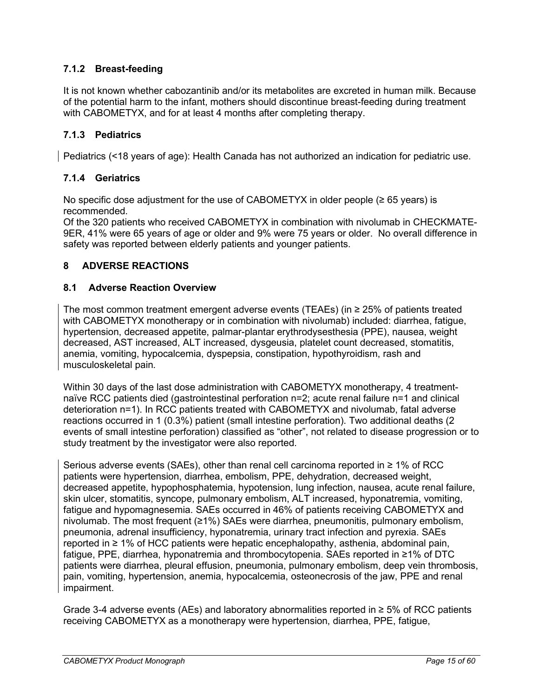# <span id="page-14-0"></span>**7.1.2 Breast-feeding**

It is not known whether cabozantinib and/or its metabolites are excreted in human milk. Because of the potential harm to the infant, mothers should discontinue breast-feeding during treatment with CABOMETYX, and for at least 4 months after completing therapy.

## <span id="page-14-1"></span>**7.1.3 Pediatrics**

<span id="page-14-2"></span>Pediatrics (<18 years of age): Health Canada has not authorized an indication for pediatric use.

## **7.1.4 Geriatrics**

No specific dose adjustment for the use of CABOMETYX in older people  $(\geq 65$  years) is recommended.

Of the 320 patients who received CABOMETYX in combination with nivolumab in CHECKMATE-9ER, 41% were 65 years of age or older and 9% were 75 years or older. No overall difference in safety was reported between elderly patients and younger patients.

## <span id="page-14-3"></span>**8 ADVERSE REACTIONS**

### <span id="page-14-4"></span>**8.1 Adverse Reaction Overview**

The most common treatment emergent adverse events (TEAEs) (in ≥ 25% of patients treated with CABOMETYX monotherapy or in combination with nivolumab) included: diarrhea, fatigue, hypertension, decreased appetite, palmar-plantar erythrodysesthesia (PPE), nausea, weight decreased, AST increased, ALT increased, dysgeusia, platelet count decreased, stomatitis, anemia, vomiting, hypocalcemia, dyspepsia, constipation, hypothyroidism, rash and musculoskeletal pain*.*

Within 30 days of the last dose administration with CABOMETYX monotherapy, 4 treatmentnaïve RCC patients died (gastrointestinal perforation n=2; acute renal failure n=1 and clinical deterioration n=1). In RCC patients treated with CABOMETYX and nivolumab, fatal adverse reactions occurred in 1 (0.3%) patient (small intestine perforation). Two additional deaths (2 events of small intestine perforation) classified as "other", not related to disease progression or to study treatment by the investigator were also reported.

Serious adverse events (SAEs), other than renal cell carcinoma reported in  $\geq 1\%$  of RCC patients were hypertension, diarrhea, embolism, PPE, dehydration, decreased weight, decreased appetite, hypophosphatemia, hypotension, lung infection, nausea, acute renal failure, skin ulcer, stomatitis, syncope, pulmonary embolism, ALT increased, hyponatremia, vomiting, fatigue and hypomagnesemia. SAEs occurred in 46% of patients receiving CABOMETYX and nivolumab. The most frequent (≥1%) SAEs were diarrhea, pneumonitis, pulmonary embolism, pneumonia, adrenal insufficiency, hyponatremia, urinary tract infection and pyrexia. SAEs reported in ≥ 1% of HCC patients were hepatic encephalopathy, asthenia, abdominal pain, fatigue, PPE, diarrhea, hyponatremia and thrombocytopenia. SAEs reported in ≥1% of DTC patients were diarrhea, pleural effusion, pneumonia, pulmonary embolism, deep vein thrombosis, pain, vomiting, hypertension, anemia, hypocalcemia, osteonecrosis of the jaw, PPE and renal impairment.

Grade 3-4 adverse events (AEs) and laboratory abnormalities reported in  $\geq$  5% of RCC patients receiving CABOMETYX as a monotherapy were hypertension, diarrhea, PPE, fatigue,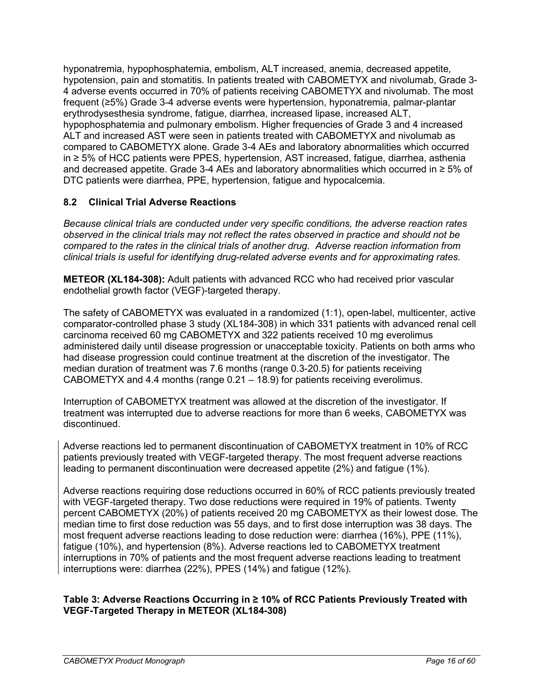hyponatremia, hypophosphatemia, embolism, ALT increased, anemia, decreased appetite, hypotension, pain and stomatitis. In patients treated with CABOMETYX and nivolumab, Grade 3- 4 adverse events occurred in 70% of patients receiving CABOMETYX and nivolumab. The most frequent (≥5%) Grade 3-4 adverse events were hypertension, hyponatremia, palmar-plantar erythrodysesthesia syndrome, fatigue, diarrhea, increased lipase, increased ALT, hypophosphatemia and pulmonary embolism. Higher frequencies of Grade 3 and 4 increased ALT and increased AST were seen in patients treated with CABOMETYX and nivolumab as compared to CABOMETYX alone. Grade 3-4 AEs and laboratory abnormalities which occurred in ≥ 5% of HCC patients were PPES, hypertension, AST increased, fatigue, diarrhea, asthenia and decreased appetite. Grade 3-4 AEs and laboratory abnormalities which occurred in ≥ 5% of DTC patients were diarrhea, PPE, hypertension, fatigue and hypocalcemia.

# <span id="page-15-0"></span>**8.2 Clinical Trial Adverse Reactions**

*Because clinical trials are conducted under very specific conditions, the adverse reaction rates observed in the clinical trials may not reflect the rates observed in practice and should not be compared to the rates in the clinical trials of another drug. Adverse reaction information from clinical trials is useful for identifying drug-related adverse events and for approximating rates.*

**METEOR (XL184-308):** Adult patients with advanced RCC who had received prior vascular endothelial growth factor (VEGF)-targeted therapy.

The safety of CABOMETYX was evaluated in a randomized (1:1), open-label, multicenter, active comparator-controlled phase 3 study (XL184-308) in which 331 patients with advanced renal cell carcinoma received 60 mg CABOMETYX and 322 patients received 10 mg everolimus administered daily until disease progression or unacceptable toxicity. Patients on both arms who had disease progression could continue treatment at the discretion of the investigator. The median duration of treatment was 7.6 months (range 0.3-20.5) for patients receiving CABOMETYX and 4.4 months (range 0.21 – 18.9) for patients receiving everolimus.

Interruption of CABOMETYX treatment was allowed at the discretion of the investigator. If treatment was interrupted due to adverse reactions for more than 6 weeks, CABOMETYX was discontinued.

Adverse reactions led to permanent discontinuation of CABOMETYX treatment in 10% of RCC patients previously treated with VEGF-targeted therapy. The most frequent adverse reactions leading to permanent discontinuation were decreased appetite (2%) and fatigue (1%).

Adverse reactions requiring dose reductions occurred in 60% of RCC patients previously treated with VEGF-targeted therapy. Two dose reductions were required in 19% of patients. Twenty percent CABOMETYX (20%) of patients received 20 mg CABOMETYX as their lowest dose. The median time to first dose reduction was 55 days, and to first dose interruption was 38 days. The most frequent adverse reactions leading to dose reduction were: diarrhea (16%), PPE (11%), fatigue (10%), and hypertension (8%). Adverse reactions led to CABOMETYX treatment interruptions in 70% of patients and the most frequent adverse reactions leading to treatment interruptions were: diarrhea (22%), PPES (14%) and fatigue (12%).

### **Table 3: Adverse Reactions Occurring in ≥ 10% of RCC Patients Previously Treated with VEGF-Targeted Therapy in METEOR (XL184-308)**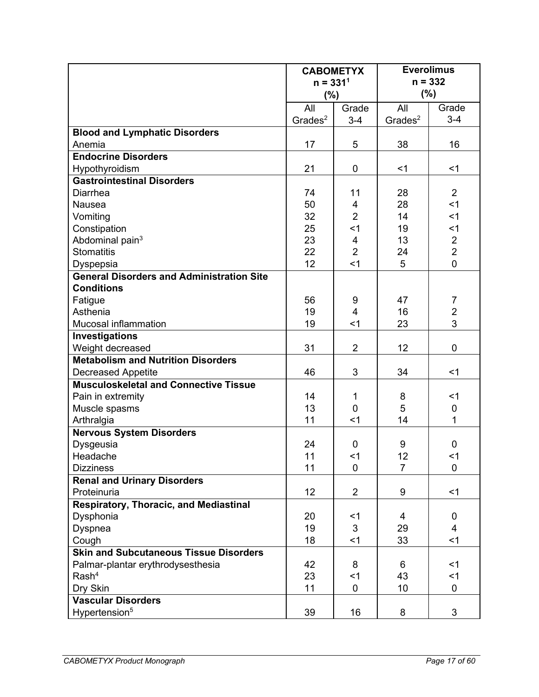|                                                  | <b>CABOMETYX</b>    |                | <b>Everolimus</b>   |                |
|--------------------------------------------------|---------------------|----------------|---------------------|----------------|
|                                                  | $n = 3311$          |                | $n = 332$           |                |
|                                                  | (%)                 |                | (%)                 |                |
|                                                  | All<br>Grade        |                | All                 | Grade          |
|                                                  | Grades <sup>2</sup> | $3 - 4$        | Grades <sup>2</sup> | $3 - 4$        |
| <b>Blood and Lymphatic Disorders</b>             |                     |                |                     |                |
| Anemia                                           | 17                  | 5              | 38                  | 16             |
| <b>Endocrine Disorders</b>                       |                     |                |                     |                |
| Hypothyroidism                                   | 21                  | 0              | $<$ 1               | $<$ 1          |
| <b>Gastrointestinal Disorders</b>                |                     |                |                     |                |
| <b>Diarrhea</b>                                  | 74                  | 11             | 28                  | $\overline{2}$ |
| Nausea                                           | 50                  | $\overline{4}$ | 28                  | $<$ 1          |
| Vomiting                                         | 32                  | $\overline{2}$ | 14                  | $<$ 1          |
| Constipation                                     | 25                  | $1$            | 19                  | $<$ 1          |
| Abdominal pain <sup>3</sup>                      | 23                  | 4              | 13                  | $\mathbf 2$    |
| <b>Stomatitis</b>                                | 22                  | $\overline{2}$ | 24                  | $\overline{2}$ |
| Dyspepsia                                        | 12                  | $<$ 1          | 5                   | $\overline{0}$ |
| <b>General Disorders and Administration Site</b> |                     |                |                     |                |
| <b>Conditions</b>                                |                     |                |                     |                |
| Fatigue                                          | 56                  | 9              | 47                  | 7              |
| Asthenia                                         | 19                  | $\overline{4}$ | 16                  | $\overline{2}$ |
| Mucosal inflammation                             | 19                  | $<$ 1          | 23                  | $\overline{3}$ |
| Investigations                                   |                     |                |                     |                |
| Weight decreased                                 | 31                  | $\overline{2}$ | 12                  | $\mathbf 0$    |
| <b>Metabolism and Nutrition Disorders</b>        |                     |                |                     |                |
| <b>Decreased Appetite</b>                        | 46                  | 3              | 34                  | $<$ 1          |
| <b>Musculoskeletal and Connective Tissue</b>     |                     |                |                     |                |
| Pain in extremity                                | 14                  | 1              | 8                   | <1             |
| Muscle spasms                                    | 13                  | 0              | 5                   | $\pmb{0}$      |
| Arthralgia                                       | 11                  | $<$ 1          | 14                  | 1              |
| <b>Nervous System Disorders</b>                  |                     |                |                     |                |
| Dysgeusia                                        | 24                  | 0              | 9                   | $\mathbf 0$    |
| Headache                                         | 11                  | $<$ 1          | 12                  | $<$ 1          |
| <b>Dizziness</b>                                 | 11                  | 0              | $\overline{7}$      | $\mathbf 0$    |
| <b>Renal and Urinary Disorders</b>               |                     |                |                     |                |
| Proteinuria                                      | 12                  | $\overline{2}$ | 9                   | $<$ 1          |
| Respiratory, Thoracic, and Mediastinal           |                     |                |                     |                |
| Dysphonia                                        | 20                  | $<$ 1          | 4                   | $\mathbf 0$    |
| Dyspnea                                          | 19                  | 3              | 29                  | $\overline{4}$ |
| Cough                                            | 18                  | < 1            | 33                  | $<$ 1          |
| <b>Skin and Subcutaneous Tissue Disorders</b>    |                     |                |                     |                |
| Palmar-plantar erythrodysesthesia                | 42                  | 8              | 6                   | $<$ 1          |
| Rash <sup>4</sup>                                | 23                  | < 1            | 43                  | $<$ 1          |
| Dry Skin                                         | 11                  | 0              | 10                  | $\mathbf 0$    |
| <b>Vascular Disorders</b>                        |                     |                |                     |                |
| Hypertension <sup>5</sup>                        | 39                  | 16             | 8                   | 3              |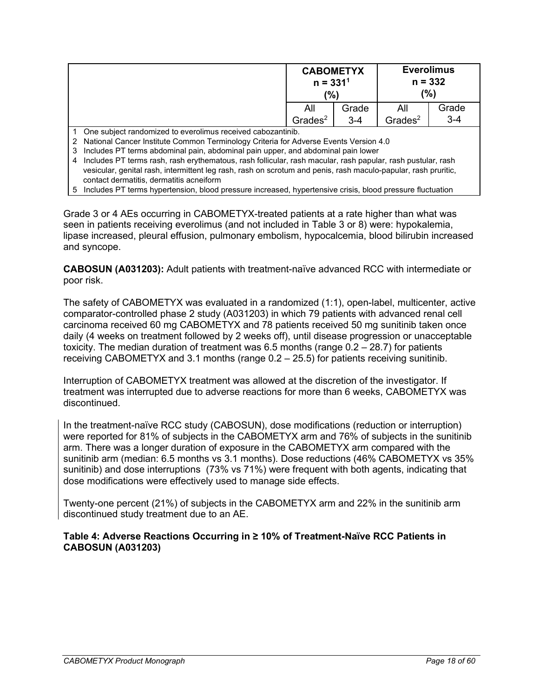| <b>CABOMETYX</b><br>$n = 3311$<br>$\frac{10}{6}$ |         | <b>Everolimus</b><br>$n = 332$<br>$(\%)$ |         |
|--------------------------------------------------|---------|------------------------------------------|---------|
| All                                              | Grade   | All                                      | Grade   |
| Grades <sup>2</sup>                              | $3 - 4$ | Grades <sup>2</sup>                      | $3 - 4$ |

1 One subject randomized to everolimus received cabozantinib.

2 National Cancer Institute Common Terminology Criteria for Adverse Events Version 4.0

3 Includes PT terms abdominal pain, abdominal pain upper, and abdominal pain lower

- 4 Includes PT terms rash, rash erythematous, rash follicular, rash macular, rash papular, rash pustular, rash vesicular, genital rash, intermittent leg rash, rash on scrotum and penis, rash maculo-papular, rash pruritic, contact dermatitis, dermatitis acneiform
- 5 Includes PT terms hypertension, blood pressure increased, hypertensive crisis, blood pressure fluctuation

Grade 3 or 4 AEs occurring in CABOMETYX-treated patients at a rate higher than what was seen in patients receiving everolimus (and not included in Table 3 or 8) were: hypokalemia, lipase increased, pleural effusion, pulmonary embolism, hypocalcemia, blood bilirubin increased and syncope.

**CABOSUN (A031203):** Adult patients with treatment-naïve advanced RCC with intermediate or poor risk.

The safety of CABOMETYX was evaluated in a randomized (1:1), open-label, multicenter, active comparator-controlled phase 2 study (A031203) in which 79 patients with advanced renal cell carcinoma received 60 mg CABOMETYX and 78 patients received 50 mg sunitinib taken once daily (4 weeks on treatment followed by 2 weeks off), until disease progression or unacceptable toxicity. The median duration of treatment was 6.5 months (range 0.2 – 28.7) for patients receiving CABOMETYX and 3.1 months (range 0.2 – 25.5) for patients receiving sunitinib.

Interruption of CABOMETYX treatment was allowed at the discretion of the investigator. If treatment was interrupted due to adverse reactions for more than 6 weeks, CABOMETYX was discontinued.

In the treatment-naïve RCC study (CABOSUN), dose modifications (reduction or interruption) were reported for 81% of subjects in the CABOMETYX arm and 76% of subjects in the sunitinib arm. There was a longer duration of exposure in the CABOMETYX arm compared with the sunitinib arm (median: 6.5 months vs 3.1 months). Dose reductions (46% CABOMETYX vs 35% sunitinib) and dose interruptions (73% vs 71%) were frequent with both agents, indicating that dose modifications were effectively used to manage side effects.

Twenty-one percent (21%) of subjects in the CABOMETYX arm and 22% in the sunitinib arm discontinued study treatment due to an AE.

### **Table 4: Adverse Reactions Occurring in ≥ 10% of Treatment-Naïve RCC Patients in CABOSUN (A031203)**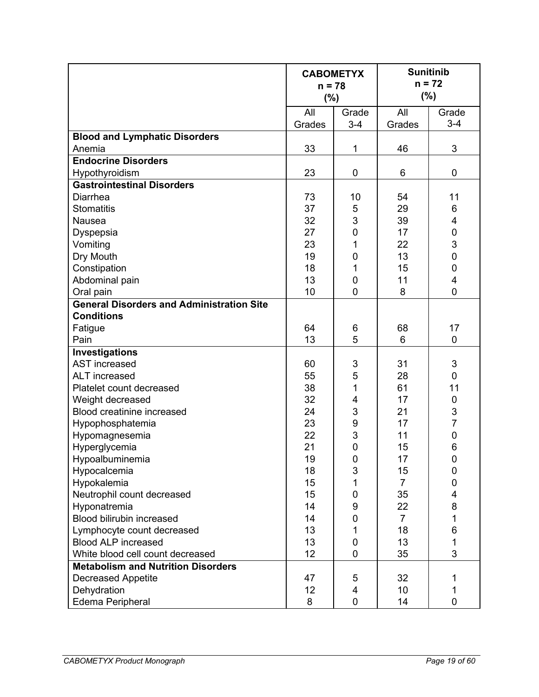|                                                  | <b>CABOMETYX</b><br>$n = 78$<br>(%) |                  | <b>Sunitinib</b><br>$n = 72$<br>$(\% )$ |                         |
|--------------------------------------------------|-------------------------------------|------------------|-----------------------------------------|-------------------------|
|                                                  | All<br>Grades                       | Grade<br>$3 - 4$ | All<br>Grades                           | Grade<br>$3 - 4$        |
| <b>Blood and Lymphatic Disorders</b>             |                                     |                  |                                         |                         |
| Anemia                                           | 33                                  | 1                | 46                                      | 3                       |
| <b>Endocrine Disorders</b>                       |                                     |                  |                                         |                         |
| Hypothyroidism                                   | 23                                  | $\mathbf 0$      | 6                                       | $\mathbf 0$             |
| <b>Gastrointestinal Disorders</b>                |                                     |                  |                                         |                         |
| <b>Diarrhea</b>                                  | 73                                  | 10               | 54                                      | 11                      |
| <b>Stomatitis</b>                                | 37                                  | 5                | 29                                      | $\,6$                   |
| Nausea                                           | 32                                  | 3                | 39                                      | 4                       |
| Dyspepsia                                        | 27                                  | $\mathbf 0$      | 17                                      | $\mathbf 0$             |
| Vomiting                                         | 23                                  | 1                | 22                                      | 3                       |
| Dry Mouth                                        | 19                                  | $\mathbf 0$      | 13                                      | $\overline{0}$          |
| Constipation                                     | 18                                  | 1                | 15                                      | $\mathbf 0$             |
| Abdominal pain                                   | 13                                  | $\mathbf 0$      | 11                                      | $\overline{\mathbf{4}}$ |
| Oral pain                                        | 10                                  | $\overline{0}$   | 8                                       | $\mathbf 0$             |
| <b>General Disorders and Administration Site</b> |                                     |                  |                                         |                         |
| <b>Conditions</b>                                |                                     |                  |                                         |                         |
| Fatigue                                          | 64                                  | 6                | 68                                      | 17                      |
| Pain                                             | 13                                  | 5                | 6                                       | $\overline{0}$          |
| Investigations                                   |                                     |                  |                                         |                         |
| <b>AST</b> increased                             | 60                                  | 3                | 31                                      | $\mathbf{3}$            |
| <b>ALT</b> increased                             | 55                                  | 5                | 28                                      | $\mathbf 0$             |
| Platelet count decreased                         | 38                                  | 1                | 61                                      | 11                      |
| Weight decreased                                 | 32                                  | 4                | 17                                      | $\mathbf 0$             |
| Blood creatinine increased                       | 24                                  | 3                | 21                                      | $rac{3}{7}$             |
| Hypophosphatemia                                 | 23                                  | 9                | 17                                      |                         |
| Hypomagnesemia                                   | 22                                  | 3                | 11                                      | $\mathbf 0$             |
| Hyperglycemia                                    | 21                                  | $\mathbf 0$      | 15                                      | 6                       |
| Hypoalbuminemia                                  | 19                                  | $\pmb{0}$        | 17                                      | 0                       |
| Hypocalcemia                                     | 18                                  | 3                | 15                                      | $\mathbf 0$             |
| Hypokalemia                                      | 15                                  | 1                | $\overline{7}$                          | $\boldsymbol{0}$        |
| Neutrophil count decreased                       | 15                                  | $\pmb{0}$        | 35                                      | 4                       |
| Hyponatremia                                     | 14                                  | 9                | 22                                      | 8                       |
| Blood bilirubin increased                        | 14                                  | $\overline{0}$   | $\overline{7}$                          | 1                       |
| Lymphocyte count decreased                       | 13                                  | 1                | 18                                      | 6                       |
| <b>Blood ALP increased</b>                       | 13                                  | $\mathbf 0$      | 13                                      | 1                       |
| White blood cell count decreased                 | 12                                  | $\mathbf 0$      | 35                                      | 3                       |
| <b>Metabolism and Nutrition Disorders</b>        |                                     |                  |                                         |                         |
| <b>Decreased Appetite</b>                        | 47                                  | 5                | 32                                      | 1                       |
| Dehydration                                      | 12                                  | 4                | 10                                      | 1                       |
| Edema Peripheral                                 | 8                                   | 0                | 14                                      | $\mathbf 0$             |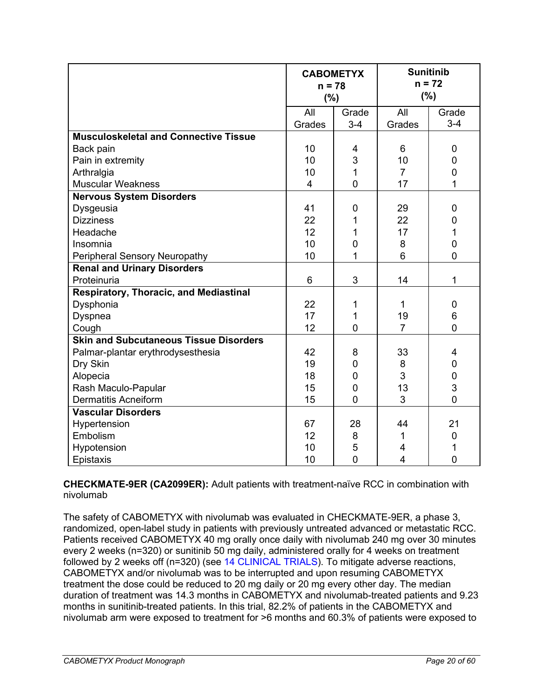|                                               | <b>CABOMETYX</b><br>$n = 78$<br>(%) |                | <b>Sunitinib</b><br>$n = 72$<br>(%) |                |
|-----------------------------------------------|-------------------------------------|----------------|-------------------------------------|----------------|
|                                               | All                                 | Grade          | All                                 | Grade          |
|                                               | Grades                              | $3-4$          | Grades                              | $3 - 4$        |
| <b>Musculoskeletal and Connective Tissue</b>  |                                     |                |                                     |                |
| Back pain                                     | 10                                  | 4              | 6                                   | 0              |
| Pain in extremity                             | 10                                  | 3              | 10                                  | 0              |
| Arthralgia                                    | 10                                  | 1              | $\overline{7}$                      | $\mathbf 0$    |
| <b>Muscular Weakness</b>                      | $\overline{4}$                      | $\overline{0}$ | 17                                  | 1              |
| <b>Nervous System Disorders</b>               |                                     |                |                                     |                |
| Dysgeusia                                     | 41                                  | $\overline{0}$ | 29                                  | 0              |
| <b>Dizziness</b>                              | 22                                  | 1              | 22                                  | 0              |
| Headache                                      | 12                                  | 1              | 17                                  | 1              |
| Insomnia                                      | 10                                  | 0              | 8                                   | $\overline{0}$ |
| Peripheral Sensory Neuropathy                 | 10                                  | 1              | 6                                   | 0              |
| <b>Renal and Urinary Disorders</b>            |                                     |                |                                     |                |
| Proteinuria                                   | 6                                   | 3              | 14                                  | 1              |
| Respiratory, Thoracic, and Mediastinal        |                                     |                |                                     |                |
| Dysphonia                                     | 22                                  | 1              | 1                                   | 0              |
| Dyspnea                                       | 17                                  | 1              | 19                                  | 6              |
| Cough                                         | 12                                  | $\overline{0}$ | $\overline{7}$                      | $\overline{0}$ |
| <b>Skin and Subcutaneous Tissue Disorders</b> |                                     |                |                                     |                |
| Palmar-plantar erythrodysesthesia             | 42                                  | 8              | 33                                  | 4              |
| Dry Skin                                      | 19                                  | 0              | 8                                   | 0              |
| Alopecia                                      | 18                                  | $\overline{0}$ | 3                                   | $\overline{0}$ |
| Rash Maculo-Papular                           | 15                                  | $\overline{0}$ | 13                                  | 3              |
| <b>Dermatitis Acneiform</b>                   | 15                                  | $\overline{0}$ | 3                                   | $\overline{0}$ |
| Vascular Disorders                            |                                     |                |                                     |                |
| Hypertension                                  | 67                                  | 28             | 44                                  | 21             |
| Embolism                                      | 12                                  | 8              | 1                                   | 0              |
| Hypotension                                   | 10                                  | 5              | 4                                   | 1              |
| Epistaxis                                     | 10                                  | $\overline{0}$ | 4                                   | $\overline{0}$ |

**CHECKMATE-9ER (CA2099ER):** Adult patients with treatment-naïve RCC in combination with nivolumab

The safety of CABOMETYX with nivolumab was evaluated in CHECKMATE-9ER, a phase 3, randomized, open-label study in patients with previously untreated advanced or metastatic RCC. Patients received CABOMETYX 40 mg orally once daily with nivolumab 240 mg over 30 minutes every 2 weeks (n=320) or sunitinib 50 mg daily, administered orally for 4 weeks on treatment followed by 2 weeks off (n=320) (see [14 CLINICAL TRIALS\)](#page-34-2). To mitigate adverse reactions, CABOMETYX and/or nivolumab was to be interrupted and upon resuming CABOMETYX treatment the dose could be reduced to 20 mg daily or 20 mg every other day. The median duration of treatment was 14.3 months in CABOMETYX and nivolumab-treated patients and 9.23 months in sunitinib-treated patients. In this trial, 82.2% of patients in the CABOMETYX and nivolumab arm were exposed to treatment for >6 months and 60.3% of patients were exposed to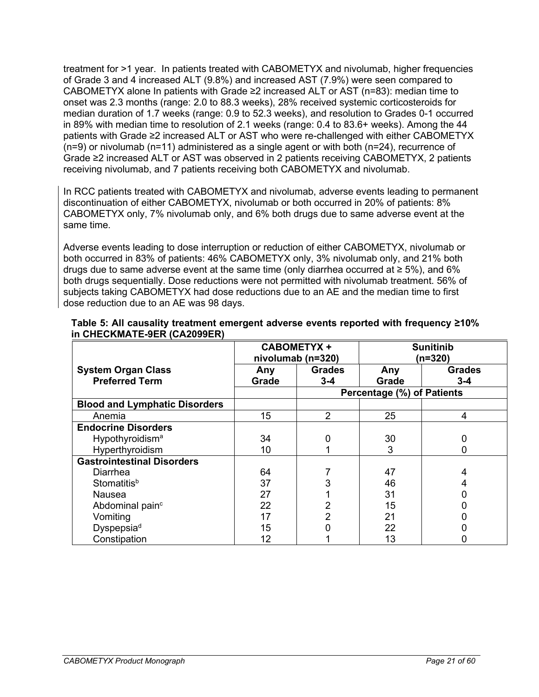treatment for >1 year. In patients treated with CABOMETYX and nivolumab, higher frequencies of Grade 3 and 4 increased ALT (9.8%) and increased AST (7.9%) were seen compared to CABOMETYX alone In patients with Grade ≥2 increased ALT or AST ( $n=83$ ): median time to onset was 2.3 months (range: 2.0 to 88.3 weeks), 28% received systemic corticosteroids for median duration of 1.7 weeks (range: 0.9 to 52.3 weeks), and resolution to Grades 0-1 occurred in 89% with median time to resolution of 2.1 weeks (range: 0.4 to 83.6+ weeks). Among the 44 patients with Grade ≥2 increased ALT or AST who were re-challenged with either CABOMETYX  $(n=9)$  or nivolumab  $(n=11)$  administered as a single agent or with both  $(n=24)$ , recurrence of Grade ≥2 increased ALT or AST was observed in 2 patients receiving CABOMETYX, 2 patients receiving nivolumab, and 7 patients receiving both CABOMETYX and nivolumab.

In RCC patients treated with CABOMETYX and nivolumab, adverse events leading to permanent discontinuation of either CABOMETYX, nivolumab or both occurred in 20% of patients: 8% CABOMETYX only, 7% nivolumab only, and 6% both drugs due to same adverse event at the same time.

Adverse events leading to dose interruption or reduction of either CABOMETYX, nivolumab or both occurred in 83% of patients: 46% CABOMETYX only, 3% nivolumab only, and 21% both drugs due to same adverse event at the same time (only diarrhea occurred at ≥ 5%), and 6% both drugs sequentially. Dose reductions were not permitted with nivolumab treatment. 56% of subjects taking CABOMETYX had dose reductions due to an AE and the median time to first dose reduction due to an AE was 98 days.

|                                      | <b>CABOMETYX +</b><br>nivolumab (n=320) |               | <b>Sunitinib</b><br>(n=320) |               |
|--------------------------------------|-----------------------------------------|---------------|-----------------------------|---------------|
| <b>System Organ Class</b>            | Any                                     | <b>Grades</b> | Any                         | <b>Grades</b> |
| <b>Preferred Term</b>                | Grade                                   | $3 - 4$       | Grade                       | $3 - 4$       |
|                                      |                                         |               | Percentage (%) of Patients  |               |
| <b>Blood and Lymphatic Disorders</b> |                                         |               |                             |               |
| Anemia                               | 15                                      | 2             | 25                          | 4             |
| <b>Endocrine Disorders</b>           |                                         |               |                             |               |
| Hypothyroidism <sup>a</sup>          | 34                                      | 0             | 30                          |               |
| Hyperthyroidism                      | 10                                      |               | 3                           |               |
| <b>Gastrointestinal Disorders</b>    |                                         |               |                             |               |
| Diarrhea                             | 64                                      |               | 47                          |               |
| Stomatitis <sup>b</sup>              | 37                                      | 3             | 46                          |               |
| <b>Nausea</b>                        | 27                                      |               | 31                          |               |
| Abdominal pain <sup>c</sup>          | 22                                      | 2             | 15                          |               |
| Vomiting                             | 17                                      | 2             | 21                          |               |
| Dyspepsia <sup>d</sup>               | 15                                      | ი             | 22                          |               |
| Constipation                         | 12                                      |               | 13                          |               |

#### **Table 5: All causality treatment emergent adverse events reported with frequency ≥10% in CHECKMATE-9ER (CA2099ER)**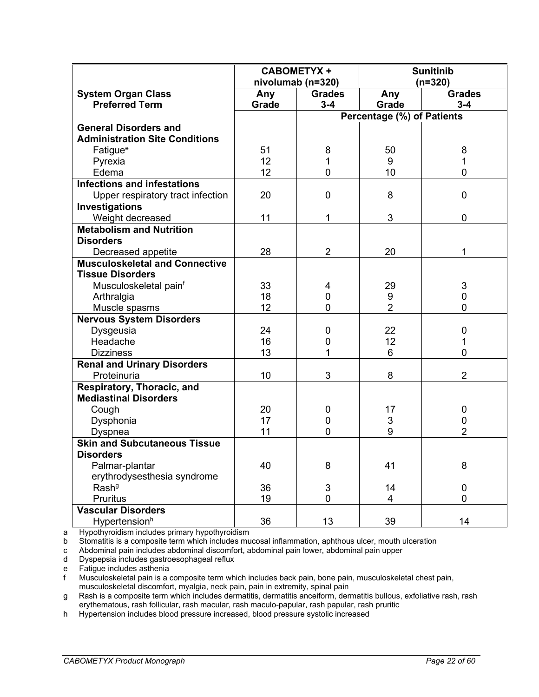|                                       | <b>CABOMETYX +</b><br>nivolumab (n=320) |                | <b>Sunitinib</b><br>$(n=320)$ |                |  |
|---------------------------------------|-----------------------------------------|----------------|-------------------------------|----------------|--|
| <b>System Organ Class</b>             | Any                                     | <b>Grades</b>  | Any                           | <b>Grades</b>  |  |
| <b>Preferred Term</b>                 | Grade                                   | $3 - 4$        | Grade                         | $3 - 4$        |  |
|                                       |                                         |                | Percentage (%) of Patients    |                |  |
| <b>General Disorders and</b>          |                                         |                |                               |                |  |
| <b>Administration Site Conditions</b> |                                         |                |                               |                |  |
| Fatigue <sup>e</sup>                  | 51                                      | 8              | 50                            | 8              |  |
| Pyrexia                               | 12                                      | 1              | 9                             | 1              |  |
| Edema                                 | 12                                      | 0              | 10                            | 0              |  |
| <b>Infections and infestations</b>    |                                         |                |                               |                |  |
| Upper respiratory tract infection     | 20                                      | $\mathbf 0$    | 8                             | 0              |  |
| Investigations                        |                                         |                |                               |                |  |
| Weight decreased                      | 11                                      | 1              | 3                             | 0              |  |
| <b>Metabolism and Nutrition</b>       |                                         |                |                               |                |  |
| <b>Disorders</b>                      |                                         |                |                               |                |  |
| Decreased appetite                    | 28                                      | $\overline{2}$ | 20                            | 1              |  |
| <b>Musculoskeletal and Connective</b> |                                         |                |                               |                |  |
| <b>Tissue Disorders</b>               |                                         |                |                               |                |  |
| Musculoskeletal pain <sup>f</sup>     | 33                                      | 4              | 29                            | 3              |  |
| Arthralgia                            | 18                                      | $\mathbf 0$    | 9                             | 0              |  |
| Muscle spasms                         | 12                                      | $\mathbf{0}$   | $\overline{2}$                | 0              |  |
| <b>Nervous System Disorders</b>       |                                         |                |                               |                |  |
| Dysgeusia                             | 24                                      | 0              | 22                            | 0              |  |
| Headache                              | 16                                      | 0              | 12                            | 1              |  |
| <b>Dizziness</b>                      | 13                                      | 1              | 6                             | 0              |  |
| <b>Renal and Urinary Disorders</b>    |                                         |                |                               |                |  |
| Proteinuria                           | 10                                      | 3              | 8                             | $\overline{2}$ |  |
| Respiratory, Thoracic, and            |                                         |                |                               |                |  |
| <b>Mediastinal Disorders</b>          |                                         |                |                               |                |  |
| Cough                                 | 20                                      | 0              | 17                            | 0              |  |
| Dysphonia                             | 17                                      | 0              | 3                             | 0              |  |
| <b>Dyspnea</b>                        | 11                                      | 0              | 9                             | 2              |  |
| <b>Skin and Subcutaneous Tissue</b>   |                                         |                |                               |                |  |
| <b>Disorders</b>                      |                                         |                |                               |                |  |
| Palmar-plantar                        | 40                                      | 8              | 41                            | 8              |  |
| erythrodysesthesia syndrome           |                                         |                |                               |                |  |
| Rash <sup>g</sup>                     | 36                                      | 3              | 14                            | 0              |  |
| Pruritus                              | 19                                      | 0              | 4                             | 0              |  |
| <b>Vascular Disorders</b>             |                                         |                |                               |                |  |
| Hypertension <sup>h</sup>             | 36                                      | 13             | 39                            | 14             |  |

a Hypothyroidism includes primary hypothyroidism<br>b Stomatitis is a composite term which includes mu

Stomatitis is a composite term which includes mucosal inflammation, aphthous ulcer, mouth ulceration

c Abdominal pain includes abdominal discomfort, abdominal pain lower, abdominal pain upper

d Dyspepsia includes gastroesophageal reflux

e Fatigue includes asthenia<br>f Musculoskeletal pain is a

Musculoskeletal pain is a composite term which includes back pain, bone pain, musculoskeletal chest pain, musculoskeletal discomfort, myalgia, neck pain, pain in extremity, spinal pain

g Rash is a composite term which includes dermatitis, dermatitis anceiform, dermatitis bullous, exfoliative rash, rash erythematous, rash follicular, rash macular, rash maculo-papular, rash papular, rash pruritic

h Hypertension includes blood pressure increased, blood pressure systolic increased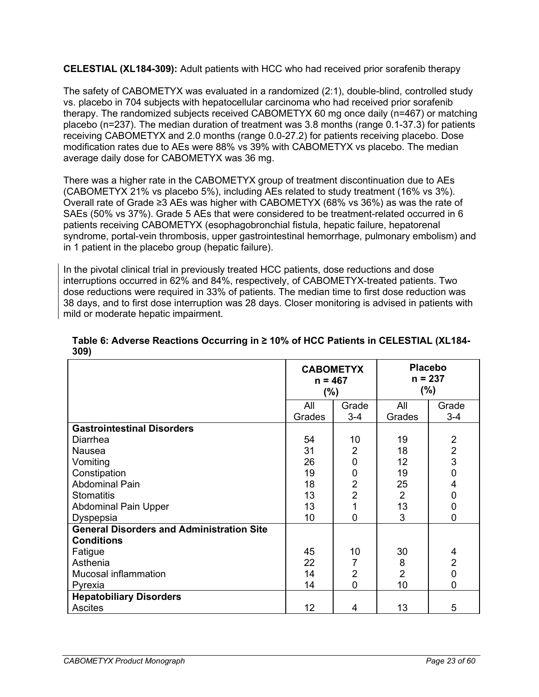**CELESTIAL (XL184-309):** Adult patients with HCC who had received prior sorafenib therapy

The safety of CABOMETYX was evaluated in a randomized (2:1), double-blind, controlled study vs. placebo in 704 subjects with hepatocellular carcinoma who had received prior sorafenib therapy. The randomized subjects received CABOMETYX 60 mg once daily (n=467) or matching placebo (n=237). The median duration of treatment was 3.8 months (range 0.1-37.3) for patients receiving CABOMETYX and 2.0 months (range 0.0-27.2) for patients receiving placebo. Dose modification rates due to AEs were 88% vs 39% with CABOMETYX vs placebo. The median average daily dose for CABOMETYX was 36 mg.

There was a higher rate in the CABOMETYX group of treatment discontinuation due to AEs (CABOMETYX 21% vs placebo 5%), including AEs related to study treatment (16% vs 3%). Overall rate of Grade ≥3 AEs was higher with CABOMETYX (68% vs 36%) as was the rate of SAEs (50% vs 37%). Grade 5 AEs that were considered to be treatment-related occurred in 6 patients receiving CABOMETYX (esophagobronchial fistula, hepatic failure, hepatorenal syndrome, portal-vein thrombosis, upper gastrointestinal hemorrhage, pulmonary embolism) and in 1 patient in the placebo group (hepatic failure).

In the pivotal clinical trial in previously treated HCC patients, dose reductions and dose interruptions occurred in 62% and 84%, respectively, of CABOMETYX-treated patients. Two dose reductions were required in 33% of patients. The median time to first dose reduction was 38 days, and to first dose interruption was 28 days. Closer monitoring is advised in patients with mild or moderate hepatic impairment.

|                                                  | <b>CABOMETYX</b><br>$n = 467$<br>(%) |                | <b>Placebo</b><br>$n = 237$<br>(%) |                                            |
|--------------------------------------------------|--------------------------------------|----------------|------------------------------------|--------------------------------------------|
|                                                  | All                                  | Grade          | All                                | Grade                                      |
|                                                  | Grades                               | $3-4$          | Grades                             | $3 - 4$                                    |
| <b>Gastrointestinal Disorders</b>                |                                      |                |                                    |                                            |
| Diarrhea                                         | 54                                   | 10             | 19                                 | $\overline{2}$                             |
| Nausea                                           | 31                                   | $\overline{2}$ | 18                                 |                                            |
| Vomiting                                         | 26                                   | $\mathbf 0$    | 12                                 | $\begin{array}{c} 2 \\ 3 \\ 0 \end{array}$ |
| Constipation                                     | 19                                   | $\mathbf 0$    | 19                                 |                                            |
| <b>Abdominal Pain</b>                            | 18                                   | $\overline{2}$ | 25                                 | $\overline{\mathcal{A}}$                   |
| <b>Stomatitis</b>                                | 13                                   | $\overline{2}$ | $\overline{2}$                     | $\pmb{0}$                                  |
| <b>Abdominal Pain Upper</b>                      | 13                                   | $\mathbf 1$    | 13                                 | $\pmb{0}$                                  |
| Dyspepsia                                        | 10                                   | 0              | 3                                  | $\overline{0}$                             |
| <b>General Disorders and Administration Site</b> |                                      |                |                                    |                                            |
| <b>Conditions</b>                                |                                      |                |                                    |                                            |
| Fatigue                                          | 45                                   | 10             | 30                                 |                                            |
| Asthenia                                         | 22                                   | 7              | 8                                  | $\begin{array}{c} 4 \\ 2 \\ 0 \end{array}$ |
| Mucosal inflammation                             | 14                                   | $\overline{2}$ | $\overline{2}$                     |                                            |
| Pyrexia                                          | 14                                   | $\overline{0}$ | 10                                 | $\overline{0}$                             |
| <b>Hepatobiliary Disorders</b>                   |                                      |                |                                    |                                            |
| Ascites                                          | 12                                   | 4              | 13                                 | 5                                          |

### **Table 6: Adverse Reactions Occurring in ≥ 10% of HCC Patients in CELESTIAL (XL184- 309)**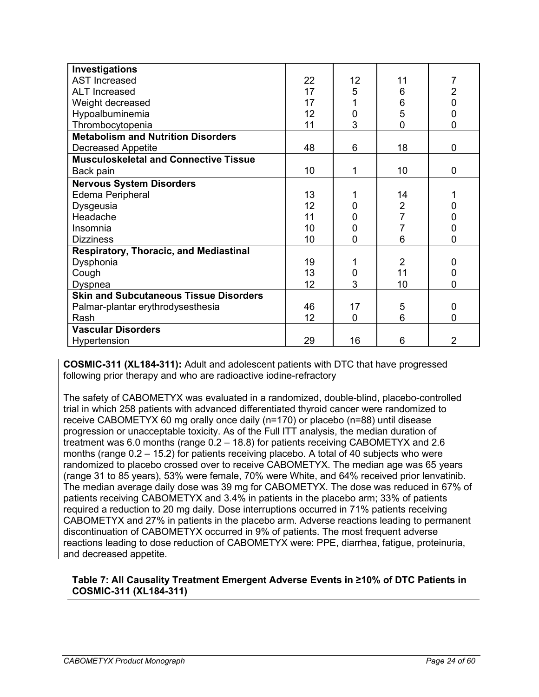| Investigations                                |    |                |                |                |
|-----------------------------------------------|----|----------------|----------------|----------------|
| <b>AST Increased</b>                          | 22 | 12             | 11             | 7              |
| <b>ALT Increased</b>                          | 17 | 5              | 6              |                |
| Weight decreased                              | 17 |                | 6              | $\frac{2}{0}$  |
| Hypoalbuminemia                               | 12 | $\mathbf 0$    | 5              | $\mathbf 0$    |
| Thrombocytopenia                              | 11 | 3              | 0              | $\overline{0}$ |
| <b>Metabolism and Nutrition Disorders</b>     |    |                |                |                |
| <b>Decreased Appetite</b>                     | 48 | 6              | 18             | $\mathbf 0$    |
| <b>Musculoskeletal and Connective Tissue</b>  |    |                |                |                |
| Back pain                                     | 10 | 1              | 10             | $\mathbf 0$    |
| <b>Nervous System Disorders</b>               |    |                |                |                |
| <b>Edema Peripheral</b>                       | 13 | 1              | 14             |                |
| Dysgeusia                                     | 12 | 0              | $\overline{2}$ | $\mathbf 0$    |
| Headache                                      | 11 | 0              | $\overline{7}$ | $\mathbf 0$    |
| Insomnia                                      | 10 | $\mathbf 0$    | $\overline{7}$ | $\overline{0}$ |
| <b>Dizziness</b>                              | 10 | $\overline{0}$ | 6              | $\overline{0}$ |
| <b>Respiratory, Thoracic, and Mediastinal</b> |    |                |                |                |
| Dysphonia                                     | 19 |                | $\overline{2}$ | 0              |
| Cough                                         | 13 | $\mathbf 0$    | 11             | $\pmb{0}$      |
| Dyspnea                                       | 12 | 3              | 10             | $\overline{0}$ |
| <b>Skin and Subcutaneous Tissue Disorders</b> |    |                |                |                |
| Palmar-plantar erythrodysesthesia             | 46 | 17             | 5              | $\mathbf 0$    |
| Rash                                          | 12 | $\mathbf 0$    | 6              | $\overline{0}$ |
| <b>Vascular Disorders</b>                     |    |                |                |                |
| Hypertension                                  | 29 | 16             | 6              | $\overline{2}$ |

**COSMIC-311 (XL184-311):** Adult and adolescent patients with DTC that have progressed following prior therapy and who are radioactive iodine-refractory

The safety of CABOMETYX was evaluated in a randomized, double-blind, placebo-controlled trial in which 258 patients with advanced differentiated thyroid cancer were randomized to receive CABOMETYX 60 mg orally once daily (n=170) or placebo (n=88) until disease progression or unacceptable toxicity. As of the Full ITT analysis, the median duration of treatment was 6.0 months (range 0.2 – 18.8) for patients receiving CABOMETYX and 2.6 months (range 0.2 – 15.2) for patients receiving placebo. A total of 40 subjects who were randomized to placebo crossed over to receive CABOMETYX. The median age was 65 years (range 31 to 85 years), 53% were female, 70% were White, and 64% received prior lenvatinib. The median average daily dose was 39 mg for CABOMETYX. The dose was reduced in 67% of patients receiving CABOMETYX and 3.4% in patients in the placebo arm; 33% of patients required a reduction to 20 mg daily. Dose interruptions occurred in 71% patients receiving CABOMETYX and 27% in patients in the placebo arm. Adverse reactions leading to permanent discontinuation of CABOMETYX occurred in 9% of patients. The most frequent adverse reactions leading to dose reduction of CABOMETYX were: PPE, diarrhea, fatigue, proteinuria, and decreased appetite.

### **Table 7: All Causality Treatment Emergent Adverse Events in ≥10% of DTC Patients in COSMIC-311 (XL184-311)**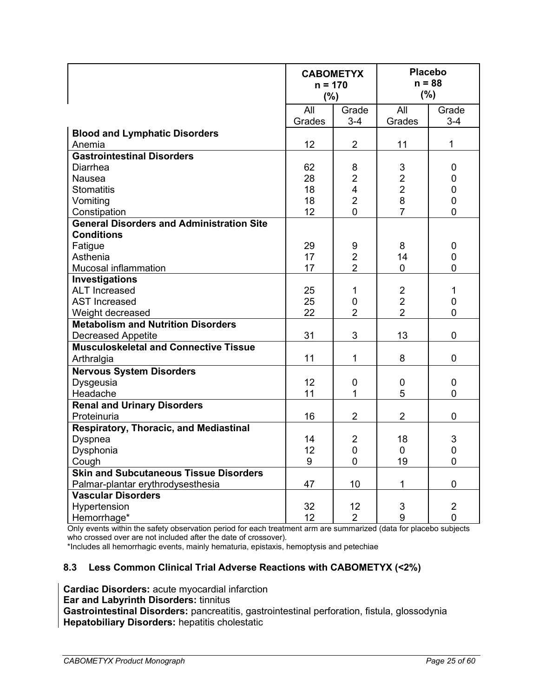|                                                  | <b>CABOMETYX</b><br>$n = 170$<br>(%) |                         |                | <b>Placebo</b><br>$n = 88$<br>(%) |
|--------------------------------------------------|--------------------------------------|-------------------------|----------------|-----------------------------------|
|                                                  | All<br>Grades                        | Grade<br>$3 - 4$        | All<br>Grades  | Grade<br>$3 - 4$                  |
| <b>Blood and Lymphatic Disorders</b>             |                                      |                         |                |                                   |
| Anemia                                           | 12                                   | $\overline{2}$          | 11             | $\mathbf{1}$                      |
| <b>Gastrointestinal Disorders</b>                |                                      |                         |                |                                   |
| Diarrhea                                         | 62                                   | 8                       | 3              | $\mathbf 0$                       |
| Nausea                                           | 28                                   | $\overline{2}$          | $\overline{2}$ | $\mathbf 0$                       |
| <b>Stomatitis</b>                                | 18                                   | $\overline{\mathbf{4}}$ | $\overline{2}$ | $\mathbf 0$                       |
| Vomiting                                         | 18                                   | $\overline{2}$          | 8              | $\mathbf 0$                       |
| Constipation                                     | 12                                   | $\Omega$                | $\overline{7}$ | $\overline{0}$                    |
| <b>General Disorders and Administration Site</b> |                                      |                         |                |                                   |
| <b>Conditions</b>                                |                                      |                         |                |                                   |
| Fatigue                                          | 29                                   | 9                       | 8              | $\boldsymbol{0}$                  |
| Asthenia                                         | 17                                   | $\overline{2}$          | 14             | $\mathbf 0$                       |
| Mucosal inflammation                             | 17                                   | $\overline{2}$          | $\mathbf{0}$   | $\overline{0}$                    |
| Investigations                                   |                                      |                         |                |                                   |
| <b>ALT Increased</b>                             | 25                                   | 1                       | $\overline{2}$ | 1                                 |
| <b>AST Increased</b>                             | 25                                   | $\mathbf 0$             | $\overline{2}$ | $\mathbf 0$                       |
| Weight decreased                                 | 22                                   | $\overline{2}$          | $\overline{2}$ | $\overline{0}$                    |
| <b>Metabolism and Nutrition Disorders</b>        |                                      |                         |                |                                   |
| <b>Decreased Appetite</b>                        | 31                                   | 3                       | 13             | $\mathbf 0$                       |
| <b>Musculoskeletal and Connective Tissue</b>     |                                      |                         |                |                                   |
| Arthralgia                                       | 11                                   | 1                       | 8              | $\overline{0}$                    |
| <b>Nervous System Disorders</b>                  |                                      |                         |                |                                   |
| Dysgeusia                                        | 12                                   | 0                       | 0              | 0                                 |
| Headache                                         | 11                                   | $\mathbf{1}$            | 5              | $\overline{0}$                    |
| <b>Renal and Urinary Disorders</b>               |                                      |                         |                |                                   |
| Proteinuria                                      | 16                                   | $\overline{2}$          | $\overline{2}$ | $\mathbf 0$                       |
| <b>Respiratory, Thoracic, and Mediastinal</b>    |                                      |                         |                |                                   |
| Dyspnea                                          | 14                                   | $\overline{2}$          | 18             | 3                                 |
| Dysphonia                                        | 12                                   | $\mathbf 0$             | 0              | $\mathbf 0$                       |
| Cough                                            | 9                                    | $\mathbf 0$             | 19             | $\mathbf 0$                       |
| <b>Skin and Subcutaneous Tissue Disorders</b>    |                                      |                         |                |                                   |
| Palmar-plantar erythrodysesthesia                | 47                                   | 10                      | $\mathbf 1$    | $\pmb{0}$                         |
| <b>Vascular Disorders</b>                        |                                      |                         |                |                                   |
| Hypertension                                     | 32                                   | 12                      | 3              | $\overline{2}$                    |
| Hemorrhage*                                      | 12                                   | $\overline{2}$          | 9              | $\mathbf 0$                       |

Only events within the safety observation period for each treatment arm are summarized (data for placebo subjects who crossed over are not included after the date of crossover).

<span id="page-24-0"></span>\*Includes all hemorrhagic events, mainly hematuria, epistaxis, hemoptysis and petechiae

#### **8.3 Less Common Clinical Trial Adverse Reactions with CABOMETYX (<2%)**

**Cardiac Disorders:** acute myocardial infarction **Ear and Labyrinth Disorders:** tinnitus **Gastrointestinal Disorders:** pancreatitis, gastrointestinal perforation, fistula, glossodynia **Hepatobiliary Disorders:** hepatitis cholestatic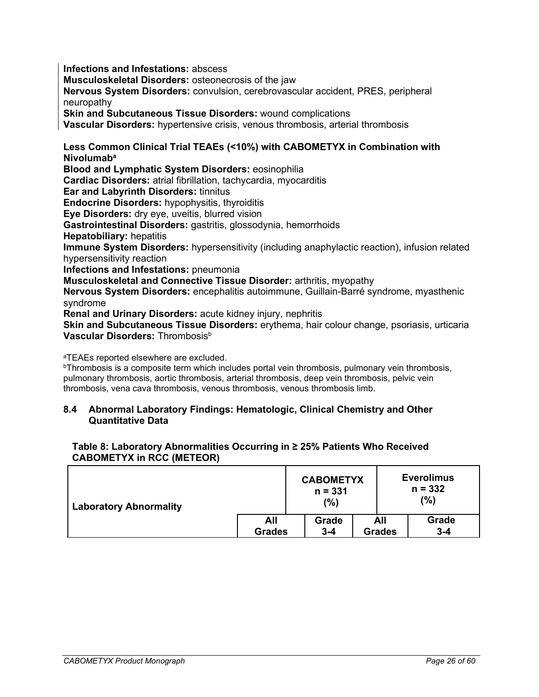**Infections and Infestations:** abscess

**Musculoskeletal Disorders:** osteonecrosis of the jaw

**Nervous System Disorders:** convulsion, cerebrovascular accident, PRES, peripheral neuropathy

**Skin and Subcutaneous Tissue Disorders:** wound complications

**Vascular Disorders:** hypertensive crisis, venous thrombosis, arterial thrombosis

**Less Common Clinical Trial TEAEs (<10%) with CABOMETYX in Combination with Nivolumaba**

**Blood and Lymphatic System Disorders:** eosinophilia

**Cardiac Disorders:** atrial fibrillation, tachycardia, myocarditis

**Ear and Labyrinth Disorders:** tinnitus

**Endocrine Disorders:** hypophysitis, thyroiditis

**Eye Disorders:** dry eye, uveitis, blurred vision

**Gastrointestinal Disorders:** gastritis, glossodynia, hemorrhoids

**Hepatobiliary:** hepatitis

**Immune System Disorders:** hypersensitivity (including anaphylactic reaction), infusion related hypersensitivity reaction

**Infections and Infestations:** pneumonia

**Musculoskeletal and Connective Tissue Disorder:** arthritis, myopathy

**Nervous System Disorders:** encephalitis autoimmune, Guillain-Barré syndrome, myasthenic syndrome

**Renal and Urinary Disorders:** acute kidney injury, nephritis

**Skin and Subcutaneous Tissue Disorders:** erythema, hair colour change, psoriasis, urticaria **Vascular Disorders: Thrombosis**<sup>b</sup>

aTEAEs reported elsewhere are excluded.

**bThrombosis is a composite term which includes portal vein thrombosis, pulmonary vein thrombosis,** pulmonary thrombosis, aortic thrombosis, arterial thrombosis, deep vein thrombosis, pelvic vein thrombosis, vena cava thrombosis, venous thrombosis, venous thrombosis limb.

#### <span id="page-25-0"></span>**8.4 Abnormal Laboratory Findings: Hematologic, Clinical Chemistry and Other Quantitative Data**

#### **Table 8: Laboratory Abnormalities Occurring in ≥ 25% Patients Who Received CABOMETYX in RCC (METEOR)**

| Laboratory Abnormality |               | <b>CABOMETYX</b><br>$n = 331$<br>(%) |               | <b>Everolimus</b><br>$n = 332$<br>$(\%)$ |
|------------------------|---------------|--------------------------------------|---------------|------------------------------------------|
|                        | All           | Grade                                | All           | Grade                                    |
|                        | <b>Grades</b> | $3 - 4$                              | <b>Grades</b> | $3 - 4$                                  |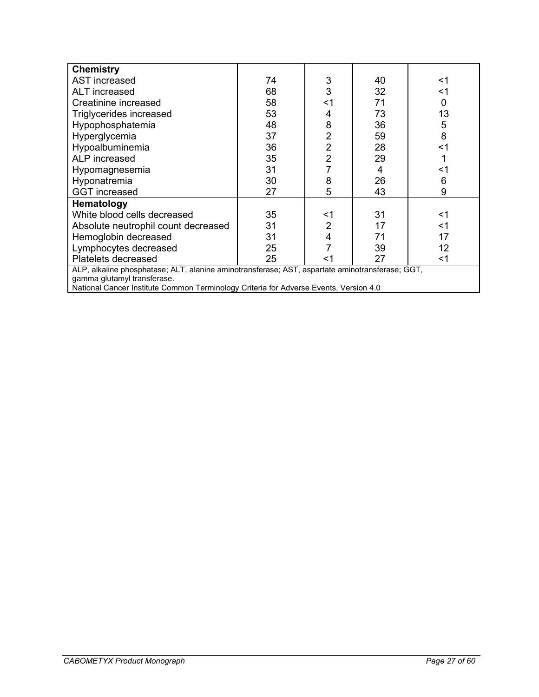| <b>Chemistry</b>                                                                                |    |                |    |    |
|-------------------------------------------------------------------------------------------------|----|----------------|----|----|
| AST increased                                                                                   | 74 | 3              | 40 | <1 |
| <b>ALT</b> increased                                                                            | 68 | 3              | 32 | <1 |
| Creatinine increased                                                                            | 58 | $<$ 1          | 71 | 0  |
| Triglycerides increased                                                                         | 53 | 4              | 73 | 13 |
| Hypophosphatemia                                                                                | 48 | 8              | 36 | 5  |
| Hyperglycemia                                                                                   | 37 | 2              | 59 | 8  |
| Hypoalbuminemia                                                                                 | 36 | $\overline{2}$ | 28 | <1 |
| <b>ALP</b> increased                                                                            | 35 | $\overline{2}$ | 29 |    |
| Hypomagnesemia                                                                                  | 31 |                | 4  | <1 |
| Hyponatremia                                                                                    | 30 | 8              | 26 | 6  |
| <b>GGT</b> increased                                                                            | 27 | 5              | 43 | 9  |
| Hematology                                                                                      |    |                |    |    |
| White blood cells decreased                                                                     | 35 | <1             | 31 | <1 |
| Absolute neutrophil count decreased                                                             | 31 | 2              | 17 | <1 |
| Hemoglobin decreased                                                                            | 31 | 4              | 71 | 17 |
| Lymphocytes decreased                                                                           | 25 |                | 39 | 12 |
| Platelets decreased<br>25<br>27<br>$<$ 1<br>$<$ 1                                               |    |                |    |    |
| ALP, alkaline phosphatase; ALT, alanine aminotransferase; AST, aspartate aminotransferase; GGT, |    |                |    |    |
| gamma glutamyl transferase.                                                                     |    |                |    |    |
| National Cancer Institute Common Terminology Criteria for Adverse Events, Version 4.0           |    |                |    |    |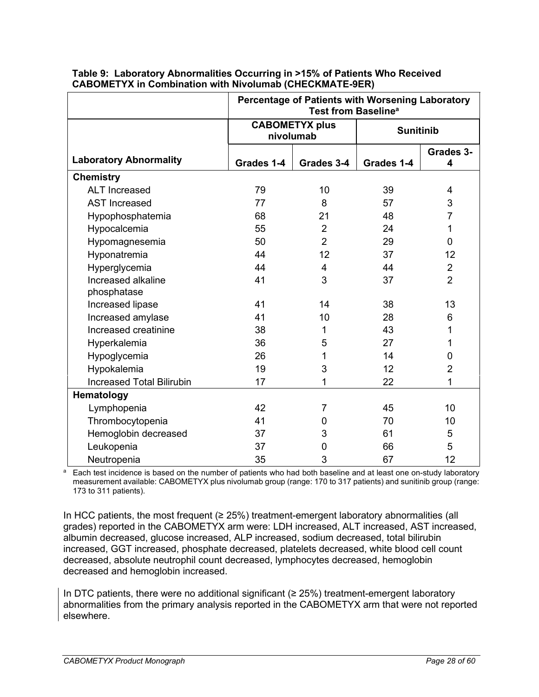|                                   |            | Percentage of Patients with Worsening Laboratory<br>Test from Baseline <sup>a</sup> |            |                  |  |
|-----------------------------------|------------|-------------------------------------------------------------------------------------|------------|------------------|--|
|                                   |            | <b>CABOMETYX plus</b><br>nivolumab                                                  |            | <b>Sunitinib</b> |  |
| <b>Laboratory Abnormality</b>     | Grades 1-4 | Grades 3-4                                                                          | Grades 1-4 | Grades 3-<br>4   |  |
| <b>Chemistry</b>                  |            |                                                                                     |            |                  |  |
| <b>ALT</b> Increased              | 79         | 10                                                                                  | 39         | $\overline{4}$   |  |
| <b>AST Increased</b>              | 77         | 8                                                                                   | 57         | 3                |  |
| Hypophosphatemia                  | 68         | 21                                                                                  | 48         | $\overline{7}$   |  |
| Hypocalcemia                      | 55         | $\overline{2}$                                                                      | 24         | 1                |  |
| Hypomagnesemia                    | 50         | $\overline{2}$                                                                      | 29         | $\Omega$         |  |
| Hyponatremia                      | 44         | 12                                                                                  | 37         | 12               |  |
| Hyperglycemia                     | 44         | 4                                                                                   | 44         | $\overline{2}$   |  |
| Increased alkaline<br>phosphatase | 41         | 3                                                                                   | 37         | $\overline{2}$   |  |
| Increased lipase                  | 41         | 14                                                                                  | 38         | 13               |  |
| Increased amylase                 | 41         | 10                                                                                  | 28         | 6                |  |
| Increased creatinine              | 38         | 1                                                                                   | 43         | 1                |  |
| Hyperkalemia                      | 36         | 5                                                                                   | 27         | 1                |  |
| Hypoglycemia                      | 26         | 1                                                                                   | 14         | 0                |  |
| Hypokalemia                       | 19         | 3                                                                                   | 12         | $\overline{2}$   |  |
| <b>Increased Total Bilirubin</b>  | 17         | 1                                                                                   | 22         | 1                |  |
| Hematology                        |            |                                                                                     |            |                  |  |
| Lymphopenia                       | 42         | 7                                                                                   | 45         | 10               |  |
| Thrombocytopenia                  | 41         | 0                                                                                   | 70         | 10               |  |
| Hemoglobin decreased              | 37         | 3                                                                                   | 61         | 5                |  |
| Leukopenia                        | 37         | 0                                                                                   | 66         | 5                |  |
| Neutropenia                       | 35         | 3                                                                                   | 67         | 12               |  |

#### **Table 9: Laboratory Abnormalities Occurring in >15% of Patients Who Received CABOMETYX in Combination with Nivolumab (CHECKMATE-9ER)**

a Each test incidence is based on the number of patients who had both baseline and at least one on-study laboratory measurement available: CABOMETYX plus nivolumab group (range: 170 to 317 patients) and sunitinib group (range: 173 to 311 patients).

In HCC patients, the most frequent ( $\geq$  25%) treatment-emergent laboratory abnormalities (all grades) reported in the CABOMETYX arm were: LDH increased, ALT increased, AST increased, albumin decreased, glucose increased, ALP increased, sodium decreased, total bilirubin increased, GGT increased, phosphate decreased, platelets decreased, white blood cell count decreased, absolute neutrophil count decreased, lymphocytes decreased, hemoglobin decreased and hemoglobin increased.

In DTC patients, there were no additional significant (≥ 25%) treatment-emergent laboratory abnormalities from the primary analysis reported in the CABOMETYX arm that were not reported elsewhere.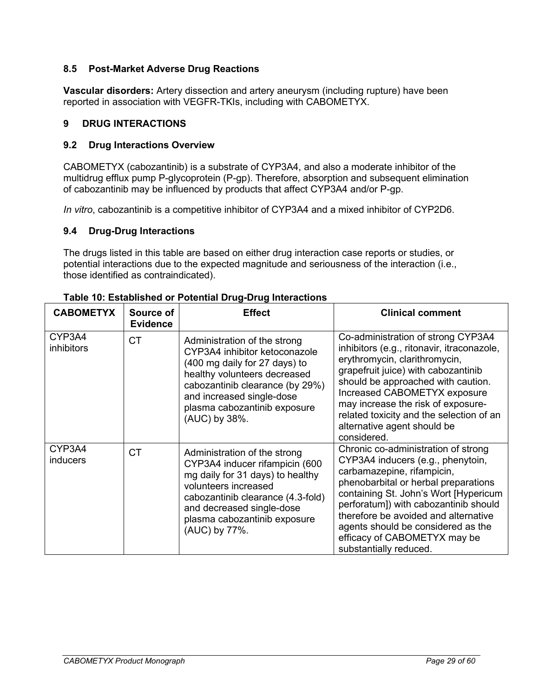### <span id="page-28-0"></span>**8.5 Post-Market Adverse Drug Reactions**

**Vascular disorders:** Artery dissection and artery aneurysm (including rupture) have been reported in association with VEGFR-TKIs, including with CABOMETYX.

### <span id="page-28-1"></span>**9 DRUG INTERACTIONS**

### <span id="page-28-2"></span>**9.2 Drug Interactions Overview**

CABOMETYX (cabozantinib) is a substrate of CYP3A4, and also a moderate inhibitor of the multidrug efflux pump P-glycoprotein (P-gp). Therefore, absorption and subsequent elimination of cabozantinib may be influenced by products that affect CYP3A4 and/or P-gp.

<span id="page-28-3"></span>*In vitro*, cabozantinib is a competitive inhibitor of CYP3A4 and a mixed inhibitor of CYP2D6.

### **9.4 Drug-Drug Interactions**

The drugs listed in this table are based on either drug interaction case reports or studies, or potential interactions due to the expected magnitude and seriousness of the interaction (i.e., those identified as contraindicated).

| <b>CABOMETYX</b>          | Source of<br><b>Evidence</b> | <b>Effect</b>                                                                                                                                                                                                                                   | <b>Clinical comment</b>                                                                                                                                                                                                                                                                                                                                                  |
|---------------------------|------------------------------|-------------------------------------------------------------------------------------------------------------------------------------------------------------------------------------------------------------------------------------------------|--------------------------------------------------------------------------------------------------------------------------------------------------------------------------------------------------------------------------------------------------------------------------------------------------------------------------------------------------------------------------|
| CYP3A4<br>inhibitors      | <b>CT</b>                    | Administration of the strong<br>CYP3A4 inhibitor ketoconazole<br>(400 mg daily for 27 days) to<br>healthy volunteers decreased<br>cabozantinib clearance (by 29%)<br>and increased single-dose<br>plasma cabozantinib exposure<br>(AUC) by 38%. | Co-administration of strong CYP3A4<br>inhibitors (e.g., ritonavir, itraconazole,<br>erythromycin, clarithromycin,<br>grapefruit juice) with cabozantinib<br>should be approached with caution.<br>Increased CABOMETYX exposure<br>may increase the risk of exposure-<br>related toxicity and the selection of an<br>alternative agent should be<br>considered.           |
| CYP3A4<br><b>inducers</b> | <b>CT</b>                    | Administration of the strong<br>CYP3A4 inducer rifampicin (600<br>mg daily for 31 days) to healthy<br>volunteers increased<br>cabozantinib clearance (4.3-fold)<br>and decreased single-dose<br>plasma cabozantinib exposure<br>(AUC) by 77%.   | Chronic co-administration of strong<br>CYP3A4 inducers (e.g., phenytoin,<br>carbamazepine, rifampicin,<br>phenobarbital or herbal preparations<br>containing St. John's Wort [Hypericum<br>perforatum]) with cabozantinib should<br>therefore be avoided and alternative<br>agents should be considered as the<br>efficacy of CABOMETYX may be<br>substantially reduced. |

**Table 10: Established or Potential Drug-Drug Interactions**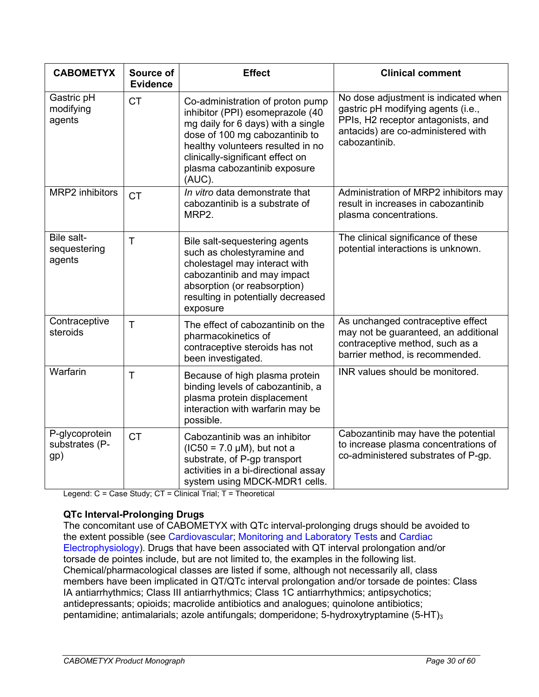| <b>CABOMETYX</b>                        | Source of<br><b>Evidence</b> | <b>Effect</b>                                                                                                                                                                                                                                                   | <b>Clinical comment</b>                                                                                                                                                 |
|-----------------------------------------|------------------------------|-----------------------------------------------------------------------------------------------------------------------------------------------------------------------------------------------------------------------------------------------------------------|-------------------------------------------------------------------------------------------------------------------------------------------------------------------------|
| Gastric pH<br>modifying<br>agents       | <b>CT</b>                    | Co-administration of proton pump<br>inhibitor (PPI) esomeprazole (40<br>mg daily for 6 days) with a single<br>dose of 100 mg cabozantinib to<br>healthy volunteers resulted in no<br>clinically-significant effect on<br>plasma cabozantinib exposure<br>(AUC). | No dose adjustment is indicated when<br>gastric pH modifying agents (i.e.,<br>PPIs, H2 receptor antagonists, and<br>antacids) are co-administered with<br>cabozantinib. |
| <b>MRP2</b> inhibitors                  | <b>CT</b>                    | In vitro data demonstrate that<br>cabozantinib is a substrate of<br>MRP2.                                                                                                                                                                                       | Administration of MRP2 inhibitors may<br>result in increases in cabozantinib<br>plasma concentrations.                                                                  |
| Bile salt-<br>sequestering<br>agents    | T                            | Bile salt-sequestering agents<br>such as cholestyramine and<br>cholestagel may interact with<br>cabozantinib and may impact<br>absorption (or reabsorption)<br>resulting in potentially decreased<br>exposure                                                   | The clinical significance of these<br>potential interactions is unknown.                                                                                                |
| Contraceptive<br>steroids               | T.                           | The effect of cabozantinib on the<br>pharmacokinetics of<br>contraceptive steroids has not<br>been investigated.                                                                                                                                                | As unchanged contraceptive effect<br>may not be guaranteed, an additional<br>contraceptive method, such as a<br>barrier method, is recommended.                         |
| Warfarin                                | $\mathsf{T}$                 | Because of high plasma protein<br>binding levels of cabozantinib, a<br>plasma protein displacement<br>interaction with warfarin may be<br>possible.                                                                                                             | INR values should be monitored.                                                                                                                                         |
| P-glycoprotein<br>substrates (P-<br>gp) | <b>CT</b>                    | Cabozantinib was an inhibitor<br>$(IC50 = 7.0 \mu M)$ , but not a<br>substrate, of P-gp transport<br>activities in a bi-directional assay<br>system using MDCK-MDR1 cells.                                                                                      | Cabozantinib may have the potential<br>to increase plasma concentrations of<br>co-administered substrates of P-gp.                                                      |

Legend: C = Case Study; CT = Clinical Trial; T = Theoretical

### **QTc Interval-Prolonging Drugs**

The concomitant use of CABOMETYX with QTc interval-prolonging drugs should be avoided to the extent possible (see [Cardiovascular;](#page-7-1) [Monitoring and Laboratory Tests](#page-11-1) and [Cardiac](#page-30-3)  [Electrophysiology\)](#page-30-3). Drugs that have been associated with QT interval prolongation and/or torsade de pointes include, but are not limited to, the examples in the following list. Chemical/pharmacological classes are listed if some, although not necessarily all, class members have been implicated in QT/QTc interval prolongation and/or torsade de pointes: Class IA antiarrhythmics; Class III antiarrhythmics; Class 1C antiarrhythmics; antipsychotics; antidepressants; opioids; macrolide antibiotics and analogues; quinolone antibiotics; pentamidine; antimalarials; azole antifungals; domperidone; 5-hydroxytryptamine  $(5-HT)_{3}$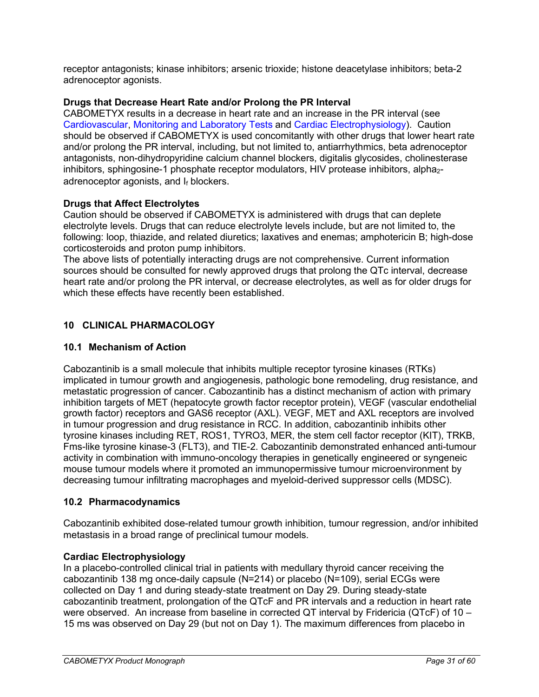receptor antagonists; kinase inhibitors; arsenic trioxide; histone deacetylase inhibitors; beta-2 adrenoceptor agonists.

### **Drugs that Decrease Heart Rate and/or Prolong the PR Interval**

CABOMETYX results in a decrease in heart rate and an increase in the PR interval (see [Cardiovascular,](#page-7-1) [Monitoring and Laboratory Tests](#page-11-1) and [Cardiac Electrophysiology\)](#page-30-3). Caution should be observed if CABOMETYX is used concomitantly with other drugs that lower heart rate and/or prolong the PR interval, including, but not limited to, antiarrhythmics, beta adrenoceptor antagonists, non-dihydropyridine calcium channel blockers, digitalis glycosides, cholinesterase inhibitors, sphingosine-1 phosphate receptor modulators, HIV protease inhibitors, alpha<sub>2</sub>adrenoceptor agonists, and  $I_f$  blockers.

### **Drugs that Affect Electrolytes**

Caution should be observed if CABOMETYX is administered with drugs that can deplete electrolyte levels. Drugs that can reduce electrolyte levels include, but are not limited to, the following: loop, thiazide, and related diuretics; laxatives and enemas; amphotericin B; high-dose corticosteroids and proton pump inhibitors.

The above lists of potentially interacting drugs are not comprehensive. Current information sources should be consulted for newly approved drugs that prolong the QTc interval, decrease heart rate and/or prolong the PR interval, or decrease electrolytes, as well as for older drugs for which these effects have recently been established.

# <span id="page-30-0"></span>**10 CLINICAL PHARMACOLOGY**

## <span id="page-30-1"></span>**10.1 Mechanism of Action**

Cabozantinib is a small molecule that inhibits multiple receptor tyrosine kinases (RTKs) implicated in tumour growth and angiogenesis, pathologic bone remodeling, drug resistance, and metastatic progression of cancer. Cabozantinib has a distinct mechanism of action with primary inhibition targets of MET (hepatocyte growth factor receptor protein), VEGF (vascular endothelial growth factor) receptors and GAS6 receptor (AXL). VEGF, MET and AXL receptors are involved in tumour progression and drug resistance in RCC. In addition, cabozantinib inhibits other tyrosine kinases including RET, ROS1, TYRO3, MER, the stem cell factor receptor (KIT), TRKB, Fms-like tyrosine kinase-3 (FLT3), and TIE-2. Cabozantinib demonstrated enhanced anti-tumour activity in combination with immuno-oncology therapies in genetically engineered or syngeneic mouse tumour models where it promoted an immunopermissive tumour microenvironment by decreasing tumour infiltrating macrophages and myeloid-derived suppressor cells (MDSC).

### <span id="page-30-2"></span>**10.2 Pharmacodynamics**

Cabozantinib exhibited dose-related tumour growth inhibition, tumour regression, and/or inhibited metastasis in a broad range of preclinical tumour models.

### <span id="page-30-3"></span>**Cardiac Electrophysiology**

In a placebo-controlled clinical trial in patients with medullary thyroid cancer receiving the cabozantinib 138 mg once-daily capsule (N=214) or placebo (N=109), serial ECGs were collected on Day 1 and during steady-state treatment on Day 29. During steady-state cabozantinib treatment, prolongation of the QTcF and PR intervals and a reduction in heart rate were observed. An increase from baseline in corrected QT interval by Fridericia (QTcF) of 10 – 15 ms was observed on Day 29 (but not on Day 1). The maximum differences from placebo in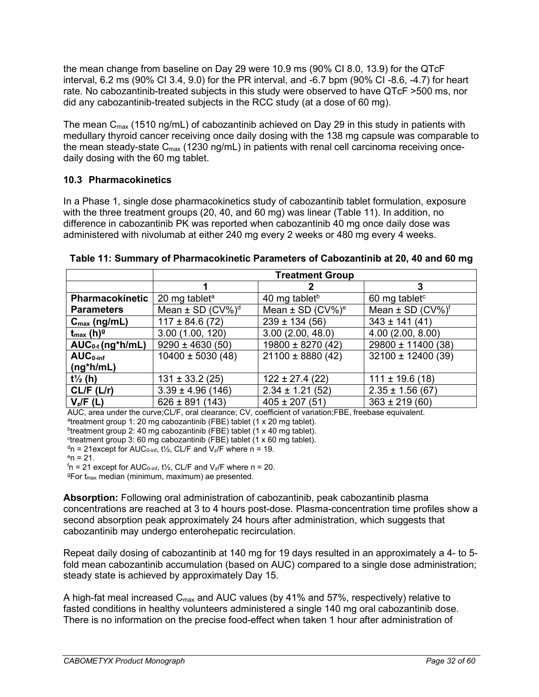the mean change from baseline on Day 29 were 10.9 ms (90% CI 8.0, 13.9) for the QTcF interval, 6.2 ms (90% CI 3.4, 9.0) for the PR interval, and -6.7 bpm (90% CI -8.6, -4.7) for heart rate. No cabozantinib-treated subjects in this study were observed to have QTcF >500 ms, nor did any cabozantinib-treated subjects in the RCC study (at a dose of 60 mg).

The mean  $C_{\text{max}}$  (1510 ng/mL) of cabozantinib achieved on Day 29 in this study in patients with medullary thyroid cancer receiving once daily dosing with the 138 mg capsule was comparable to the mean steady-state  $C_{\text{max}}$  (1230 ng/mL) in patients with renal cell carcinoma receiving oncedaily dosing with the 60 mg tablet.

# <span id="page-31-0"></span>**10.3 Pharmacokinetics**

In a Phase 1, single dose pharmacokinetics study of cabozantinib tablet formulation, exposure with the three treatment groups (20, 40, and 60 mg) was linear (Table 11). In addition, no difference in cabozantinib PK was reported when cabozantinib 40 mg once daily dose was administered with nivolumab at either 240 mg every 2 weeks or 480 mg every 4 weeks.

|                                   | <b>Treatment Group</b>           |                                  |                                  |  |  |
|-----------------------------------|----------------------------------|----------------------------------|----------------------------------|--|--|
|                                   |                                  |                                  | 3                                |  |  |
| <b>Pharmacokinetic</b>            | 20 mg tablet <sup>a</sup>        | 40 mg tablet <sup>b</sup>        | 60 mg tablet $c$                 |  |  |
| <b>Parameters</b>                 | Mean $\pm$ SD (CV%) <sup>d</sup> | Mean $\pm$ SD (CV%) <sup>e</sup> | Mean $\pm$ SD (CV%) <sup>f</sup> |  |  |
| $C_{\text{max}}$ (ng/mL)          | $117 \pm 84.6$ (72)              | $239 \pm 134 (56)$               | $343 \pm 141 (41)$               |  |  |
| $t_{\text{max}}$ (h) <sup>g</sup> | 3.00(1.00, 120)                  | 3.00(2.00, 48.0)                 | 4.00(2.00, 8.00)                 |  |  |
| $AUC_{0-t}$ (ng*h/mL)             | $9290 \pm 4630(50)$              | $19800 \pm 8270(42)$             | 29800 ± 11400 (38)               |  |  |
| $AUC0-inf$                        | $10400 \pm 5030(48)$             | $21100 \pm 8880(42)$             | $32100 \pm 12400(39)$            |  |  |
| $(ng^*h/mL)$                      |                                  |                                  |                                  |  |  |
| $t\frac{1}{2}$ (h)                | $131 \pm 33.2$ (25)              | $122 \pm 27.4$ (22)              | $111 \pm 19.6(18)$               |  |  |
| CL/F (L/r)                        | $3.39 \pm 4.96$ (146)            | $2.34 \pm 1.21$ (52)             | $2.35 \pm 1.56(67)$              |  |  |
| $V_z/F(L)$                        | $626 \pm 891 (143)$              | $405 \pm 207(51)$                | $363 \pm 219(60)$                |  |  |

**Table 11: Summary of Pharmacokinetic Parameters of Cabozantinib at 20, 40 and 60 mg**

AUC, area under the curve;CL/F, oral clearance; CV, coefficient of variation;FBE, freebase equivalent.

atreatment group 1: 20 mg cabozantinib (FBE) tablet (1 x 20 mg tablet).

btreatment group 2: 40 mg cabozantinib (FBE) tablet (1 x 40 mg tablet).

ctreatment group 3: 60 mg cabozantinib (FBE) tablet (1 x 60 mg tablet).

 $d$ n = 21except for AUC<sub>0-inf</sub>, t<sup>1</sup>/<sub>2</sub>, CL/F and V<sub>z</sub>/F where n = 19.

 $e_n = 21$ .

 $f$ n = 21 except for AUC $_{0\text{-inf}},$  t½, CL/F and V $_{\rm z}$ /F where n = 20.

 $9$ For t<sub>max</sub> median (minimum, maximum) ae presented.

**Absorption:** Following oral administration of cabozantinib, peak cabozantinib plasma concentrations are reached at 3 to 4 hours post-dose. Plasma-concentration time profiles show a second absorption peak approximately 24 hours after administration, which suggests that cabozantinib may undergo enterohepatic recirculation.

Repeat daily dosing of cabozantinib at 140 mg for 19 days resulted in an approximately a 4- to 5 fold mean cabozantinib accumulation (based on AUC) compared to a single dose administration; steady state is achieved by approximately Day 15.

A high-fat meal increased Cmax and AUC values (by 41% and 57%, respectively) relative to fasted conditions in healthy volunteers administered a single 140 mg oral cabozantinib dose. There is no information on the precise food-effect when taken 1 hour after administration of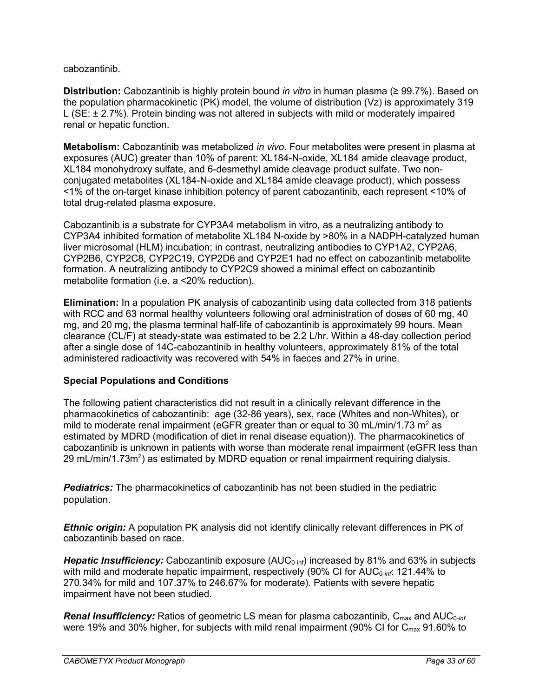cabozantinib.

**Distribution:** Cabozantinib is highly protein bound *in vitro* in human plasma (≥ 99.7%). Based on the population pharmacokinetic (PK) model, the volume of distribution (Vz) is approximately 319 L (SE: ± 2.7%). Protein binding was not altered in subjects with mild or moderately impaired renal or hepatic function.

**Metabolism:** Cabozantinib was metabolized *in vivo*. Four metabolites were present in plasma at exposures (AUC) greater than 10% of parent: XL184-N-oxide, XL184 amide cleavage product, XL184 monohydroxy sulfate, and 6-desmethyl amide cleavage product sulfate. Two nonconjugated metabolites (XL184-N-oxide and XL184 amide cleavage product), which possess <1% of the on-target kinase inhibition potency of parent cabozantinib, each represent <10% of total drug-related plasma exposure.

Cabozantinib is a substrate for CYP3A4 metabolism in vitro, as a neutralizing antibody to CYP3A4 inhibited formation of metabolite XL184 N-oxide by >80% in a NADPH-catalyzed human liver microsomal (HLM) incubation; in contrast, neutralizing antibodies to CYP1A2, CYP2A6, CYP2B6, CYP2C8, CYP2C19, CYP2D6 and CYP2E1 had no effect on cabozantinib metabolite formation. A neutralizing antibody to CYP2C9 showed a minimal effect on cabozantinib metabolite formation (i.e. a <20% reduction).

**Elimination:** In a population PK analysis of cabozantinib using data collected from 318 patients with RCC and 63 normal healthy volunteers following oral administration of doses of 60 mg, 40 mg, and 20 mg, the plasma terminal half-life of cabozantinib is approximately 99 hours. Mean clearance (CL/F) at steady-state was estimated to be 2.2 L/hr. Within a 48-day collection period after a single dose of 14C-cabozantinib in healthy volunteers, approximately 81% of the total administered radioactivity was recovered with 54% in faeces and 27% in urine.

### **Special Populations and Conditions**

The following patient characteristics did not result in a clinically relevant difference in the pharmacokinetics of cabozantinib: age (32-86 years), sex, race (Whites and non-Whites), or mild to moderate renal impairment (eGFR greater than or equal to 30 mL/min/1.73 m<sup>2</sup> as estimated by MDRD (modification of diet in renal disease equation)). The pharmacokinetics of cabozantinib is unknown in patients with worse than moderate renal impairment (eGFR less than 29 mL/min/1.73m $^2$ ) as estimated by MDRD equation or renal impairment requiring dialysis.

*Pediatrics:* The pharmacokinetics of cabozantinib has not been studied in the pediatric population.

*Ethnic origin:* A population PK analysis did not identify clinically relevant differences in PK of cabozantinib based on race.

*Hepatic Insufficiency:* Cabozantinib exposure (AUC<sub>0-inf</sub>) increased by 81% and 63% in subjects with mild and moderate hepatic impairment, respectively (90% CI for AUC<sub>0-inf</sub>: 121.44% to 270.34% for mild and 107.37% to 246.67% for moderate). Patients with severe hepatic impairment have not been studied.

*Renal Insufficiency:* Ratios of geometric LS mean for plasma cabozantinib, C<sub>max</sub> and AUC<sub>0-inf</sub> were 19% and 30% higher, for subjects with mild renal impairment (90% CI for  $C_{\text{max}}$  91.60% to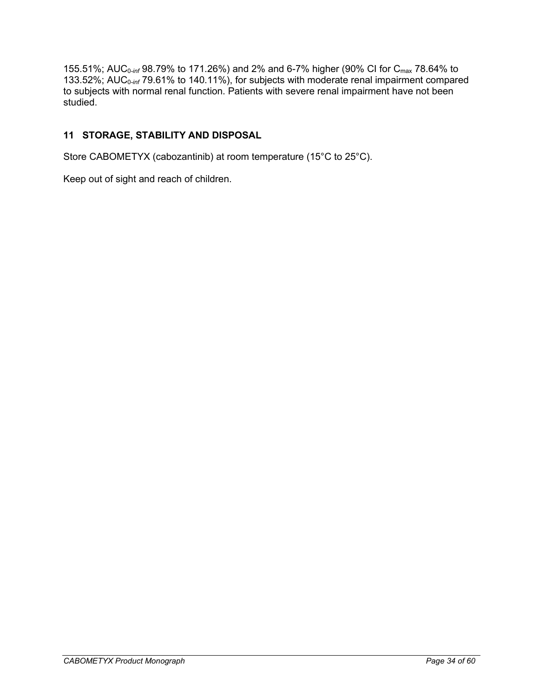155.51%; AUC<sub>0-inf</sub> 98.79% to 171.26%) and 2% and 6-7% higher (90% CI for C<sub>max</sub> 78.64% to 133.52%; AUC<sub>0-inf</sub> 79.61% to 140.11%), for subjects with moderate renal impairment compared to subjects with normal renal function. Patients with severe renal impairment have not been studied.

# <span id="page-33-0"></span>**11 STORAGE, STABILITY AND DISPOSAL**

Store CABOMETYX (cabozantinib) at room temperature (15°C to 25°C).

Keep out of sight and reach of children.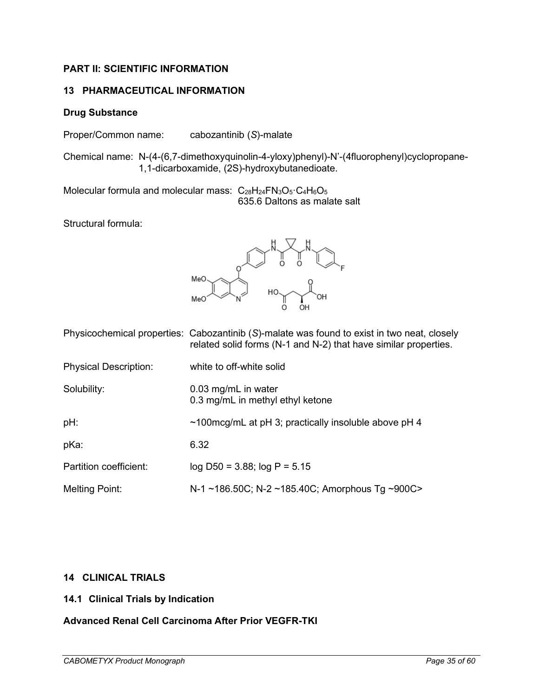# <span id="page-34-0"></span>**PART II: SCIENTIFIC INFORMATION**

### <span id="page-34-1"></span>**13 PHARMACEUTICAL INFORMATION**

### **Drug Substance**

Proper/Common name: cabozantinib (*S*)-malate

Chemical name: N-(4-(6,7-dimethoxyquinolin-4-yloxy)phenyl)-N'-(4fluorophenyl)cyclopropane-1,1-dicarboxamide, (2S)-hydroxybutanedioate.

Molecular formula and molecular mass:  $C_{28}H_{24}FN_{3}O_{5} \cdot C_{4}H_{6}O_{5}$ 635.6 Daltons as malate salt

Structural formula:



|                              | Physicochemical properties: Cabozantinib (S)-malate was found to exist in two neat, closely<br>related solid forms (N-1 and N-2) that have similar properties. |
|------------------------------|----------------------------------------------------------------------------------------------------------------------------------------------------------------|
| <b>Physical Description:</b> | white to off-white solid                                                                                                                                       |
| Solubility:                  | 0.03 mg/mL in water<br>0.3 mg/mL in methyl ethyl ketone                                                                                                        |
| pH:                          | $\sim$ 100mcg/mL at pH 3; practically insoluble above pH 4                                                                                                     |
| pKa:                         | 6.32                                                                                                                                                           |
| Partition coefficient:       | $log$ D50 = 3.88; $log P = 5.15$                                                                                                                               |
| <b>Melting Point:</b>        | N-1 ~186.50C; N-2 ~185.40C; Amorphous Tg ~900C>                                                                                                                |

### <span id="page-34-2"></span>**14 CLINICAL TRIALS**

### <span id="page-34-3"></span>**14.1 Clinical Trials by Indication**

### **Advanced Renal Cell Carcinoma After Prior VEGFR-TKI**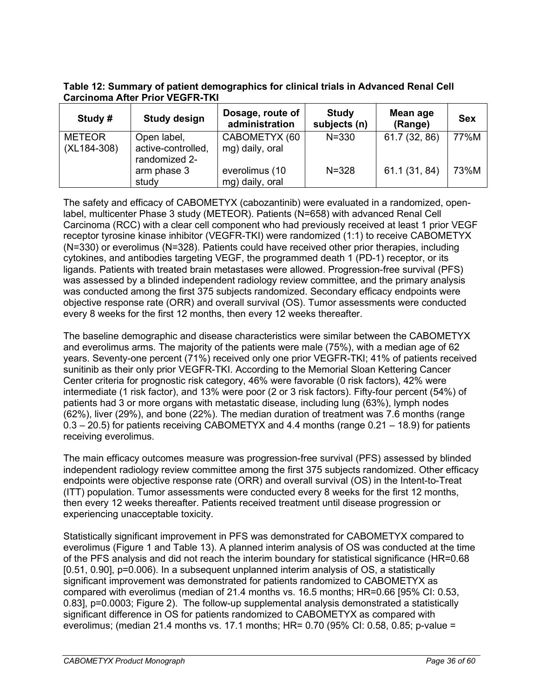**Table 12: Summary of patient demographics for clinical trials in Advanced Renal Cell Carcinoma After Prior VEGFR-TKI**

| Study #                      | <b>Study design</b>                                | Dosage, route of<br>administration | <b>Study</b><br>subjects (n) | Mean age<br>(Range) | <b>Sex</b> |
|------------------------------|----------------------------------------------------|------------------------------------|------------------------------|---------------------|------------|
| <b>METEOR</b><br>(XL184-308) | Open label,<br>active-controlled,<br>randomized 2- | CABOMETYX (60<br>mg) daily, oral   | $N = 330$                    | 61.7 (32, 86)       | 77%M       |
|                              | arm phase 3<br>study                               | everolimus (10<br>mg) daily, oral  | $N = 328$                    | 61.1 (31, 84)       | 73%M       |

The safety and efficacy of CABOMETYX (cabozantinib) were evaluated in a randomized, openlabel, multicenter Phase 3 study (METEOR). Patients (N=658) with advanced Renal Cell Carcinoma (RCC) with a clear cell component who had previously received at least 1 prior VEGF receptor tyrosine kinase inhibitor (VEGFR-TKI) were randomized (1:1) to receive CABOMETYX (N=330) or everolimus (N=328). Patients could have received other prior therapies, including cytokines, and antibodies targeting VEGF, the programmed death 1 (PD-1) receptor, or its ligands. Patients with treated brain metastases were allowed. Progression-free survival (PFS) was assessed by a blinded independent radiology review committee, and the primary analysis was conducted among the first 375 subjects randomized. Secondary efficacy endpoints were objective response rate (ORR) and overall survival (OS). Tumor assessments were conducted every 8 weeks for the first 12 months, then every 12 weeks thereafter.

The baseline demographic and disease characteristics were similar between the CABOMETYX and everolimus arms. The majority of the patients were male (75%), with a median age of 62 years. Seventy-one percent (71%) received only one prior VEGFR-TKI; 41% of patients received sunitinib as their only prior VEGFR-TKI. According to the Memorial Sloan Kettering Cancer Center criteria for prognostic risk category, 46% were favorable (0 risk factors), 42% were intermediate (1 risk factor), and 13% were poor (2 or 3 risk factors). Fifty-four percent (54%) of patients had 3 or more organs with metastatic disease, including lung (63%), lymph nodes (62%), liver (29%), and bone (22%). The median duration of treatment was 7.6 months (range 0.3 – 20.5) for patients receiving CABOMETYX and 4.4 months (range 0.21 – 18.9) for patients receiving everolimus.

The main efficacy outcomes measure was progression-free survival (PFS) assessed by blinded independent radiology review committee among the first 375 subjects randomized. Other efficacy endpoints were objective response rate (ORR) and overall survival (OS) in the Intent-to-Treat (ITT) population. Tumor assessments were conducted every 8 weeks for the first 12 months, then every 12 weeks thereafter. Patients received treatment until disease progression or experiencing unacceptable toxicity.

Statistically significant improvement in PFS was demonstrated for CABOMETYX compared to everolimus (Figure 1 and Table 13). A planned interim analysis of OS was conducted at the time of the PFS analysis and did not reach the interim boundary for statistical significance (HR=0.68 [0.51, 0.90], p=0.006). In a subsequent unplanned interim analysis of OS, a statistically significant improvement was demonstrated for patients randomized to CABOMETYX as compared with everolimus (median of 21.4 months vs. 16.5 months; HR=0.66 [95% CI: 0.53, 0.83], p=0.0003; Figure 2). The follow-up supplemental analysis demonstrated a statistically significant difference in OS for patients randomized to CABOMETYX as compared with everolimus; (median 21.4 months vs. 17.1 months; HR= 0.70 (95% CI: 0.58, 0.85; p-value =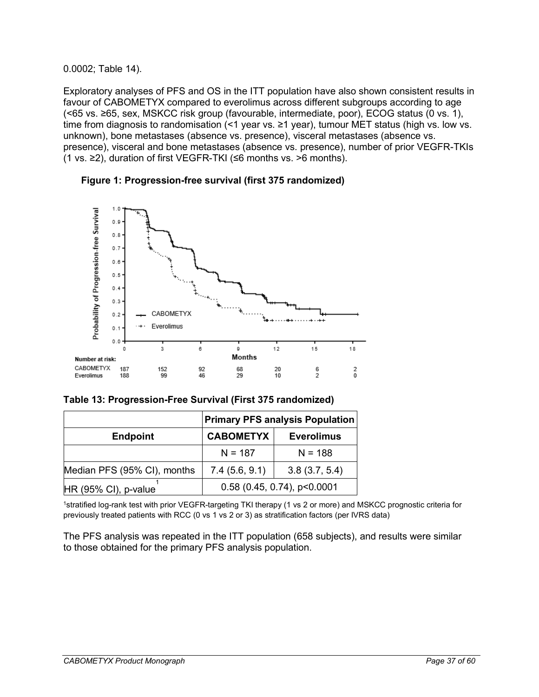#### 0.0002; Table 14).

Exploratory analyses of PFS and OS in the ITT population have also shown consistent results in favour of CABOMETYX compared to everolimus across different subgroups according to age (<65 vs. ≥65, sex, MSKCC risk group (favourable, intermediate, poor), ECOG status (0 vs. 1), time from diagnosis to randomisation (<1 year vs. ≥1 year), tumour MET status (high vs. low vs. unknown), bone metastases (absence vs. presence), visceral metastases (absence vs. presence), visceral and bone metastases (absence vs. presence), number of prior VEGFR-TKIs (1 vs. ≥2), duration of first VEGFR-TKI (≤6 months vs. >6 months).





|                             |                  | <b>Primary PFS analysis Population</b> |
|-----------------------------|------------------|----------------------------------------|
| <b>Endpoint</b>             | <b>CABOMETYX</b> | <b>Everolimus</b>                      |
|                             | $N = 187$        | $N = 188$                              |
| Median PFS (95% CI), months | 7.4(5.6, 9.1)    | 3.8(3.7, 5.4)                          |
| $HR (95% Cl)$ , p-value     |                  | $0.58$ (0.45, 0.74), p<0.0001          |

1stratified log-rank test with prior VEGFR-targeting TKI therapy (1 vs 2 or more) and MSKCC prognostic criteria for previously treated patients with RCC (0 vs 1 vs 2 or 3) as stratification factors (per IVRS data)

The PFS analysis was repeated in the ITT population (658 subjects), and results were similar to those obtained for the primary PFS analysis population.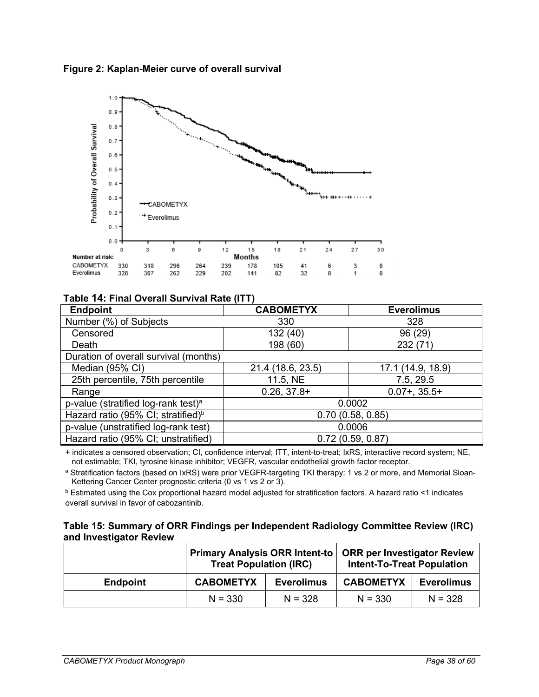



## **Table 14: Final Overall Survival Rate (ITT)**

| <b>Endpoint</b>                                 | <b>CABOMETYX</b>  | <b>Everolimus</b> |
|-------------------------------------------------|-------------------|-------------------|
| Number (%) of Subjects                          | 330               | 328               |
| Censored                                        | 132(40)           | 96 (29)           |
| Death                                           | 198 (60)          | 232 (71)          |
| Duration of overall survival (months)           |                   |                   |
| Median (95% CI)                                 | 21.4 (18.6, 23.5) | 17.1 (14.9, 18.9) |
| 25th percentile, 75th percentile                | 11.5, NE          | 7.5, 29.5         |
| Range                                           | $0.26, 37.8+$     | $0.07 + 0.35.5 +$ |
| p-value (stratified log-rank test) <sup>a</sup> |                   | 0.0002            |
| Hazard ratio (95% CI; stratified) <sup>b</sup>  | 0.70(0.58, 0.85)  |                   |
| p-value (unstratified log-rank test)            | 0.0006            |                   |
| Hazard ratio (95% CI; unstratified)             |                   | 0.72(0.59, 0.87)  |

+ indicates a censored observation; CI, confidence interval; ITT, intent-to-treat; IxRS, interactive record system; NE, not estimable; TKI, tyrosine kinase inhibitor; VEGFR, vascular endothelial growth factor receptor.

a Stratification factors (based on IxRS) were prior VEGFR-targeting TKI therapy: 1 vs 2 or more, and Memorial Sloan-Kettering Cancer Center prognostic criteria (0 vs 1 vs 2 or 3).

<sup>b</sup> Estimated using the Cox proportional hazard model adjusted for stratification factors. A hazard ratio <1 indicates overall survival in favor of cabozantinib.

#### **Table 15: Summary of ORR Findings per Independent Radiology Committee Review (IRC) and Investigator Review**

|                 | <b>Primary Analysis ORR Intent-to</b><br><b>Treat Population (IRC)</b> |                   | <b>ORR per Investigator Review</b><br><b>Intent-To-Treat Population</b> |                   |
|-----------------|------------------------------------------------------------------------|-------------------|-------------------------------------------------------------------------|-------------------|
| <b>Endpoint</b> | <b>CABOMETYX</b>                                                       | <b>Everolimus</b> | <b>CABOMETYX</b>                                                        | <b>Everolimus</b> |
|                 | $N = 330$                                                              | $N = 328$         | $N = 330$                                                               | $N = 328$         |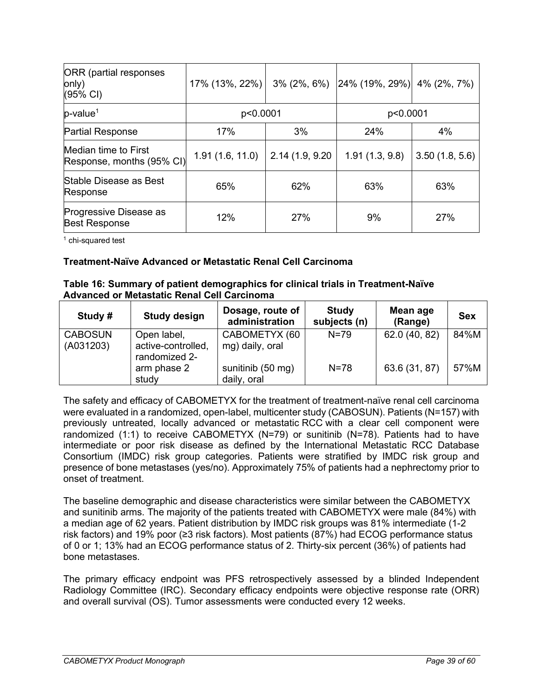| <b>ORR</b> (partial responses<br>only)<br>(95% CI) | 17% (13%, 22%)  |                 | $3\%$ (2%, 6%) 24% (19%, 29%) | 4% (2%, 7%)    |  |
|----------------------------------------------------|-----------------|-----------------|-------------------------------|----------------|--|
| $p$ -value <sup>1</sup>                            | p<0.0001        |                 | p<0.0001                      |                |  |
| <b>Partial Response</b>                            | 17%             | 3%              | 24%                           | 4%             |  |
| Median time to First<br>Response, months (95% CI)  | 1.91(1.6, 11.0) | 2.14 (1.9, 9.20 | 1.91(1.3, 9.8)                | 3.50(1.8, 5.6) |  |
| Stable Disease as Best<br>Response                 | 65%             | 62%             | 63%                           | 63%            |  |
| Progressive Disease as<br><b>Best Response</b>     | 12%             | 27%             | 9%                            | 27%            |  |

<sup>1</sup> chi-squared test

#### **Treatment-Naïve Advanced or Metastatic Renal Cell Carcinoma**

| Table 16: Summary of patient demographics for clinical trials in Treatment-Naïve |
|----------------------------------------------------------------------------------|
| Advanced or Metastatic Renal Cell Carcinoma                                      |

| Study #                     | <b>Study design</b>                                | Dosage, route of<br>administration | <b>Study</b><br>subjects (n) | Mean age<br>(Range) | <b>Sex</b> |
|-----------------------------|----------------------------------------------------|------------------------------------|------------------------------|---------------------|------------|
| <b>CABOSUN</b><br>(A031203) | Open label,<br>active-controlled,<br>randomized 2- | CABOMETYX (60<br>mg) daily, oral   | $N = 79$                     | 62.0 (40, 82)       | 84%M       |
|                             | arm phase 2<br>study                               | sunitinib (50 mg)<br>daily, oral   | $N = 78$                     | 63.6 (31, 87)       | 57%M       |

The safety and efficacy of CABOMETYX for the treatment of treatment-naïve renal cell carcinoma were evaluated in a randomized, open-label, multicenter study (CABOSUN). Patients (N=157) with previously untreated, locally advanced or metastatic RCC with a clear cell component were randomized (1:1) to receive CABOMETYX (N=79) or sunitinib (N=78). Patients had to have intermediate or poor risk disease as defined by the International Metastatic RCC Database Consortium (IMDC) risk group categories. Patients were stratified by IMDC risk group and presence of bone metastases (yes/no). Approximately 75% of patients had a nephrectomy prior to onset of treatment.

The baseline demographic and disease characteristics were similar between the CABOMETYX and sunitinib arms. The majority of the patients treated with CABOMETYX were male (84%) with a median age of 62 years. Patient distribution by IMDC risk groups was 81% intermediate (1-2 risk factors) and 19% poor (≥3 risk factors). Most patients (87%) had ECOG performance status of 0 or 1; 13% had an ECOG performance status of 2. Thirty-six percent (36%) of patients had bone metastases.

The primary efficacy endpoint was PFS retrospectively assessed by a blinded Independent Radiology Committee (IRC). Secondary efficacy endpoints were objective response rate (ORR) and overall survival (OS). Tumor assessments were conducted every 12 weeks.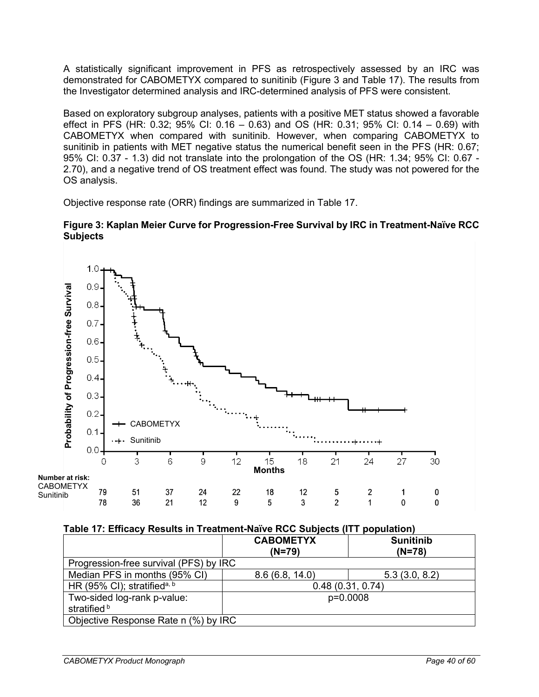A statistically significant improvement in PFS as retrospectively assessed by an IRC was demonstrated for CABOMETYX compared to sunitinib (Figure 3 and Table 17). The results from the Investigator determined analysis and IRC-determined analysis of PFS were consistent.

Based on exploratory subgroup analyses, patients with a positive MET status showed a favorable effect in PFS (HR: 0.32; 95% CI: 0.16 – 0.63) and OS (HR: 0.31; 95% CI: 0.14 – 0.69) with CABOMETYX when compared with sunitinib. However, when comparing CABOMETYX to sunitinib in patients with MET negative status the numerical benefit seen in the PFS (HR: 0.67; 95% CI: 0.37 - 1.3) did not translate into the prolongation of the OS (HR: 1.34; 95% CI: 0.67 - 2.70), and a negative trend of OS treatment effect was found. The study was not powered for the OS analysis.

Objective response rate (ORR) findings are summarized in Table 17.

#### **Figure 3: Kaplan Meier Curve for Progression-Free Survival by IRC in Treatment-Naïve RCC Subjects**



### **Table 17: Efficacy Results in Treatment-Naïve RCC Subjects (ITT population)**

|                                             | <b>CABOMETYX</b><br>$(N=79)$ | <b>Sunitinib</b><br>$(N=78)$ |  |
|---------------------------------------------|------------------------------|------------------------------|--|
| Progression-free survival (PFS) by IRC      |                              |                              |  |
| Median PFS in months (95% CI)               | 8.6(6.8, 14.0)               | 5.3(3.0, 8.2)                |  |
| HR (95% CI); stratified <sup>a, b</sup>     |                              | 0.48(0.31, 0.74)             |  |
| Two-sided log-rank p-value:<br>stratified b |                              | p=0.0008                     |  |
| Objective Response Rate n (%) by IRC        |                              |                              |  |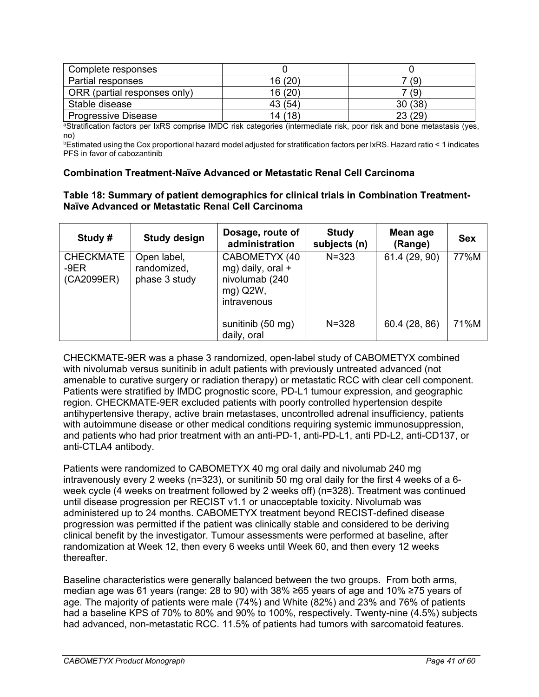| Complete responses           |         |        |
|------------------------------|---------|--------|
| Partial responses            | 16 (20) | (9)    |
| ORR (partial responses only) | 16 (20) | 7 (9)  |
| Stable disease               | 43 (54) | 30(38) |
| <b>Progressive Disease</b>   | 14 (18) | 23(29) |

aStratification factors per IxRS comprise IMDC risk categories (intermediate risk, poor risk and bone metastasis (yes, no)

bEstimated using the Cox proportional hazard model adjusted for stratification factors per IxRS. Hazard ratio < 1 indicates PFS in favor of cabozantinib

#### **Combination Treatment-Naïve Advanced or Metastatic Renal Cell Carcinoma**

#### **Table 18: Summary of patient demographics for clinical trials in Combination Treatment-Naïve Advanced or Metastatic Renal Cell Carcinoma**

| Study #                                  | <b>Study design</b>                         | Dosage, route of<br>administration                                              | <b>Study</b><br>subjects (n) | Mean age<br>(Range) | <b>Sex</b> |
|------------------------------------------|---------------------------------------------|---------------------------------------------------------------------------------|------------------------------|---------------------|------------|
| <b>CHECKMATE</b><br>$-9ER$<br>(CA2099ER) | Open label,<br>randomized,<br>phase 3 study | CABOMETYX (40<br>mg) daily, oral +<br>nivolumab (240<br>mg) Q2W,<br>intravenous | $N = 323$                    | 61.4 (29, 90)       | 77%M       |
|                                          |                                             | sunitinib (50 mg)<br>daily, oral                                                | $N = 328$                    | 60.4 (28, 86)       | 71%M       |

CHECKMATE-9ER was a phase 3 randomized, open-label study of CABOMETYX combined with nivolumab versus sunitinib in adult patients with previously untreated advanced (not amenable to curative surgery or radiation therapy) or metastatic RCC with clear cell component. Patients were stratified by IMDC prognostic score, PD-L1 tumour expression, and geographic region. CHECKMATE-9ER excluded patients with poorly controlled hypertension despite antihypertensive therapy, active brain metastases, uncontrolled adrenal insufficiency, patients with autoimmune disease or other medical conditions requiring systemic immunosuppression, and patients who had prior treatment with an anti-PD-1, anti-PD-L1, anti PD-L2, anti-CD137, or anti-CTLA4 antibody.

Patients were randomized to CABOMETYX 40 mg oral daily and nivolumab 240 mg intravenously every 2 weeks (n=323), or sunitinib 50 mg oral daily for the first 4 weeks of a 6 week cycle (4 weeks on treatment followed by 2 weeks off) (n=328). Treatment was continued until disease progression per RECIST v1.1 or unacceptable toxicity. Nivolumab was administered up to 24 months. CABOMETYX treatment beyond RECIST-defined disease progression was permitted if the patient was clinically stable and considered to be deriving clinical benefit by the investigator. Tumour assessments were performed at baseline, after randomization at Week 12, then every 6 weeks until Week 60, and then every 12 weeks thereafter.

Baseline characteristics were generally balanced between the two groups. From both arms, median age was 61 years (range: 28 to 90) with 38% ≥65 years of age and 10% ≥75 years of age. The majority of patients were male (74%) and White (82%) and 23% and 76% of patients had a baseline KPS of 70% to 80% and 90% to 100%, respectively. Twenty-nine (4.5%) subjects had advanced, non-metastatic RCC. 11.5% of patients had tumors with sarcomatoid features.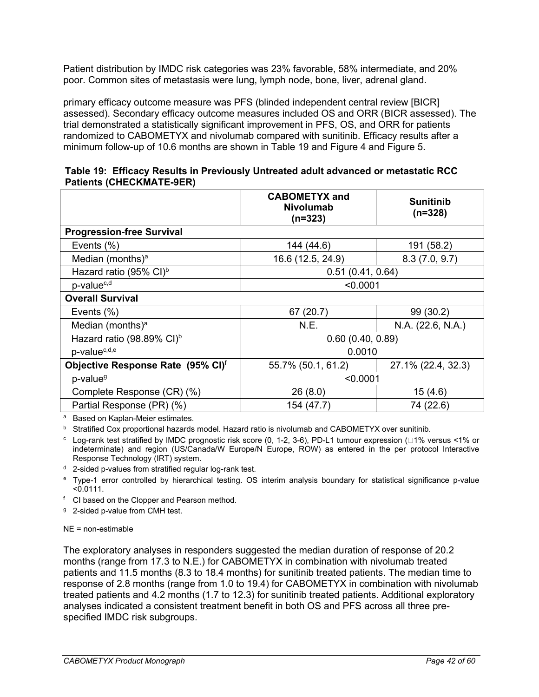Patient distribution by IMDC risk categories was 23% favorable, 58% intermediate, and 20% poor. Common sites of metastasis were lung, lymph node, bone, liver, adrenal gland.

primary efficacy outcome measure was PFS (blinded independent central review [BICR] assessed). Secondary efficacy outcome measures included OS and ORR (BICR assessed). The trial demonstrated a statistically significant improvement in PFS, OS, and ORR for patients randomized to CABOMETYX and nivolumab compared with sunitinib. Efficacy results after a minimum follow-up of 10.6 months are shown in Table 19 and Figure 4 and Figure 5.

|                                 | Table 19: Efficacy Results in Previously Untreated adult advanced or metastatic RCC |
|---------------------------------|-------------------------------------------------------------------------------------|
| <b>Patients (CHECKMATE-9ER)</b> |                                                                                     |

|                                       | <b>CABOMETYX and</b><br><b>Nivolumab</b><br>$(n=323)$ | <b>Sunitinib</b><br>$(n=328)$ |  |
|---------------------------------------|-------------------------------------------------------|-------------------------------|--|
| <b>Progression-free Survival</b>      |                                                       |                               |  |
| Events $(\%)$                         | 144 (44.6)                                            | 191 (58.2)                    |  |
| Median (months) <sup>a</sup>          | 16.6 (12.5, 24.9)                                     | 8.3(7.0, 9.7)                 |  |
| Hazard ratio (95% CI) <sup>b</sup>    | 0.51(0.41, 0.64)                                      |                               |  |
| p-value <sup>c,d</sup>                | < 0.0001                                              |                               |  |
| <b>Overall Survival</b>               |                                                       |                               |  |
| Events $(\%)$                         | 67 (20.7)                                             | 99 (30.2)                     |  |
| Median (months) <sup>a</sup>          | N.E.                                                  | N.A. (22.6, N.A.)             |  |
| Hazard ratio (98.89% CI) <sup>b</sup> | 0.60(0.40, 0.89)                                      |                               |  |
| p-value <sup>c,d,e</sup>              | 0.0010                                                |                               |  |
| Objective Response Rate (95% CI)f     | 55.7% (50.1, 61.2)                                    | 27.1% (22.4, 32.3)            |  |
| p-value <sup>g</sup>                  | < 0.0001                                              |                               |  |
| Complete Response (CR) (%)            | 26(8.0)                                               | 15(4.6)                       |  |
| Partial Response (PR) (%)             | 154 (47.7)                                            | 74 (22.6)                     |  |

<sup>a</sup> Based on Kaplan-Meier estimates.

**b** Stratified Cox proportional hazards model. Hazard ratio is nivolumab and CABOMETYX over sunitinib.

 $c$  Log-rank test stratified by IMDC prognostic risk score (0, 1-2, 3-6), PD-L1 tumour expression ( $\Box$ 1% versus <1% or indeterminate) and region (US/Canada/W Europe/N Europe, ROW) as entered in the per protocol Interactive Response Technology (IRT) system.

<sup>d</sup> 2-sided p-values from stratified regular log-rank test.

<sup>e</sup> Type-1 error controlled by hierarchical testing. OS interim analysis boundary for statistical significance p-value  $\sim$  0.0111.

<sup>f</sup> CI based on the Clopper and Pearson method.

<sup>g</sup> 2-sided p-value from CMH test.

NE = non-estimable

The exploratory analyses in responders suggested the median duration of response of 20.2 months (range from 17.3 to N.E.) for CABOMETYX in combination with nivolumab treated patients and 11.5 months (8.3 to 18.4 months) for sunitinib treated patients. The median time to response of 2.8 months (range from 1.0 to 19.4) for CABOMETYX in combination with nivolumab treated patients and 4.2 months (1.7 to 12.3) for sunitinib treated patients. Additional exploratory analyses indicated a consistent treatment benefit in both OS and PFS across all three prespecified IMDC risk subgroups.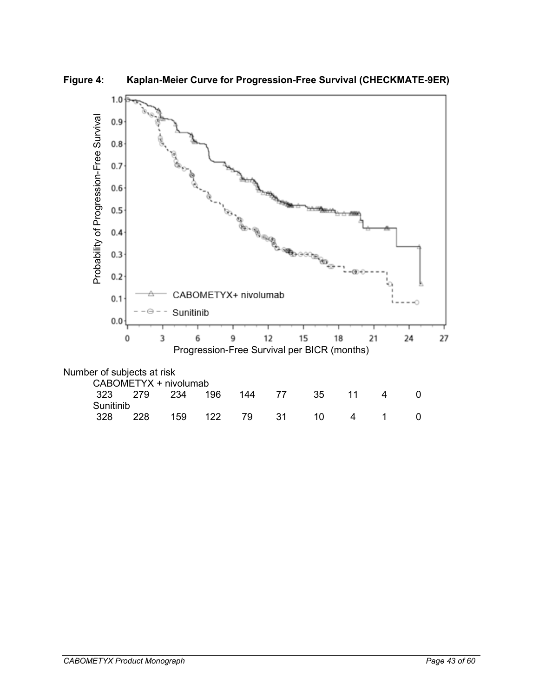

**Figure 4: Kaplan-Meier Curve for Progression-Free Survival (CHECKMATE-9ER)**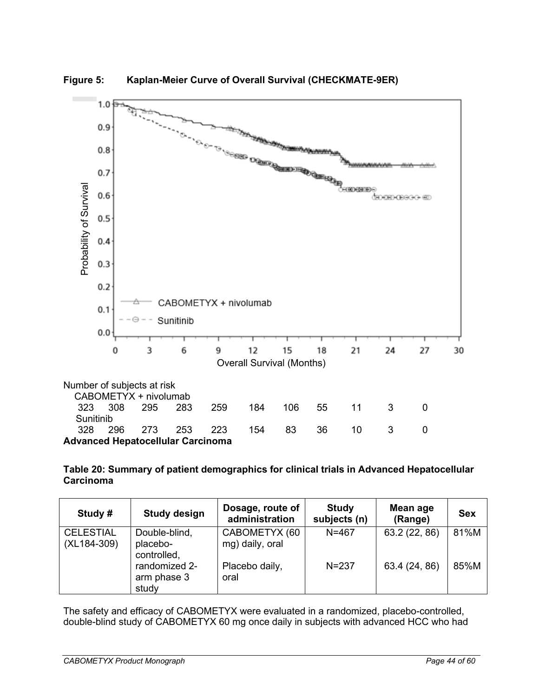

**Figure 5: Kaplan-Meier Curve of Overall Survival (CHECKMATE-9ER)** 

**Table 20: Summary of patient demographics for clinical trials in Advanced Hepatocellular Carcinoma** 

| Study #                         | <b>Study design</b>                      | Dosage, route of<br>administration | <b>Study</b><br>subjects (n) | Mean age<br>(Range) | <b>Sex</b> |
|---------------------------------|------------------------------------------|------------------------------------|------------------------------|---------------------|------------|
| <b>CELESTIAL</b><br>(XL184-309) | Double-blind,<br>placebo-<br>controlled, | CABOMETYX (60<br>mg) daily, oral   | $N = 467$                    | 63.2 (22, 86)       | 81%M       |
|                                 | randomized 2-<br>arm phase 3<br>study    | Placebo daily,<br>oral             | $N = 237$                    | 63.4 (24, 86)       | 85%M       |

The safety and efficacy of CABOMETYX were evaluated in a randomized, placebo-controlled, double-blind study of CABOMETYX 60 mg once daily in subjects with advanced HCC who had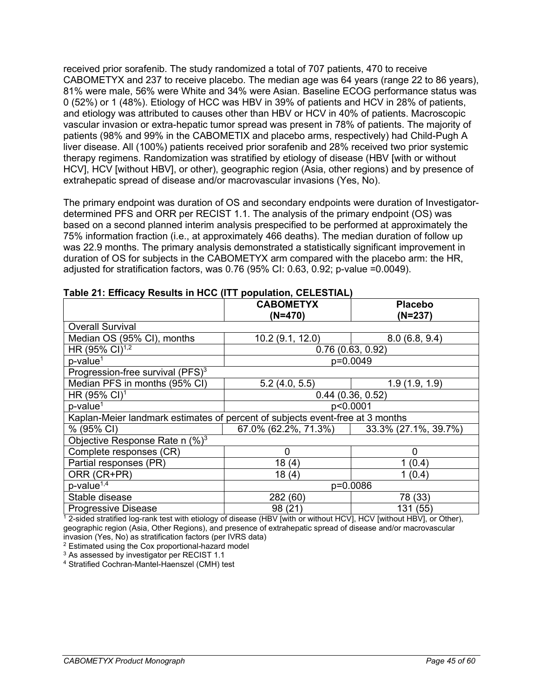received prior sorafenib. The study randomized a total of 707 patients, 470 to receive CABOMETYX and 237 to receive placebo. The median age was 64 years (range 22 to 86 years), 81% were male, 56% were White and 34% were Asian. Baseline ECOG performance status was 0 (52%) or 1 (48%). Etiology of HCC was HBV in 39% of patients and HCV in 28% of patients, and etiology was attributed to causes other than HBV or HCV in 40% of patients. Macroscopic vascular invasion or extra-hepatic tumor spread was present in 78% of patients. The majority of patients (98% and 99% in the CABOMETIX and placebo arms, respectively) had Child-Pugh A liver disease. All (100%) patients received prior sorafenib and 28% received two prior systemic therapy regimens. Randomization was stratified by etiology of disease (HBV [with or without HCV], HCV [without HBV], or other), geographic region (Asia, other regions) and by presence of extrahepatic spread of disease and/or macrovascular invasions (Yes, No).

The primary endpoint was duration of OS and secondary endpoints were duration of Investigatordetermined PFS and ORR per RECIST 1.1. The analysis of the primary endpoint (OS) was based on a second planned interim analysis prespecified to be performed at approximately the 75% information fraction (i.e., at approximately 466 deaths). The median duration of follow up was 22.9 months. The primary analysis demonstrated a statistically significant improvement in duration of OS for subjects in the CABOMETYX arm compared with the placebo arm: the HR, adjusted for stratification factors, was 0.76 (95% CI: 0.63, 0.92; p-value =0.0049).

| $1$ able $21$ . Embacy results in 1100 (111 population, OLLLOTIAL             |                      |                      |  |
|-------------------------------------------------------------------------------|----------------------|----------------------|--|
|                                                                               | <b>CABOMETYX</b>     | <b>Placebo</b>       |  |
|                                                                               | (N=470)              | (N=237)              |  |
| <b>Overall Survival</b>                                                       |                      |                      |  |
| Median OS (95% CI), months                                                    | 10.2 (9.1, 12.0)     | 8.0(6.8, 9.4)        |  |
| HR (95% CI) <sup>1,2</sup>                                                    |                      | 0.76(0.63, 0.92)     |  |
| $p$ -value <sup>1</sup>                                                       |                      | p=0.0049             |  |
| Progression-free survival (PFS) <sup>3</sup>                                  |                      |                      |  |
| Median PFS in months (95% CI)                                                 | 5.2(4.0, 5.5)        | 1.9(1.9, 1.9)        |  |
| HR $(95\% \text{ Cl})^1$                                                      | 0.44(0.36, 0.52)     |                      |  |
| $p$ -value <sup>1</sup>                                                       |                      | p<0.0001             |  |
| Kaplan-Meier landmark estimates of percent of subjects event-free at 3 months |                      |                      |  |
| % (95% CI)                                                                    | 67.0% (62.2%, 71.3%) | 33.3% (27.1%, 39.7%) |  |
| Objective Response Rate n $(\%)^3$                                            |                      |                      |  |
| Complete responses (CR)                                                       | 0                    | 0                    |  |
| Partial responses (PR)                                                        | 18(4)                | (0.4)                |  |
| ORR (CR+PR)                                                                   | 18(4)                | 1(0.4)               |  |
| $p$ -value <sup>1,4</sup>                                                     | p=0.0086             |                      |  |
| Stable disease                                                                | 282 (60)             | 78 (33)              |  |
| <b>Progressive Disease</b>                                                    | 98 (21)              | 131 (55)             |  |

#### **Table 21: Efficacy Results in HCC (ITT population, CELESTIAL)**

 $^{\rm 1}$  2-sided stratified log-rank test with etiology of disease (HBV [with or without HCV], HCV [without HBV], or Other), geographic region (Asia, Other Regions), and presence of extrahepatic spread of disease and/or macrovascular invasion (Yes, No) as stratification factors (per IVRS data)

<sup>2</sup> Estimated using the Cox proportional-hazard model

<sup>3</sup> As assessed by investigator per RECIST 1.1

<sup>4</sup> Stratified Cochran-Mantel-Haenszel (CMH) test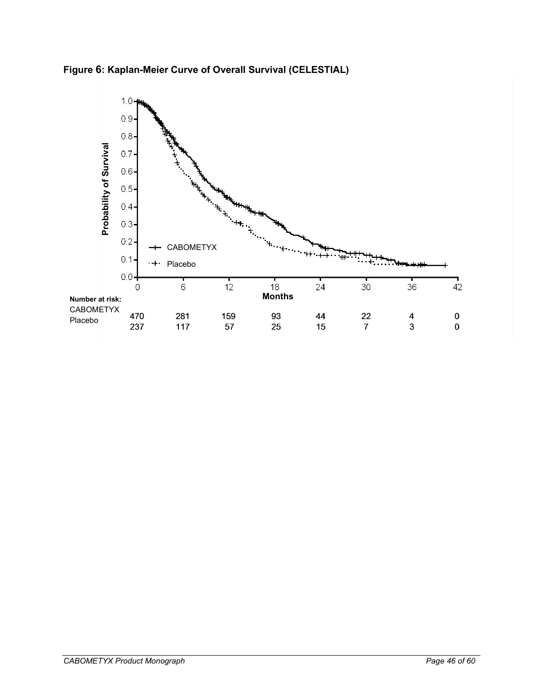**Figure 6: Kaplan-Meier Curve of Overall Survival (CELESTIAL)**

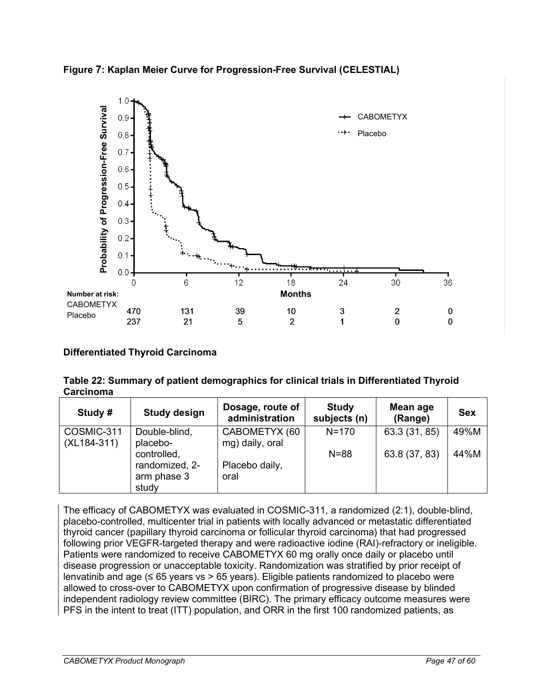



# **Differentiated Thyroid Carcinoma**

| Table 22: Summary of patient demographics for clinical trials in Differentiated Thyroid |  |
|-----------------------------------------------------------------------------------------|--|
| Carcinoma                                                                               |  |

| Study #                   | <b>Study design</b>                                   | Dosage, route of<br>administration | <b>Study</b><br>subjects (n) | Mean age<br>(Range) | <b>Sex</b> |
|---------------------------|-------------------------------------------------------|------------------------------------|------------------------------|---------------------|------------|
| COSMIC-311<br>(XL184-311) | Double-blind,<br>placebo-                             | CABOMETYX (60<br>mg) daily, oral   | $N = 170$                    | 63.3 (31, 85)       | 49%M       |
|                           | controlled,<br>randomized, 2-<br>arm phase 3<br>study | Placebo daily,<br>oral             | $N = 88$                     | 63.8 (37, 83)       | 44%M       |

The efficacy of CABOMETYX was evaluated in COSMIC-311, a randomized (2:1), double-blind, placebo-controlled, multicenter trial in patients with locally advanced or metastatic differentiated thyroid cancer (papillary thyroid carcinoma or follicular thyroid carcinoma) that had progressed following prior VEGFR-targeted therapy and were radioactive iodine (RAI)-refractory or ineligible. Patients were randomized to receive CABOMETYX 60 mg orally once daily or placebo until disease progression or unacceptable toxicity. Randomization was stratified by prior receipt of lenvatinib and age ( $\leq 65$  years vs > 65 years). Eligible patients randomized to placebo were allowed to cross-over to CABOMETYX upon confirmation of progressive disease by blinded independent radiology review committee (BIRC). The primary efficacy outcome measures were<br>PFS in the intent to treat (ITT) population, and ORR in the first 100 randomized patients, as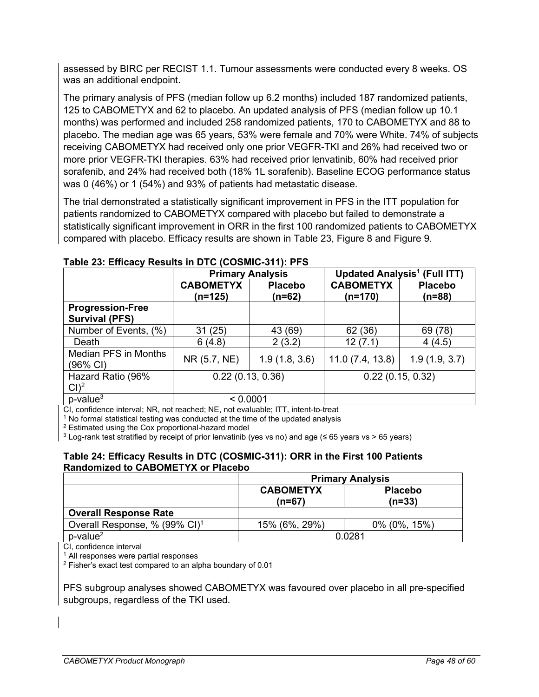assessed by BIRC per RECIST 1.1. Tumour assessments were conducted every 8 weeks. OS was an additional endpoint.

The primary analysis of PFS (median follow up 6.2 months) included 187 randomized patients, 125 to CABOMETYX and 62 to placebo. An updated analysis of PFS (median follow up 10.1 months) was performed and included 258 randomized patients, 170 to CABOMETYX and 88 to placebo. The median age was 65 years, 53% were female and 70% were White. 74% of subjects receiving CABOMETYX had received only one prior VEGFR-TKI and 26% had received two or more prior VEGFR-TKI therapies. 63% had received prior lenvatinib, 60% had received prior sorafenib, and 24% had received both (18% 1L sorafenib). Baseline ECOG performance status was 0 (46%) or 1 (54%) and 93% of patients had metastatic disease.

The trial demonstrated a statistically significant improvement in PFS in the ITT population for patients randomized to CABOMETYX compared with placebo but failed to demonstrate a statistically significant improvement in ORR in the first 100 randomized patients to CABOMETYX compared with placebo. Efficacy results are shown in Table 23, Figure 8 and Figure 9.

|                                         | <b>Primary Analysis</b>       |                          | <b>Updated Analysis<sup>1</sup></b> (Full ITT) |                            |  |
|-----------------------------------------|-------------------------------|--------------------------|------------------------------------------------|----------------------------|--|
|                                         | <b>CABOMETYX</b><br>$(n=125)$ | <b>Placebo</b><br>(n=62) | <b>CABOMETYX</b><br>$(n=170)$                  | <b>Placebo</b><br>$(n=88)$ |  |
| <b>Progression-Free</b>                 |                               |                          |                                                |                            |  |
| <b>Survival (PFS)</b>                   |                               |                          |                                                |                            |  |
| Number of Events, (%)                   | 31(25)                        | 43 (69)                  | 62 (36)                                        | 69 (78)                    |  |
| Death                                   | 6(4.8)                        | 2(3.2)                   | 12(7.1)                                        | 4(4.5)                     |  |
| <b>Median PFS in Months</b><br>(96% CI) | NR (5.7, NE)                  | 1.9(1.8, 3.6)            | 11.0(7.4, 13.8)                                | 1.9(1.9, 3.7)              |  |
| Hazard Ratio (96%                       | 0.22(0.13, 0.36)              |                          | 0.22(0.15, 0.32)                               |                            |  |
| Cl <sup>2</sup>                         |                               |                          |                                                |                            |  |
| $p$ -value $3$                          | < 0.0001                      |                          |                                                |                            |  |

### **Table 23: Efficacy Results in DTC (COSMIC-311): PFS**

CI, confidence interval; NR, not reached; NE, not evaluable; ITT, intent-to-treat

 $1$  No formal statistical testing was conducted at the time of the updated analysis

<sup>2</sup> Estimated using the Cox proportional-hazard model

<sup>3</sup> Log-rank test stratified by receipt of prior lenvatinib (yes vs no) and age (≤ 65 years vs > 65 years)

#### **Table 24: Efficacy Results in DTC (COSMIC-311): ORR in the First 100 Patients Randomized to CABOMETYX or Placebo**

|                                           | <b>Primary Analysis</b>      |                            |  |
|-------------------------------------------|------------------------------|----------------------------|--|
|                                           | <b>CABOMETYX</b><br>$(n=67)$ | <b>Placebo</b><br>$(n=33)$ |  |
| <b>Overall Response Rate</b>              |                              |                            |  |
| Overall Response, % (99% CI) <sup>1</sup> | 15% (6%, 29%)                | $0\%$ (0%, 15%)            |  |
| $p$ -value $^2$                           | 0.0281                       |                            |  |

CI, confidence interval

<sup>1</sup> All responses were partial responses

<sup>2</sup> Fisher's exact test compared to an alpha boundary of 0.01

PFS subgroup analyses showed CABOMETYX was favoured over placebo in all pre-specified subgroups, regardless of the TKI used.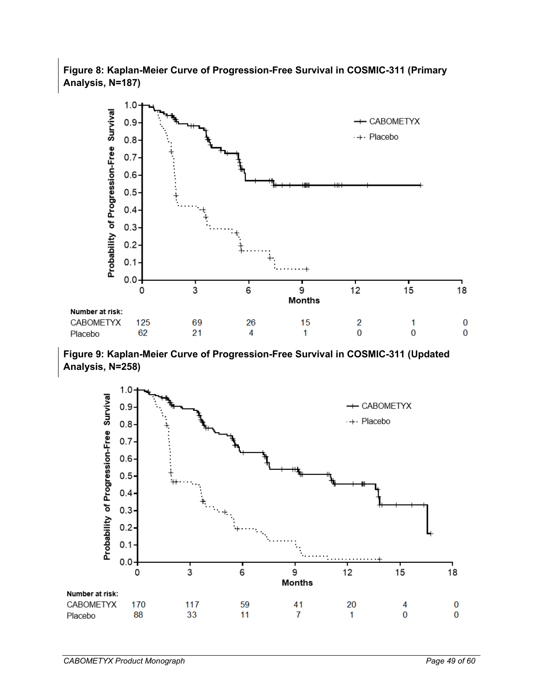# **Figure 8: Kaplan-Meier Curve of Progression-Free Survival in COSMIC-311 (Primary Analysis, N=187)**



**Figure 9: Kaplan-Meier Curve of Progression-Free Survival in COSMIC-311 (Updated Analysis, N=258)**

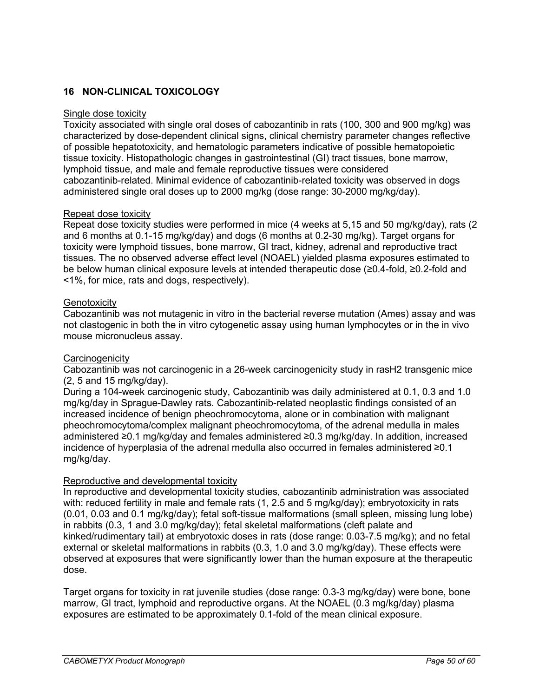# <span id="page-49-0"></span>**16 NON-CLINICAL TOXICOLOGY**

#### Single dose toxicity

Toxicity associated with single oral doses of cabozantinib in rats (100, 300 and 900 mg/kg) was characterized by dose-dependent clinical signs, clinical chemistry parameter changes reflective of possible hepatotoxicity, and hematologic parameters indicative of possible hematopoietic tissue toxicity. Histopathologic changes in gastrointestinal (GI) tract tissues, bone marrow, lymphoid tissue, and male and female reproductive tissues were considered cabozantinib-related. Minimal evidence of cabozantinib-related toxicity was observed in dogs administered single oral doses up to 2000 mg/kg (dose range: 30-2000 mg/kg/day).

#### Repeat dose toxicity

Repeat dose toxicity studies were performed in mice (4 weeks at 5,15 and 50 mg/kg/day), rats (2 and 6 months at 0.1-15 mg/kg/day) and dogs (6 months at 0.2-30 mg/kg). Target organs for toxicity were lymphoid tissues, bone marrow, GI tract, kidney, adrenal and reproductive tract tissues. The no observed adverse effect level (NOAEL) yielded plasma exposures estimated to be below human clinical exposure levels at intended therapeutic dose (≥0.4-fold, ≥0.2-fold and <1%, for mice, rats and dogs, respectively).

#### **Genotoxicity**

Cabozantinib was not mutagenic in vitro in the bacterial reverse mutation (Ames) assay and was not clastogenic in both the in vitro cytogenetic assay using human lymphocytes or in the in vivo mouse micronucleus assay.

### <span id="page-49-1"></span>**Carcinogenicity**

Cabozantinib was not carcinogenic in a 26-week carcinogenicity study in rasH2 transgenic mice (2, 5 and 15 mg/kg/day).

During a 104-week carcinogenic study, Cabozantinib was daily administered at 0.1, 0.3 and 1.0 mg/kg/day in Sprague-Dawley rats. Cabozantinib-related neoplastic findings consisted of an increased incidence of benign pheochromocytoma, alone or in combination with malignant pheochromocytoma/complex malignant pheochromocytoma, of the adrenal medulla in males administered ≥0.1 mg/kg/day and females administered ≥0.3 mg/kg/day. In addition, increased incidence of hyperplasia of the adrenal medulla also occurred in females administered ≥0.1 mg/kg/day.

### Reproductive and developmental toxicity

In reproductive and developmental toxicity studies, cabozantinib administration was associated with: reduced fertility in male and female rats (1, 2.5 and 5 mg/kg/day); embryotoxicity in rats (0.01, 0.03 and 0.1 mg/kg/day); fetal soft-tissue malformations (small spleen, missing lung lobe) in rabbits (0.3, 1 and 3.0 mg/kg/day); fetal skeletal malformations (cleft palate and kinked/rudimentary tail) at embryotoxic doses in rats (dose range: 0.03-7.5 mg/kg); and no fetal external or skeletal malformations in rabbits (0.3, 1.0 and 3.0 mg/kg/day). These effects were observed at exposures that were significantly lower than the human exposure at the therapeutic dose.

Target organs for toxicity in rat juvenile studies (dose range: 0.3-3 mg/kg/day) were bone, bone marrow, GI tract, lymphoid and reproductive organs. At the NOAEL (0.3 mg/kg/day) plasma exposures are estimated to be approximately 0.1-fold of the mean clinical exposure.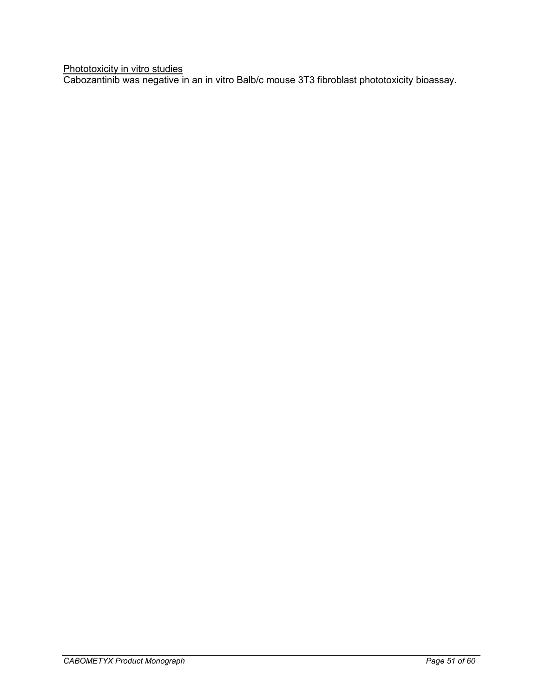Phototoxicity in vitro studies

Cabozantinib was negative in an in vitro Balb/c mouse 3T3 fibroblast phototoxicity bioassay.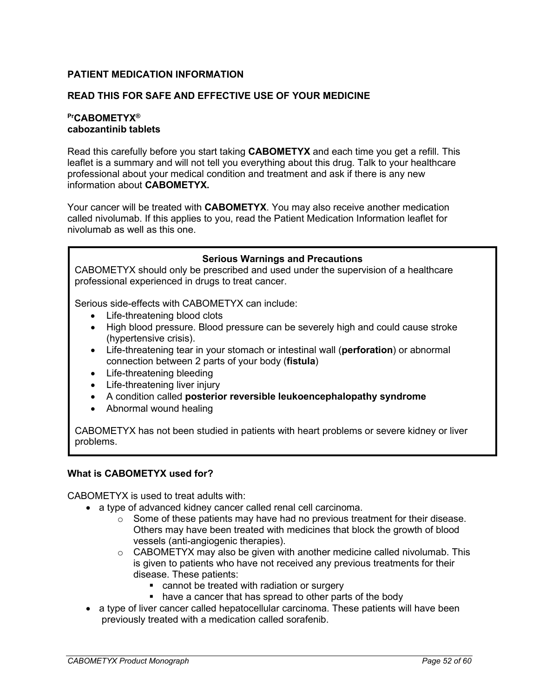### <span id="page-51-0"></span>**PATIENT MEDICATION INFORMATION**

### **READ THIS FOR SAFE AND EFFECTIVE USE OF YOUR MEDICINE**

### **PrCABOMETYX® cabozantinib tablets**

Read this carefully before you start taking **CABOMETYX** and each time you get a refill. This leaflet is a summary and will not tell you everything about this drug. Talk to your healthcare professional about your medical condition and treatment and ask if there is any new information about **CABOMETYX.**

Your cancer will be treated with **CABOMETYX**. You may also receive another medication called nivolumab. If this applies to you, read the Patient Medication Information leaflet for nivolumab as well as this one.

#### **Serious Warnings and Precautions**

CABOMETYX should only be prescribed and used under the supervision of a healthcare professional experienced in drugs to treat cancer.

Serious side-effects with CABOMETYX can include:

- Life-threatening blood clots
- High blood pressure. Blood pressure can be severely high and could cause stroke (hypertensive crisis).
- Life-threatening tear in your stomach or intestinal wall (**perforation**) or abnormal connection between 2 parts of your body (**fistula**)
- Life-threatening bleeding
- Life-threatening liver injury
- A condition called **posterior reversible leukoencephalopathy syndrome**
- Abnormal wound healing

CABOMETYX has not been studied in patients with heart problems or severe kidney or liver problems.

#### **What is CABOMETYX used for?**

CABOMETYX is used to treat adults with:

- a type of advanced kidney cancer called renal cell carcinoma.
	- $\circ$  Some of these patients may have had no previous treatment for their disease. Others may have been treated with medicines that block the growth of blood vessels (anti-angiogenic therapies).
	- o CABOMETYX may also be given with another medicine called nivolumab. This is given to patients who have not received any previous treatments for their disease. These patients:
		- **Example be treated with radiation or surgery**
		- have a cancer that has spread to other parts of the body
- a type of liver cancer called hepatocellular carcinoma. These patients will have been previously treated with a medication called sorafenib.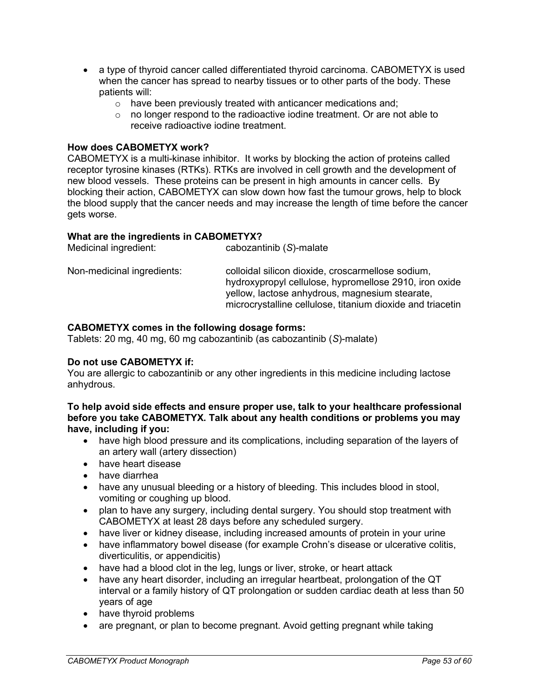- a type of thyroid cancer called differentiated thyroid carcinoma. CABOMETYX is used when the cancer has spread to nearby tissues or to other parts of the body. These patients will:
	- o have been previously treated with anticancer medications and;
	- $\circ$  no longer respond to the radioactive iodine treatment. Or are not able to receive radioactive iodine treatment.

#### **How does CABOMETYX work?**

CABOMETYX is a multi-kinase inhibitor. It works by blocking the action of proteins called receptor tyrosine kinases (RTKs). RTKs are involved in cell growth and the development of new blood vessels. These proteins can be present in high amounts in cancer cells. By blocking their action, CABOMETYX can slow down how fast the tumour grows, help to block the blood supply that the cancer needs and may increase the length of time before the cancer gets worse.

# **What are the ingredients in CABOMETYX?**

| Medicinal ingredient:      | cabozantinib (S)-malate                                                                                                                                                                                                     |
|----------------------------|-----------------------------------------------------------------------------------------------------------------------------------------------------------------------------------------------------------------------------|
| Non-medicinal ingredients: | colloidal silicon dioxide, croscarmellose sodium,<br>hydroxypropyl cellulose, hypromellose 2910, iron oxide<br>yellow, lactose anhydrous, magnesium stearate,<br>microcrystalline cellulose, titanium dioxide and triacetin |

#### **CABOMETYX comes in the following dosage forms:**

Tablets: 20 mg, 40 mg, 60 mg cabozantinib (as cabozantinib (*S*)-malate)

#### **Do not use CABOMETYX if:**

You are allergic to cabozantinib or any other ingredients in this medicine including lactose anhydrous.

#### **To help avoid side effects and ensure proper use, talk to your healthcare professional before you take CABOMETYX. Talk about any health conditions or problems you may have, including if you:**

- have high blood pressure and its complications, including separation of the layers of an artery wall (artery dissection)
- have heart disease
- have diarrhea
- have any unusual bleeding or a history of bleeding. This includes blood in stool, vomiting or coughing up blood.
- plan to have any surgery, including dental surgery. You should stop treatment with CABOMETYX at least 28 days before any scheduled surgery.
- have liver or kidney disease, including increased amounts of protein in your urine
- have inflammatory bowel disease (for example Crohn's disease or ulcerative colitis, diverticulitis, or appendicitis)
- have had a blood clot in the leg, lungs or liver, stroke, or heart attack
- have any heart disorder, including an irregular heartbeat, prolongation of the QT interval or a family history of QT prolongation or sudden cardiac death at less than 50 years of age
- have thyroid problems
- are pregnant, or plan to become pregnant. Avoid getting pregnant while taking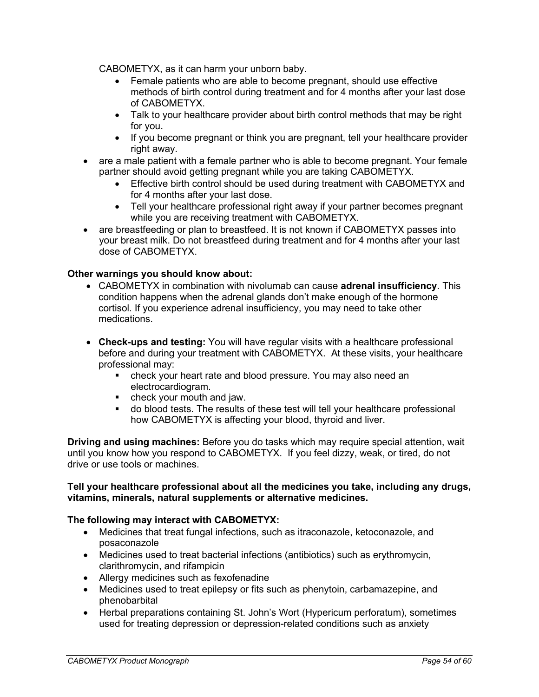CABOMETYX, as it can harm your unborn baby.

- Female patients who are able to become pregnant, should use effective methods of birth control during treatment and for 4 months after your last dose of CABOMETYX.
- Talk to your healthcare provider about birth control methods that may be right for you.
- If you become pregnant or think you are pregnant, tell your healthcare provider right away.
- are a male patient with a female partner who is able to become pregnant. Your female partner should avoid getting pregnant while you are taking CABOMETYX.
	- Effective birth control should be used during treatment with CABOMETYX and for 4 months after your last dose.
	- Tell your healthcare professional right away if your partner becomes pregnant while you are receiving treatment with CABOMETYX.
- are breastfeeding or plan to breastfeed. It is not known if CABOMETYX passes into your breast milk. Do not breastfeed during treatment and for 4 months after your last dose of CABOMETYX.

### **Other warnings you should know about:**

- CABOMETYX in combination with nivolumab can cause **adrenal insufficiency**. This condition happens when the adrenal glands don't make enough of the hormone cortisol. If you experience adrenal insufficiency, you may need to take other medications.
- **Check-ups and testing:** You will have regular visits with a healthcare professional before and during your treatment with CABOMETYX. At these visits, your healthcare professional may:
	- check your heart rate and blood pressure. You may also need an electrocardiogram.
	- **•** check your mouth and jaw.
	- do blood tests. The results of these test will tell your healthcare professional how CABOMETYX is affecting your blood, thyroid and liver.

**Driving and using machines:** Before you do tasks which may require special attention, wait until you know how you respond to CABOMETYX. If you feel dizzy, weak, or tired, do not drive or use tools or machines.

#### **Tell your healthcare professional about all the medicines you take, including any drugs, vitamins, minerals, natural supplements or alternative medicines.**

### **The following may interact with CABOMETYX:**

- Medicines that treat fungal infections, such as itraconazole, ketoconazole, and posaconazole
- Medicines used to treat bacterial infections (antibiotics) such as erythromycin, clarithromycin, and rifampicin
- Allergy medicines such as fexofenadine
- Medicines used to treat epilepsy or fits such as phenytoin, carbamazepine, and phenobarbital
- Herbal preparations containing St. John's Wort (Hypericum perforatum), sometimes used for treating depression or depression-related conditions such as anxiety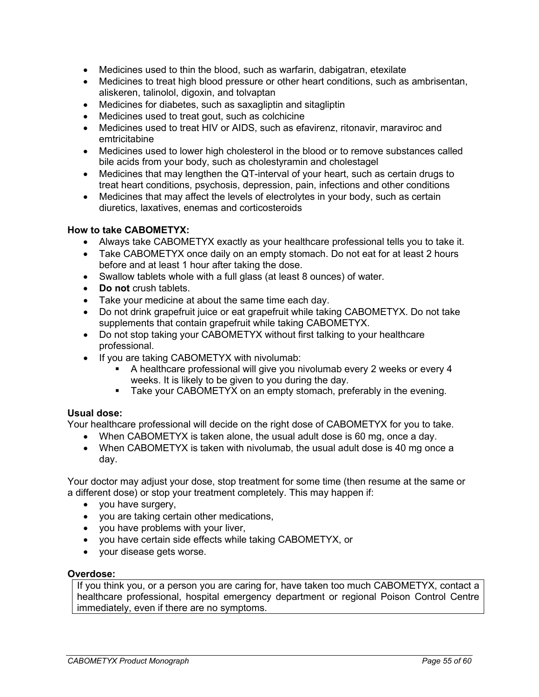- Medicines used to thin the blood, such as warfarin, dabigatran, etexilate
- Medicines to treat high blood pressure or other heart conditions, such as ambrisentan, aliskeren, talinolol, digoxin, and tolvaptan
- Medicines for diabetes, such as saxagliptin and sitagliptin
- Medicines used to treat gout, such as colchicine
- Medicines used to treat HIV or AIDS, such as efavirenz, ritonavir, maraviroc and emtricitabine
- Medicines used to lower high cholesterol in the blood or to remove substances called bile acids from your body, such as cholestyramin and cholestagel
- Medicines that may lengthen the QT-interval of your heart, such as certain drugs to treat heart conditions, psychosis, depression, pain, infections and other conditions
- Medicines that may affect the levels of electrolytes in your body, such as certain diuretics, laxatives, enemas and corticosteroids

### **How to take CABOMETYX:**

- Always take CABOMETYX exactly as your healthcare professional tells you to take it.
- Take CABOMETYX once daily on an empty stomach. Do not eat for at least 2 hours before and at least 1 hour after taking the dose.
- Swallow tablets whole with a full glass (at least 8 ounces) of water.
- **Do not** crush tablets.
- Take your medicine at about the same time each day.
- Do not drink grapefruit juice or eat grapefruit while taking CABOMETYX. Do not take supplements that contain grapefruit while taking CABOMETYX.
- Do not stop taking your CABOMETYX without first talking to your healthcare professional.
- If you are taking CABOMETYX with nivolumab:
	- A healthcare professional will give you nivolumab every 2 weeks or every 4 weeks. It is likely to be given to you during the day.
	- **Take your CABOMETYX on an empty stomach, preferably in the evening.**

### **Usual dose:**

Your healthcare professional will decide on the right dose of CABOMETYX for you to take.

- When CABOMETYX is taken alone, the usual adult dose is 60 mg, once a day.
- When CABOMETYX is taken with nivolumab, the usual adult dose is 40 mg once a day.

Your doctor may adjust your dose, stop treatment for some time (then resume at the same or a different dose) or stop your treatment completely. This may happen if:

- you have surgery,
- you are taking certain other medications,
- you have problems with your liver,
- you have certain side effects while taking CABOMETYX, or
- your disease gets worse.

#### **Overdose:**

If you think you, or a person you are caring for, have taken too much CABOMETYX, contact a healthcare professional, hospital emergency department or regional Poison Control Centre immediately, even if there are no symptoms.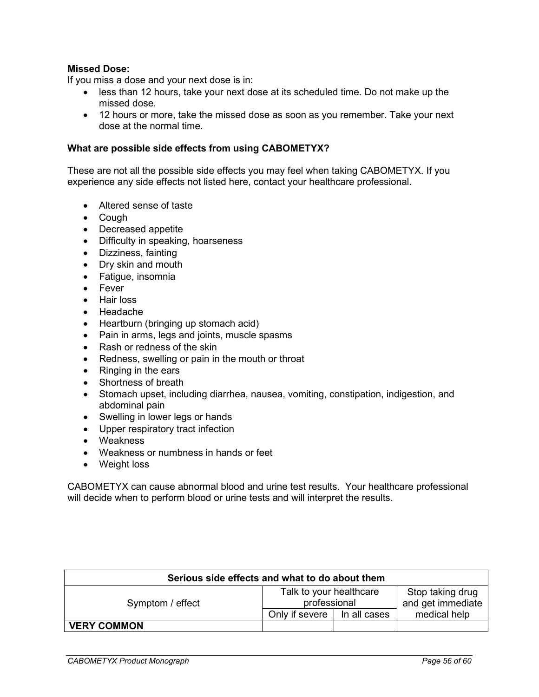### **Missed Dose:**

If you miss a dose and your next dose is in:

- less than 12 hours, take your next dose at its scheduled time. Do not make up the missed dose.
- 12 hours or more, take the missed dose as soon as you remember. Take your next dose at the normal time.

#### **What are possible side effects from using CABOMETYX?**

These are not all the possible side effects you may feel when taking CABOMETYX. If you experience any side effects not listed here, contact your healthcare professional.

- Altered sense of taste
- Cough
- Decreased appetite
- Difficulty in speaking, hoarseness
- Dizziness, fainting
- Dry skin and mouth
- Fatigue, insomnia
- Fever
- Hair loss
- Headache
- Heartburn (bringing up stomach acid)
- Pain in arms, legs and joints, muscle spasms
- Rash or redness of the skin
- Redness, swelling or pain in the mouth or throat
- Ringing in the ears
- Shortness of breath
- Stomach upset, including diarrhea, nausea, vomiting, constipation, indigestion, and abdominal pain
- Swelling in lower legs or hands
- Upper respiratory tract infection
- Weakness
- Weakness or numbness in hands or feet
- Weight loss

CABOMETYX can cause abnormal blood and urine test results. Your healthcare professional will decide when to perform blood or urine tests and will interpret the results.

| Serious side effects and what to do about them |                                         |              |                                       |  |
|------------------------------------------------|-----------------------------------------|--------------|---------------------------------------|--|
| Symptom / effect                               | Talk to your healthcare<br>professional |              | Stop taking drug<br>and get immediate |  |
|                                                | Only if severe                          | In all cases | medical help                          |  |
| <b>VERY COMMON</b>                             |                                         |              |                                       |  |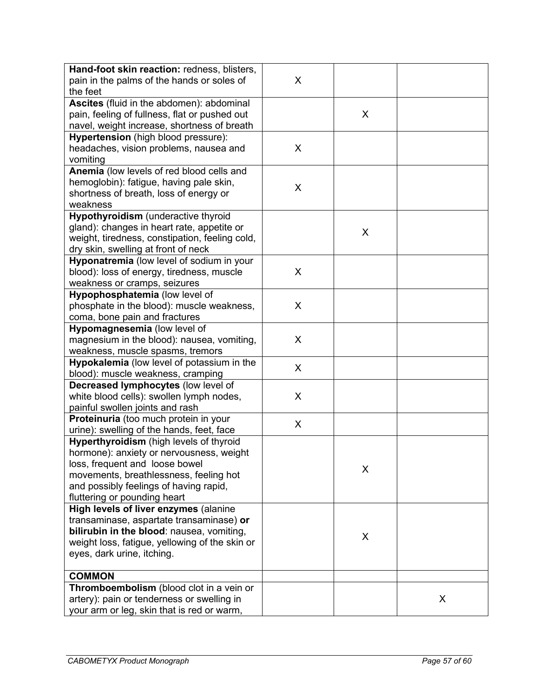| Hand-foot skin reaction: redness, blisters,    |   |   |   |
|------------------------------------------------|---|---|---|
| pain in the palms of the hands or soles of     | X |   |   |
| the feet                                       |   |   |   |
| Ascites (fluid in the abdomen): abdominal      |   |   |   |
| pain, feeling of fullness, flat or pushed out  |   | X |   |
| navel, weight increase, shortness of breath    |   |   |   |
| Hypertension (high blood pressure):            |   |   |   |
|                                                | X |   |   |
| headaches, vision problems, nausea and         |   |   |   |
| vomiting                                       |   |   |   |
| Anemia (low levels of red blood cells and      |   |   |   |
| hemoglobin): fatigue, having pale skin,        | X |   |   |
| shortness of breath, loss of energy or         |   |   |   |
| weakness                                       |   |   |   |
| <b>Hypothyroidism</b> (underactive thyroid     |   |   |   |
| gland): changes in heart rate, appetite or     |   | X |   |
| weight, tiredness, constipation, feeling cold, |   |   |   |
| dry skin, swelling at front of neck            |   |   |   |
| Hyponatremia (low level of sodium in your      |   |   |   |
| blood): loss of energy, tiredness, muscle      | X |   |   |
| weakness or cramps, seizures                   |   |   |   |
| Hypophosphatemia (low level of                 |   |   |   |
| phosphate in the blood): muscle weakness,      | X |   |   |
| coma, bone pain and fractures                  |   |   |   |
| Hypomagnesemia (low level of                   |   |   |   |
| magnesium in the blood): nausea, vomiting,     | X |   |   |
| weakness, muscle spasms, tremors               |   |   |   |
| Hypokalemia (low level of potassium in the     | X |   |   |
| blood): muscle weakness, cramping              |   |   |   |
| Decreased lymphocytes (low level of            |   |   |   |
| white blood cells): swollen lymph nodes,       | X |   |   |
| painful swollen joints and rash                |   |   |   |
| Proteinuria (too much protein in your          |   |   |   |
| urine): swelling of the hands, feet, face      | X |   |   |
| Hyperthyroidism (high levels of thyroid        |   |   |   |
| hormone): anxiety or nervousness, weight       |   |   |   |
| loss, frequent and loose bowel                 |   |   |   |
| movements, breathlessness, feeling hot         |   | X |   |
| and possibly feelings of having rapid,         |   |   |   |
| fluttering or pounding heart                   |   |   |   |
| High levels of liver enzymes (alanine          |   |   |   |
| transaminase, aspartate transaminase) or       |   |   |   |
| bilirubin in the blood: nausea, vomiting,      |   |   |   |
| weight loss, fatigue, yellowing of the skin or |   | X |   |
| eyes, dark urine, itching.                     |   |   |   |
|                                                |   |   |   |
| <b>COMMON</b>                                  |   |   |   |
| Thromboembolism (blood clot in a vein or       |   |   |   |
| artery): pain or tenderness or swelling in     |   |   | X |
| your arm or leg, skin that is red or warm,     |   |   |   |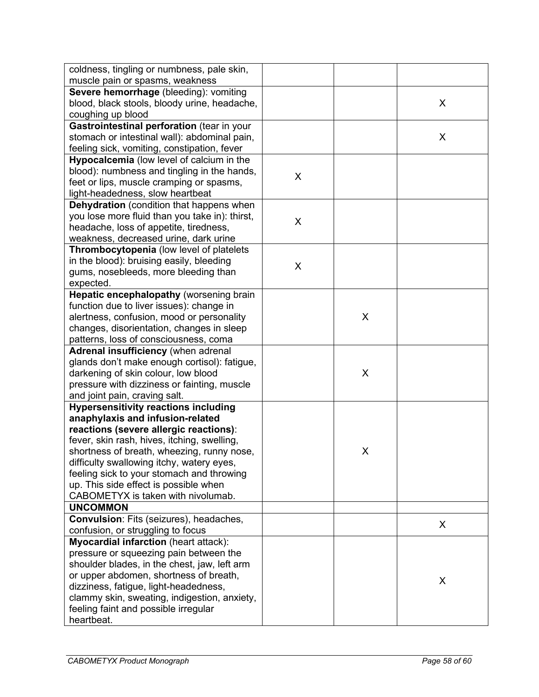| coldness, tingling or numbness, pale skin,                                        |   |   |   |
|-----------------------------------------------------------------------------------|---|---|---|
| muscle pain or spasms, weakness                                                   |   |   |   |
| Severe hemorrhage (bleeding): vomiting                                            |   |   |   |
| blood, black stools, bloody urine, headache,                                      |   |   | X |
| coughing up blood                                                                 |   |   |   |
| Gastrointestinal perforation (tear in your                                        |   |   |   |
| stomach or intestinal wall): abdominal pain,                                      |   |   | X |
| feeling sick, vomiting, constipation, fever                                       |   |   |   |
| Hypocalcemia (low level of calcium in the                                         |   |   |   |
| blood): numbness and tingling in the hands,                                       | X |   |   |
| feet or lips, muscle cramping or spasms,                                          |   |   |   |
| light-headedness, slow heartbeat                                                  |   |   |   |
| <b>Dehydration</b> (condition that happens when                                   |   |   |   |
| you lose more fluid than you take in): thirst,                                    | X |   |   |
| headache, loss of appetite, tiredness,                                            |   |   |   |
| weakness, decreased urine, dark urine                                             |   |   |   |
| Thrombocytopenia (low level of platelets                                          |   |   |   |
| in the blood): bruising easily, bleeding                                          | X |   |   |
| gums, nosebleeds, more bleeding than                                              |   |   |   |
| expected.                                                                         |   |   |   |
| Hepatic encephalopathy (worsening brain                                           |   |   |   |
| function due to liver issues): change in                                          |   |   |   |
| alertness, confusion, mood or personality                                         |   | X |   |
| changes, disorientation, changes in sleep                                         |   |   |   |
| patterns, loss of consciousness, coma                                             |   |   |   |
| Adrenal insufficiency (when adrenal                                               |   |   |   |
| glands don't make enough cortisol): fatigue,                                      |   |   |   |
| darkening of skin colour, low blood                                               |   | X |   |
| pressure with dizziness or fainting, muscle                                       |   |   |   |
| and joint pain, craving salt.                                                     |   |   |   |
| <b>Hypersensitivity reactions including</b>                                       |   |   |   |
| anaphylaxis and infusion-related                                                  |   |   |   |
| reactions (severe allergic reactions):                                            |   |   |   |
| fever, skin rash, hives, itching, swelling,                                       |   |   |   |
| shortness of breath, wheezing, runny nose,                                        |   | X |   |
| difficulty swallowing itchy, watery eyes,                                         |   |   |   |
| feeling sick to your stomach and throwing                                         |   |   |   |
| up. This side effect is possible when<br>CABOMETYX is taken with nivolumab.       |   |   |   |
| <b>UNCOMMON</b>                                                                   |   |   |   |
| <b>Convulsion: Fits (seizures), headaches,</b>                                    |   |   |   |
|                                                                                   |   |   | X |
| confusion, or struggling to focus<br><b>Myocardial infarction (heart attack):</b> |   |   |   |
| pressure or squeezing pain between the                                            |   |   |   |
| shoulder blades, in the chest, jaw, left arm                                      |   |   |   |
| or upper abdomen, shortness of breath,                                            |   |   |   |
| dizziness, fatigue, light-headedness,                                             |   |   | X |
| clammy skin, sweating, indigestion, anxiety,                                      |   |   |   |
| feeling faint and possible irregular                                              |   |   |   |
|                                                                                   |   |   |   |
| heartbeat.                                                                        |   |   |   |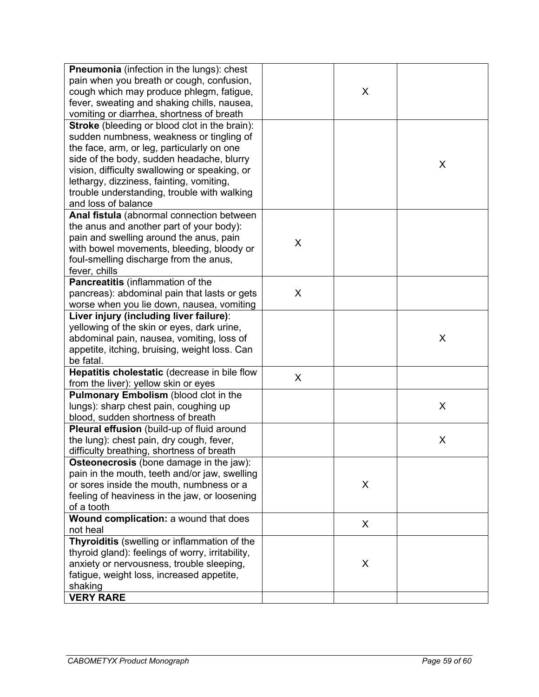| <b>Pneumonia</b> (infection in the lungs): chest     |   |   |   |
|------------------------------------------------------|---|---|---|
| pain when you breath or cough, confusion,            |   |   |   |
| cough which may produce phlegm, fatigue,             |   | X |   |
| fever, sweating and shaking chills, nausea,          |   |   |   |
| vomiting or diarrhea, shortness of breath            |   |   |   |
| <b>Stroke</b> (bleeding or blood clot in the brain): |   |   |   |
| sudden numbness, weakness or tingling of             |   |   |   |
| the face, arm, or leg, particularly on one           |   |   |   |
| side of the body, sudden headache, blurry            |   |   |   |
| vision, difficulty swallowing or speaking, or        |   |   | X |
| lethargy, dizziness, fainting, vomiting,             |   |   |   |
| trouble understanding, trouble with walking          |   |   |   |
| and loss of balance                                  |   |   |   |
|                                                      |   |   |   |
| Anal fistula (abnormal connection between            |   |   |   |
| the anus and another part of your body):             |   |   |   |
| pain and swelling around the anus, pain              | X |   |   |
| with bowel movements, bleeding, bloody or            |   |   |   |
| foul-smelling discharge from the anus,               |   |   |   |
| fever, chills                                        |   |   |   |
| Pancreatitis (inflammation of the                    |   |   |   |
| pancreas): abdominal pain that lasts or gets         | X |   |   |
| worse when you lie down, nausea, vomiting            |   |   |   |
| Liver injury (including liver failure):              |   |   |   |
| yellowing of the skin or eyes, dark urine,           |   |   |   |
| abdominal pain, nausea, vomiting, loss of            |   |   | X |
| appetite, itching, bruising, weight loss. Can        |   |   |   |
| be fatal.                                            |   |   |   |
| Hepatitis cholestatic (decrease in bile flow         | X |   |   |
| from the liver): yellow skin or eyes                 |   |   |   |
| Pulmonary Embolism (blood clot in the                |   |   |   |
| lungs): sharp chest pain, coughing up                |   |   | X |
| blood, sudden shortness of breath                    |   |   |   |
| Pleural effusion (build-up of fluid around           |   |   |   |
| the lung): chest pain, dry cough, fever,             |   |   | X |
| difficulty breathing, shortness of breath            |   |   |   |
| <b>Osteonecrosis</b> (bone damage in the jaw):       |   |   |   |
| pain in the mouth, teeth and/or jaw, swelling        |   |   |   |
| or sores inside the mouth, numbness or a             |   | X |   |
| feeling of heaviness in the jaw, or loosening        |   |   |   |
| of a tooth                                           |   |   |   |
| Wound complication: a wound that does                |   |   |   |
| not heal                                             |   | X |   |
| Thyroiditis (swelling or inflammation of the         |   |   |   |
| thyroid gland): feelings of worry, irritability,     |   |   |   |
| anxiety or nervousness, trouble sleeping,            |   | X |   |
| fatigue, weight loss, increased appetite,            |   |   |   |
| shaking                                              |   |   |   |
|                                                      |   |   |   |
| <b>VERY RARE</b>                                     |   |   |   |